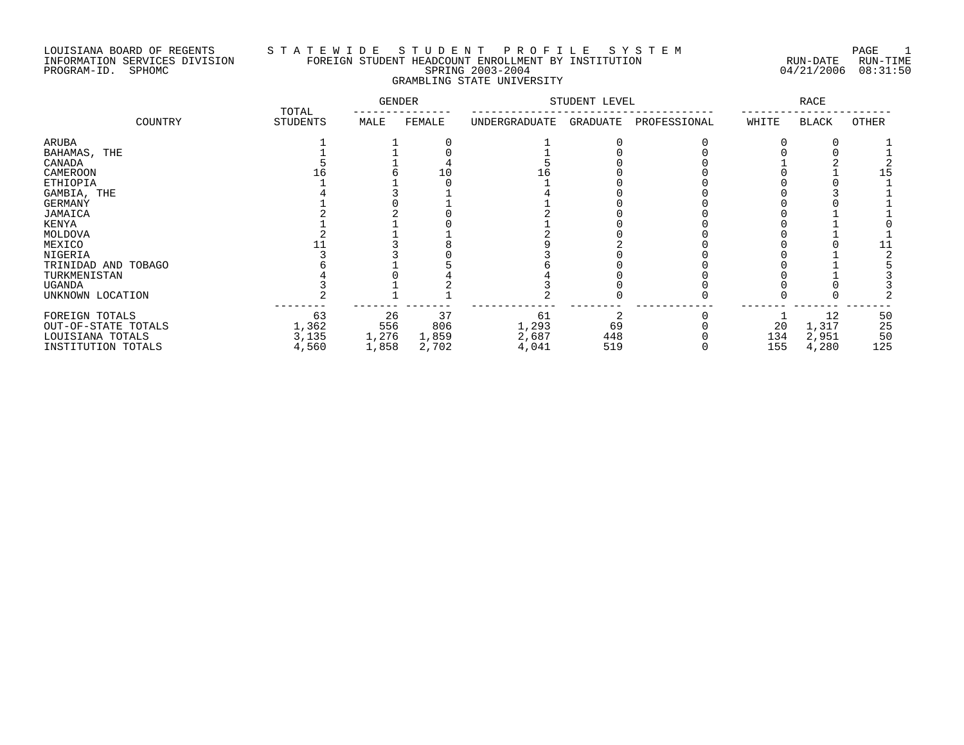## LOUISIANA BOARD OF REGENTS S T A T E W I D E S T U D E N T P R O F I L E S Y S T E M PAGE 1 INFORMATION SERVICES DIVISION FOREIGN STUDENT HEADCOUNT ENROLLMENT BY INSTITUTION RUN-DATE RUN-TIME PROGRAM-ID. SPHOMC SPRING 2003-2004 04/21/2006 08:31:50 GRAMBLING STATE UNIVERSITY

|                                                                                 | TOTAL                         | <b>GENDER</b>               |                             | STUDENT LEVEL                 |                  | <b>RACE</b>  |                  |                               |                       |
|---------------------------------------------------------------------------------|-------------------------------|-----------------------------|-----------------------------|-------------------------------|------------------|--------------|------------------|-------------------------------|-----------------------|
| COUNTRY                                                                         | STUDENTS                      | MALE                        | FEMALE                      | UNDERGRADUATE                 | GRADUATE         | PROFESSIONAL | WHITE            | BLACK                         | OTHER                 |
| <b>ARUBA</b>                                                                    |                               |                             |                             |                               |                  |              |                  |                               |                       |
| BAHAMAS, THE                                                                    |                               |                             |                             |                               |                  |              |                  |                               |                       |
| CANADA                                                                          |                               |                             |                             |                               |                  |              |                  |                               |                       |
| CAMEROON                                                                        |                               |                             |                             | Lб                            |                  |              |                  |                               | 15                    |
| <b>ETHIOPIA</b>                                                                 |                               |                             |                             |                               |                  |              |                  |                               |                       |
| GAMBIA, THE                                                                     |                               |                             |                             |                               |                  |              |                  |                               |                       |
| <b>GERMANY</b>                                                                  |                               |                             |                             |                               |                  |              |                  |                               |                       |
| JAMAICA                                                                         |                               |                             |                             |                               |                  |              |                  |                               |                       |
| KENYA                                                                           |                               |                             |                             |                               |                  |              |                  |                               |                       |
| MOLDOVA                                                                         |                               |                             |                             |                               |                  |              |                  |                               |                       |
| MEXICO                                                                          |                               |                             |                             |                               |                  |              |                  |                               |                       |
| NIGERIA                                                                         |                               |                             |                             |                               |                  |              |                  |                               |                       |
| TRINIDAD AND TOBAGO                                                             |                               |                             |                             |                               |                  |              |                  |                               |                       |
| TURKMENISTAN                                                                    |                               |                             |                             |                               |                  |              |                  |                               |                       |
| UGANDA                                                                          |                               |                             |                             |                               |                  |              |                  |                               |                       |
| UNKNOWN LOCATION                                                                |                               |                             |                             |                               |                  |              |                  |                               |                       |
| FOREIGN TOTALS<br>OUT-OF-STATE TOTALS<br>LOUISIANA TOTALS<br>INSTITUTION TOTALS | 63<br>1,362<br>3,135<br>4,560 | 26<br>556<br>1,276<br>1,858 | 37<br>806<br>1,859<br>2,702 | 61<br>1,293<br>2,687<br>4,041 | 69<br>448<br>519 |              | 20<br>134<br>155 | 12<br>1,317<br>2,951<br>4,280 | 50<br>25<br>50<br>125 |
|                                                                                 |                               |                             |                             |                               |                  |              |                  |                               |                       |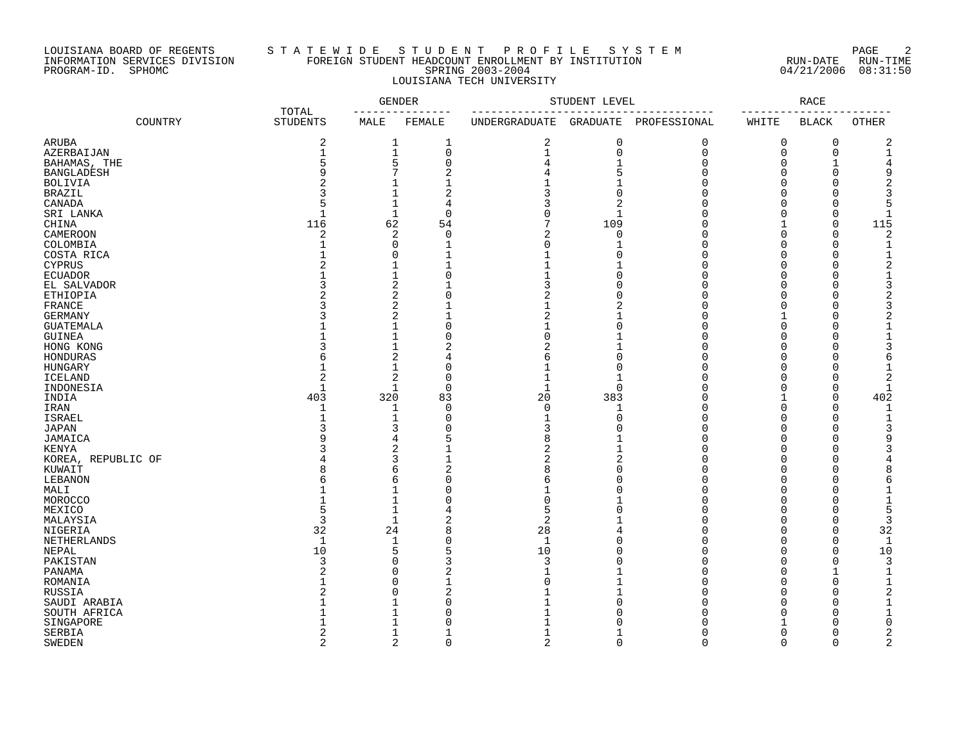### LOUISIANA BOARD OF REGENTS S T A T E W I D E S T U D E N T P R O F I L E S Y S T E M PAGE 2 INFORMATION SERVICES DIVISION FOREIGN STUDENT HEADCOUNT ENROLLMENT BY INSTITUTION RUN-DATE RUN-TIME PROGRAM-ID. SPHOMC SPRING 2003-2004 04/21/2006 08:31:50 LOUISIANA TECH UNIVERSITY

|                           |         |                          | <b>GENDER</b>  |                            |                | STUDENT LEVEL              |                       |                         | <b>RACE</b>          |                |
|---------------------------|---------|--------------------------|----------------|----------------------------|----------------|----------------------------|-----------------------|-------------------------|----------------------|----------------|
|                           | COUNTRY | TOTAL<br><b>STUDENTS</b> | MALE           | FEMALE                     | UNDERGRADUATE  |                            | GRADUATE PROFESSIONAL | $- - - -$<br>WHITE      | <b>BLACK</b>         | <b>OTHER</b>   |
| ARUBA                     |         | $\overline{2}$           | 1              | 1                          | $\overline{2}$ | $\mathbf 0$                | $\mathbf 0$           | $\mathbf 0$             | $\mathbf 0$          | $\overline{c}$ |
| AZERBAIJAN                |         | $\mathbf{1}$             | $\mathbf 1$    | $\mathbf 0$                | 1              | $\mathbf 0$                | $\mathbf 0$           | 0                       | 0                    | 1              |
| BAHAMAS, THE              |         | 5                        | 5              | 0                          |                | $\mathbf 1$                | $\mathbf 0$           | $\Omega$                | 1                    |                |
| <b>BANGLADESH</b>         |         | 9                        | 7              | $\overline{2}$             |                | 5                          | $\Omega$              | $\Omega$                | $\Omega$             | 9              |
| <b>BOLIVIA</b>            |         | $\overline{c}$           | $\mathbf{1}$   | $\mathbf{1}$               |                | $\mathbf{1}$               | $\Omega$              | $\Omega$                | $\Omega$             |                |
| <b>BRAZIL</b>             |         | ζ                        | $\mathbf{1}$   | $\overline{2}$             | 3              | $\mathbf 0$                | $\Omega$              | $\Omega$                | $\Omega$             |                |
| CANADA                    |         | 5                        | 1              | 4                          | 3              | $\overline{2}$             | $\Omega$              | $\Omega$                | $\Omega$             | 5              |
| SRI LANKA                 |         | $\mathbf{1}$             | $\mathbf{1}$   | $\mathbf 0$                | ∩              | $\mathbf{1}$               | $\Omega$              | $\Omega$                | $\mathbf 0$          |                |
| CHINA                     |         | 116                      | 62             | 54                         | 7              | 109                        | $\Omega$              | 1                       | $\mathbf 0$          | 115            |
| CAMEROON                  |         | $\overline{2}$           | 2              | $\mathbf 0$                | 2              | $\mathbf 0$                | $\Omega$              | $\Omega$                | $\Omega$             | $\mathcal{D}$  |
| COLOMBIA                  |         |                          | 0              | $\mathbf{1}$               | $\Omega$       | $\mathbf{1}$               | $\Omega$              | $\Omega$                | $\Omega$             |                |
| COSTA RICA                |         |                          | 0              | 1                          |                | $\Omega$                   | $\Omega$              | $\Omega$                | $\Omega$             |                |
| CYPRUS                    |         |                          | $\mathbf{1}$   | $\mathbf{1}$               |                |                            | $\Omega$              | $\Omega$                | $\Omega$             |                |
| <b>ECUADOR</b>            |         |                          | 1              | $\mathbf 0$                |                | $\Omega$                   | $\Omega$              | $\Omega$                | $\cap$               |                |
| EL SALVADOR               |         |                          | 2              |                            |                | $\Omega$                   | $\cap$                | $\Omega$                | $\Omega$             |                |
| ETHIOPIA                  |         | $\overline{2}$           | $\overline{a}$ | 0                          | 2              | $\Omega$                   | $\Omega$              | $\Omega$                | $\Omega$             |                |
| FRANCE                    |         | 3                        | 2              |                            |                | 2                          | $\cap$                | $\Omega$                | $\cap$               |                |
| <b>GERMANY</b>            |         | 3                        | $\overline{2}$ | $\mathbf{1}$               | 2              | $\mathbf{1}$               | $\Omega$              | 1                       | $\Omega$             |                |
| <b>GUATEMALA</b>          |         |                          | 1              | $\mathbf 0$                |                | $\Omega$                   | $\Omega$              | $\Omega$                | $\Omega$             |                |
| <b>GUINEA</b>             |         |                          | $\mathbf{1}$   | $\Omega$                   | $\Omega$       |                            | $\Omega$              | $\Omega$                | $\Omega$             |                |
| HONG KONG                 |         | 3                        | $\mathbf 1$    | $\overline{2}$             | $\overline{2}$ | $\mathbf 1$                | $\Omega$              | $\Omega$                | $\Omega$             |                |
| HONDURAS                  |         | 6                        | 2              | 4                          | 6              | $\mathbf 0$                | $\Omega$              | $\Omega$                | $\Omega$             |                |
|                           |         | $\mathbf{1}$             | $\mathbf 1$    | $\mathbf 0$                |                | $\overline{0}$             | $\Omega$              | $\Omega$                | $\Omega$             |                |
| HUNGARY<br><b>ICELAND</b> |         | 2                        | 2              | $\mathbf 0$                |                | $\mathbf 1$                | $\Omega$              | $\Omega$                | $\Omega$             |                |
|                           |         | $\mathbf{1}$             | $\mathbf{1}$   | $\Omega$                   | $\mathbf{1}$   | $\Omega$                   | $\Omega$              | $\Omega$                | $\Omega$             |                |
| INDONESIA                 |         | 403                      |                |                            |                | 383                        | $\Omega$              | $\mathbf{1}$            | $\mathbf 0$          | 402            |
| INDIA                     |         | $\mathbf{1}$             | 320            | 83                         | 20             |                            | $\Omega$              | $\mathbf 0$             | $\mathbf 0$          |                |
| IRAN                      |         | $\mathbf{1}$             | 1              | 0                          | 0              | 1                          |                       |                         |                      |                |
| <b>ISRAEL</b>             |         | 3                        | 1              | $\mathbf 0$                |                | $\overline{0}$<br>$\Omega$ | $\Omega$<br>$\Omega$  | $\Omega$                | $\Omega$             |                |
| <b>JAPAN</b>              |         | q                        | 3              | $\mathbf 0$                | 3              |                            | $\Omega$              | $\mathbf 0$<br>$\Omega$ | $\Omega$<br>$\Omega$ | q              |
| JAMAICA                   |         | 3                        | 4              | 5                          | 8              |                            | $\Omega$              |                         | $\Omega$             |                |
| <b>KENYA</b>              |         |                          | 2              |                            | 2              | $\mathbf{1}$               | $\Omega$              | $\Omega$<br>$\Omega$    | $\Omega$             |                |
| KOREA, REPUBLIC OF        |         | 8                        | 3              |                            | 2<br>8         | $\overline{2}$<br>$\Omega$ | $\Omega$              | $\Omega$                | $\Omega$             |                |
| KUWAIT                    |         |                          | 6<br>6         | $\overline{2}$<br>$\Omega$ |                | $\Omega$                   | $\Omega$              | $\Omega$                | $\cap$               |                |
| LEBANON                   |         | 6                        | $\mathbf{1}$   | $\cap$                     | 6              | $\Omega$                   | $\Omega$              | $\Omega$                | $\Omega$             |                |
| MALI                      |         | $\mathbf{1}$             |                | $\Omega$                   | $\Omega$       |                            | O                     | $\Omega$                | $\Omega$             | $\mathbf{1}$   |
| MOROCCO                   |         | 5                        | $\mathbf 1$    |                            | 5              | $\Omega$                   | U                     | $\Omega$                | $\Omega$             | 5              |
| MEXICO                    |         | 3                        | 1              | 4                          |                |                            | U                     | $\Omega$                | $\Omega$             |                |
| MALAYSIA                  |         |                          | $\mathbf{1}$   | 2                          | 2              |                            | $\cap$                | $\Omega$                |                      | 3              |
| NIGERIA                   |         | 32                       | 24             | 8                          | 28             | 4                          |                       |                         | $\Omega$             | 32             |
| NETHERLANDS               |         | $\mathbf{1}$             | 1              | $\Omega$                   | $\mathbf{1}$   | $\Omega$                   | $\Omega$              | $\Omega$                | $\Omega$             | $\mathbf{1}$   |
| NEPAL                     |         | $10$                     | 5              | 5                          | 10             | $\Omega$                   | $\Omega$              | $\Omega$                | $\Omega$             | 10             |
| PAKISTAN                  |         | 3                        | 0              | 3                          | 3              | $\Omega$                   | $\Omega$              | $\Omega$                | $\Omega$             | 3              |
| PANAMA                    |         | $\overline{c}$           | 0              | $\overline{2}$             |                |                            | $\Omega$              | $\Omega$                | $\mathbf 1$          |                |
| ROMANIA                   |         | 1                        | $\Omega$       | $\mathbf 1$                |                |                            | $\Omega$              | $\Omega$                | $\Omega$             | $\mathbf{1}$   |
| RUSSIA                    |         | $\mathcal{D}$            | $\Omega$       | $\overline{c}$             |                |                            | $\Omega$              | $\Omega$                | $\Omega$             |                |
| SAUDI ARABIA              |         |                          | 1              | $\Omega$                   |                | $\Omega$                   | $\Omega$              | $\Omega$                | $\Omega$             |                |
| SOUTH AFRICA              |         |                          | $\mathbf{1}$   | 0                          |                | $\Omega$                   | $\Omega$              | $\Omega$                | $\Omega$             |                |
| SINGAPORE                 |         |                          | 1              | $\Omega$                   |                | $\sqrt{ }$                 | U                     |                         | $\cap$               | ∩              |
| SERBIA                    |         | 2                        | 1              | $\mathbf 1$                |                | 1                          | $\Omega$              | $\Omega$                | $\Omega$             | 2              |
| <b>SWEDEN</b>             |         | $\overline{2}$           | 2              | $\Omega$                   | $\overline{2}$ | $\Omega$                   | $\Omega$              | $\Omega$                | $\Omega$             | $\overline{2}$ |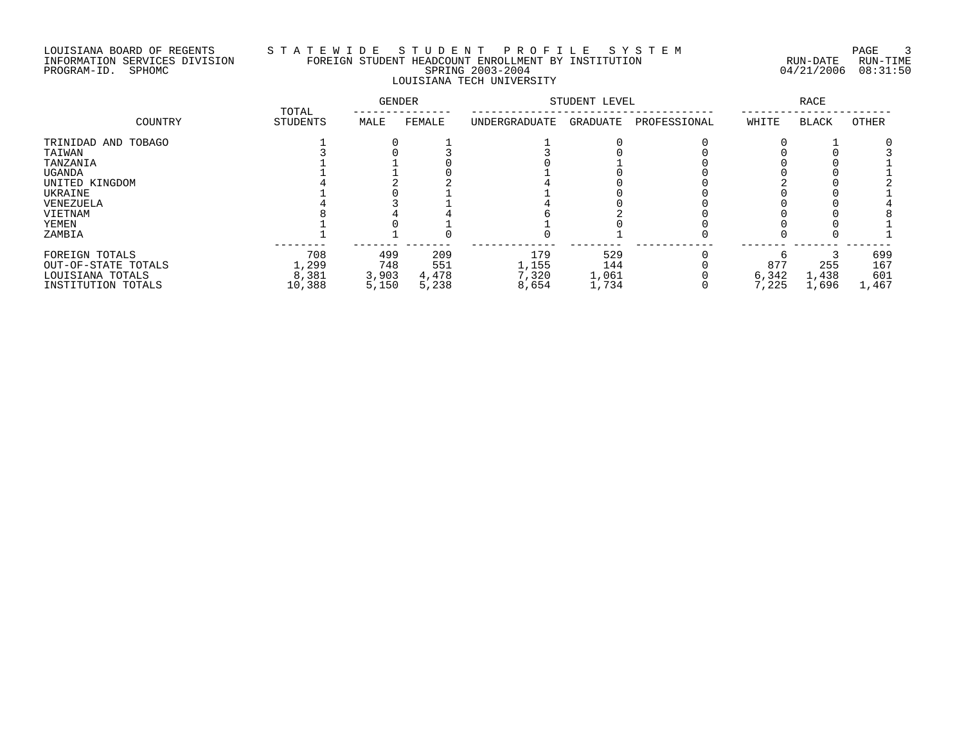### LOUISIANA BOARD OF REGENTS S T A T E W I D E S T U D E N T P R O F I L E S Y S T E M PAGE 3 INFORMATION SERVICES DIVISION FOREIGN STUDENT HEADCOUNT ENROLLMENT BY INSTITUTION RUN-DATE RUN-TIME PROGRAM-ID. SPHOMC SPRING 2003-2004 04/21/2006 08:31:50 LOUISIANA TECH UNIVERSITY

|                     | TOTAL    | <b>GENDER</b> |        | STUDENT LEVEL |          | <b>RACE</b>  |       |              |       |
|---------------------|----------|---------------|--------|---------------|----------|--------------|-------|--------------|-------|
| COUNTRY             | STUDENTS | MALE          | FEMALE | UNDERGRADUATE | GRADUATE | PROFESSIONAL | WHITE | <b>BLACK</b> | OTHER |
| TRINIDAD AND TOBAGO |          |               |        |               |          |              |       |              |       |
| TAIWAN              |          |               |        |               |          |              |       |              |       |
| TANZANIA            |          |               |        |               |          |              |       |              |       |
| <b>UGANDA</b>       |          |               |        |               |          |              |       |              |       |
| UNITED KINGDOM      |          |               |        |               |          |              |       |              |       |
| UKRAINE             |          |               |        |               |          |              |       |              |       |
| VENEZUELA           |          |               |        |               |          |              |       |              |       |
| VIETNAM             |          |               |        |               |          |              |       |              |       |
| YEMEN               |          |               |        |               |          |              |       |              |       |
| ZAMBIA              |          |               |        |               |          |              |       |              |       |
| FOREIGN TOTALS      | 708      | 499           | 209    | 179           | 529      |              |       |              | 699   |
| OUT-OF-STATE TOTALS | 1,299    | 748           | 551    | 1,155         | 144      |              | 877   | 255          | 167   |
| LOUISIANA TOTALS    | 8,381    | 3,903         | 4,478  | 7,320         | 1,061    |              | 6,342 | 1,438        | 601   |
| INSTITUTION TOTALS  | 10,388   | 5,150         | 5,238  | 8,654         | 1,734    |              | 7,225 | 1,696        | 1,467 |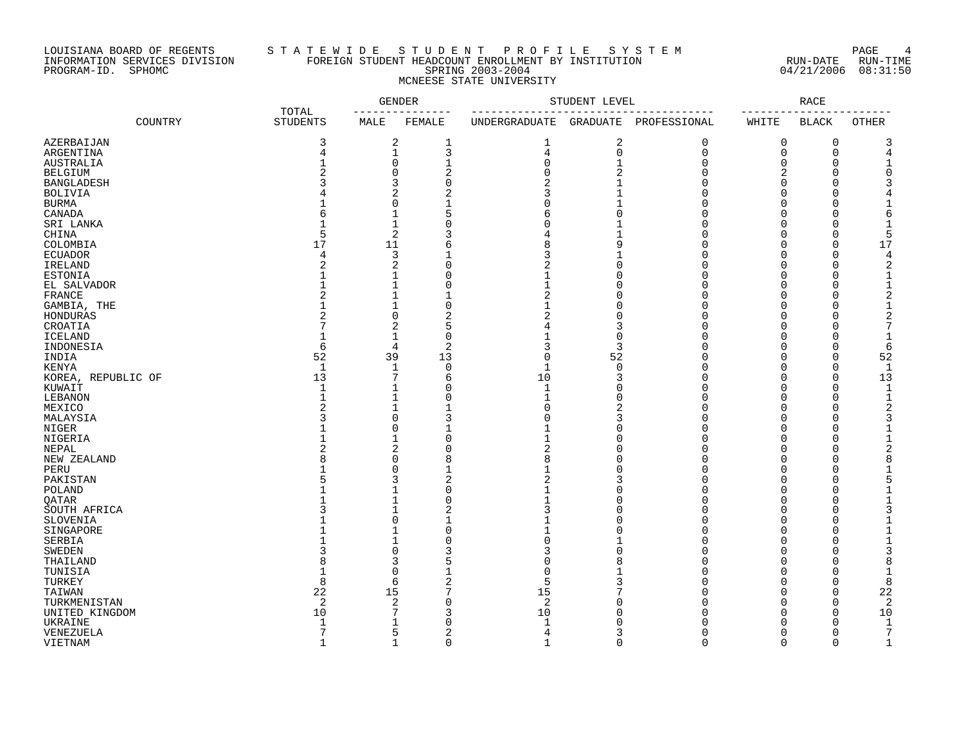### LOUISIANA BOARD OF REGENTS S T A T E W I D E S T U D E N T P R O F I L E S Y S T E M PAGE 4 INFORMATION SERVICES DIVISION FOREIGN STUDENT HEADCOUNT ENROLLMENT BY INSTITUTION RUN-DATE RUN-TIME PROGRAM-ID. SPHOMC SPRING 2003-2004 04/21/2006 08:31:50 MCNEESE STATE UNIVERSITY

|                       |         |                          |                | <b>GENDER</b>  |                | STUDENT LEVEL   |              |          | <b>RACE</b>  |                |
|-----------------------|---------|--------------------------|----------------|----------------|----------------|-----------------|--------------|----------|--------------|----------------|
|                       | COUNTRY | TOTAL<br><b>STUDENTS</b> | MALE           | FEMALE         | UNDERGRADUATE  | <b>GRADUATE</b> | PROFESSIONAL | WHITE    | <b>BLACK</b> | <b>OTHER</b>   |
| AZERBAIJAN            |         | 3                        | 2              | 1              | 1              | 2               | 0            | 0        | 0            | 3              |
| ARGENTINA             |         | 4                        | $\mathbf{1}$   | 3              | 4              | $\overline{0}$  | $\Omega$     | 0        | $\mathbf 0$  | 4              |
| AUSTRALIA             |         | 1                        | 0              | 1              | 0              | 1               | $\Omega$     | 0        | $\Omega$     | 1              |
| <b>BELGIUM</b>        |         | $\mathcal{D}$            | 0              | 2              | 0              | $\overline{2}$  | ∩            | 2        | $\Omega$     | O              |
| <b>BANGLADESH</b>     |         | 3                        | 3              | $\Omega$       | $\overline{2}$ |                 | ∩            | $\Omega$ | $\Omega$     | 3              |
| <b>BOLIVIA</b>        |         |                          | $\overline{2}$ |                | 3              |                 | ∩            | 0        | O            |                |
| <b>BURMA</b>          |         |                          | $\Omega$       |                | 0              |                 | ∩            | 0        | O            | 1              |
| CANADA                |         | 6                        | $\mathbf{1}$   | 5              | 6              | ∩               |              | $\Omega$ | ∩            | 6              |
|                       |         |                          | $\mathbf 1$    | O              | 0              |                 | O            | 0        | O            | 1              |
| SRI LANKA             |         |                          |                |                |                |                 |              |          |              |                |
| CHINA                 |         | 5                        | $\overline{2}$ |                | 4              |                 |              | O        | $\Omega$     | 5              |
| COLOMBIA              |         | 17                       | 11             | 6              | 8              | 9               | ∩            | O        | $\Omega$     | 17             |
| <b>ECUADOR</b>        |         | 4                        | 3              | 1              | 3              |                 | ∩            | O        | $\Omega$     |                |
| IRELAND               |         | 2                        | 2              | $\Omega$       | 2              | $\Omega$        | O            | 0        | $\Omega$     | 2              |
| <b>ESTONIA</b>        |         |                          | 1              | $\Omega$       | $\overline{1}$ | ∩               | ∩            | O        | $\Omega$     | $\mathbf{1}$   |
| EL SALVADOR           |         |                          | $\mathbf{1}$   | $\Omega$       | 1              | $\Omega$        | ∩            | O        | $\Omega$     | 1              |
| FRANCE                |         | 2                        | $\mathbf{1}$   | 1              | 2              | ∩               | ∩            | 0        | ∩            | 2              |
| GAMBIA, THE           |         |                          | $\mathbf{1}$   | $\Omega$       | 1              | ∩               | ∩            | O        | ∩            | $\mathbf{1}$   |
| HONDURAS              |         | 2                        | $\mathbf 0$    | 2              | 2              | O               |              | 0        | O            | 2              |
| CROATIA               |         | 7                        | 2              | 5              | 4              | 3               | ∩            | 0        | $\Omega$     | 7              |
| <b>ICELAND</b>        |         |                          | $\mathbf{1}$   | $\Omega$       |                | $\Omega$        | ∩            | $\Omega$ | ∩            | $\mathbf{1}$   |
| INDONESIA             |         | 6                        | 4              | 2              | 3              | 3               | O            | 0        | $\Omega$     | 6              |
|                       |         | 52                       | 39             | 13             | 0              | 52              | ∩            | 0        | $\Omega$     | 52             |
| INDIA                 |         |                          |                |                |                |                 |              |          |              |                |
| KENYA                 |         | $\mathbf{1}$             | $\mathbf 1$    | $\Omega$       | $\mathbf{1}$   | $\Omega$        | ∩            | $\Omega$ | $\Omega$     | $\mathbf{1}$   |
| KOREA, REPUBLIC OF    |         | 13                       | 7              | 6              | 10             | 3               | ∩            | 0        | O            | 13             |
| KUWAIT                |         | $\mathbf{1}$             | $\mathbf{1}$   | $\Omega$       |                | ∩               | ∩            | O        | ∩            | $\mathbf{1}$   |
| LEBANON               |         | 1                        | $\mathbf{1}$   | $\Omega$       | 1              | ∩               | ∩            | 0        | $\Omega$     | $\mathbf{1}$   |
| MEXICO                |         | $\overline{2}$           | $\mathbf{1}$   | 1              | 0              | 2               | ∩            | 0        | $\Omega$     | $\overline{2}$ |
| MALAYSIA              |         |                          | $\Omega$       | 3              | U              | 3               | ∩            | 0        | O            | 3              |
| NIGER                 |         |                          | $\Omega$       | $\mathbf{1}$   |                | ∩               | ∩            | $\Omega$ | ∩            | $\mathbf{1}$   |
| NIGERIA               |         |                          | 1              | $\Omega$       |                | O               | ∩            | 0        | O            | 1              |
| NEPAL                 |         |                          | 2              | U              | 2              | ∩               | ∩            | O        | ∩            | 2              |
| NEW ZEALAND           |         | Я                        | $\Omega$       | 8              | 8              | ∩               | ∩            | 0        | $\Omega$     | 8              |
| PERU                  |         |                          | $\Omega$       | $\mathbf{1}$   |                | ∩               | ∩            | $\Omega$ | O            |                |
| PAKISTAN              |         |                          | 3              | $\overline{2}$ | 2              |                 | ∩            | 0        | O            | 5              |
| POLAND                |         |                          | 1              | $\Omega$       |                |                 | ∩            | O        | ∩            |                |
|                       |         |                          | $\mathbf{1}$   | $\Omega$       |                | O               | ∩            | 0        | O            | $\mathbf{1}$   |
| QATAR<br>SOUTH AFRICA |         | 3                        | $\mathbf{1}$   | 2              | 3              | ∩               | ∩            | O        | $\Omega$     | 3              |
|                       |         |                          | $\Omega$       | $\mathbf{1}$   |                | ∩               | ∩            |          |              |                |
| SLOVENIA              |         |                          |                |                |                |                 |              | O        | $\Omega$     | 1              |
| SINGAPORE             |         |                          | $\mathbf{1}$   | $\Omega$       |                | ∩               | ∩            | $\Omega$ | $\Omega$     | $\mathbf{1}$   |
| SERBIA                |         |                          | $\mathbf{1}$   |                | 0              |                 | ∩            | O        | $\Omega$     | 1              |
| <b>SWEDEN</b>         |         | २                        | $\Omega$       | 3              | 3              | ∩               | ∩            | U        | ∩            | 3              |
| THAILAND              |         | 8                        | 3              | 5              | 0              |                 | $\Omega$     | 0        | $\Omega$     | 8              |
| TUNISIA               |         | 1                        | $\mathbf 0$    |                | $\Omega$       |                 | ∩            | O        | $\Omega$     | $\mathbf{1}$   |
| TURKEY                |         | 8                        | 6              | 2              | 5              |                 | ∩            | O        | $\Omega$     | 8              |
| TAIWAN                |         | $2\sqrt{2}$              | 15             | 7              | 15             |                 | ∩            | 0        | $\Omega$     | 22             |
| TURKMENISTAN          |         | 2                        | 2              | $\Omega$       | 2              | $\Omega$        | $\Omega$     | $\Omega$ | $\Omega$     | 2              |
| UNITED KINGDOM        |         | 10                       | 7              | 3              | 10             | ∩               | ∩            | O        | $\Omega$     | 10             |
| UKRAINE               |         | $\mathbf{1}$             | $\mathbf{1}$   | 0              | $\mathbf{1}$   | $\Omega$        | ∩            | 0        | $\Omega$     | $\mathbf{1}$   |
| VENEZUELA             |         | 7                        | 5              | 2              | 4              | 3               | ∩            | $\Omega$ | O            | 7              |
| VIETNAM               |         | $\mathbf{1}$             | $\mathbf{1}$   | $\Omega$       | $\mathbf{1}$   | $\Omega$        | $\Omega$     | $\Omega$ | $\Omega$     | $\mathbf{1}$   |
|                       |         |                          |                |                |                |                 |              |          |              |                |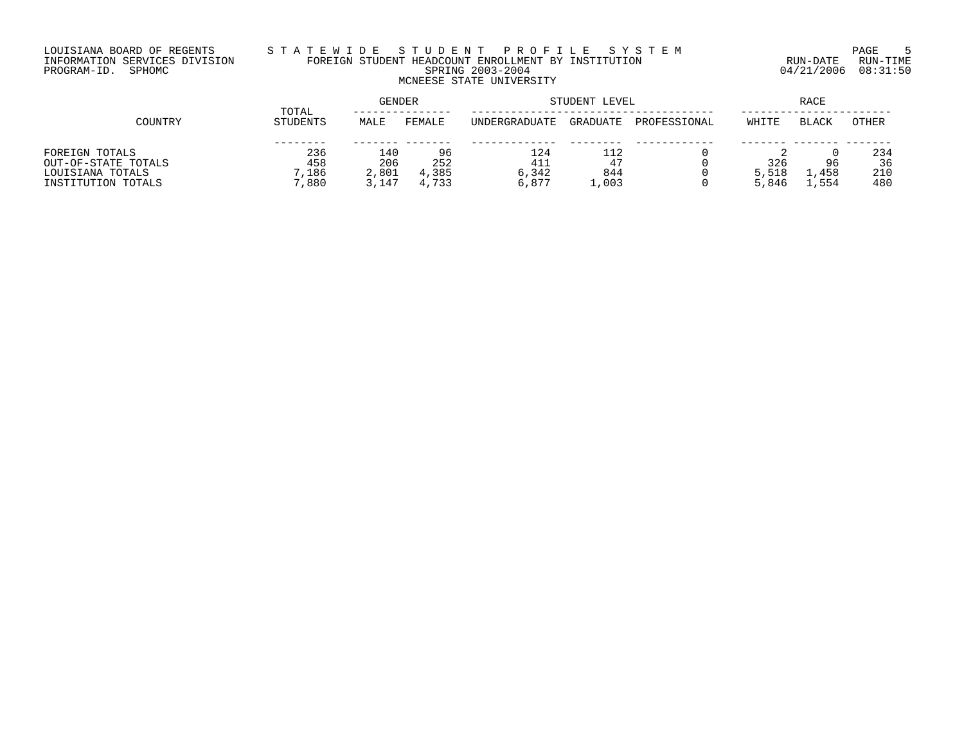# LOUISIANA BOARD OF REGENTS S T A T E W I D E S T U D E N T P R O F I L E S Y S T E M PAGE 5 INFORMATION SERVICES DIVISION FOREIGN STUDENT HEADCOUNT ENROLLMENT BY INSTITUTION RUN-DATE RUN-TIME PROGRAM-ID. SPHOMC SPRING 2003-2004 04/21/2006 08:31:50 MCNEESE STATE UNIVERSITY

|                     | TOTAL           | <b>GENDER</b> |        |               | STUDENT LEVEL | RACE         |       |               |       |
|---------------------|-----------------|---------------|--------|---------------|---------------|--------------|-------|---------------|-------|
| COUNTRY             | <b>STUDENTS</b> | MALE          | FEMALE | UNDERGRADUATE | GRADUATE      | PROFESSIONAL | WHITE | <b>BLACK</b>  | OTHER |
|                     |                 |               |        |               |               |              |       |               |       |
| FOREIGN TOTALS      | 236             | 140           | 96     | 124           | 112           |              |       |               | 234   |
| OUT-OF-STATE TOTALS | 458             | 206           | 252    | 411           | 47            |              | 326   | 96            | 36    |
| LOUISIANA TOTALS    | ,186            | 2,801         | 4,385  | 6,342         | 844           |              | 5,518 | 458           | 210   |
| INSTITUTION TOTALS  | 7,880           | 3,147         | 4,733  | 6,877         | $\pm$ ,003    |              | 5,846 | $\perp$ , 554 | 480   |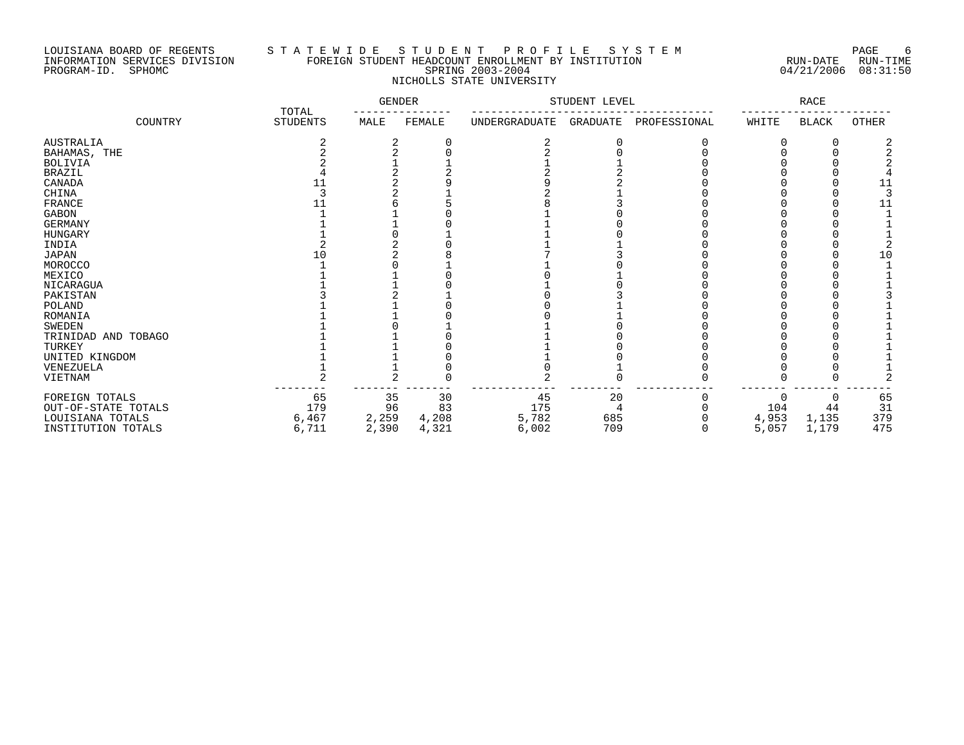### LOUISIANA BOARD OF REGENTS S T A T E W I D E S T U D E N T P R O F I L E S Y S T E M PAGE 6 INFORMATION SERVICES DIVISION FOREIGN STUDENT HEADCOUNT ENROLLMENT BY INSTITUTION RUN-DATE RUN-TIME PROGRAM-ID. SPHOMC SPRING 2003-2004 04/21/2006 08:31:50 NICHOLLS STATE UNIVERSITY

|                     |                          | <b>GENDER</b> |        |               | STUDENT LEVEL |              |       | <b>RACE</b>  |       |
|---------------------|--------------------------|---------------|--------|---------------|---------------|--------------|-------|--------------|-------|
| COUNTRY             | TOTAL<br><b>STUDENTS</b> | MALE          | FEMALE | UNDERGRADUATE | GRADUATE      | PROFESSIONAL | WHITE | <b>BLACK</b> | OTHER |
| <b>AUSTRALIA</b>    |                          | 2             |        |               |               |              |       | -0           |       |
| BAHAMAS, THE        |                          |               |        |               |               |              |       |              |       |
| <b>BOLIVIA</b>      |                          |               |        |               |               |              |       |              |       |
| <b>BRAZIL</b>       |                          |               |        |               |               |              |       |              |       |
| CANADA              | 11                       |               |        |               |               |              |       |              |       |
| CHINA               |                          |               |        |               |               |              |       |              |       |
| FRANCE              |                          |               |        |               |               |              |       |              |       |
| <b>GABON</b>        |                          |               |        |               |               |              |       |              |       |
| <b>GERMANY</b>      |                          |               |        |               |               |              |       |              |       |
| <b>HUNGARY</b>      |                          |               |        |               |               |              |       |              |       |
| INDIA               |                          |               |        |               |               |              |       |              |       |
| <b>JAPAN</b>        |                          |               |        |               |               |              |       |              |       |
| MOROCCO             |                          |               |        |               |               |              |       |              |       |
| MEXICO              |                          |               |        |               |               |              |       |              |       |
| NICARAGUA           |                          |               |        |               |               |              |       |              |       |
| PAKISTAN            |                          |               |        |               |               |              |       |              |       |
| POLAND              |                          |               |        |               |               |              |       |              |       |
| ROMANIA             |                          |               |        |               |               |              |       |              |       |
| <b>SWEDEN</b>       |                          |               |        |               |               |              |       |              |       |
| TRINIDAD AND TOBAGO |                          |               |        |               |               |              |       |              |       |
| TURKEY              |                          |               |        |               |               |              |       |              |       |
| UNITED KINGDOM      |                          |               |        |               |               |              |       |              |       |
| VENEZUELA           |                          |               |        |               |               |              |       |              |       |
| VIETNAM             |                          |               |        |               |               |              |       |              |       |
| FOREIGN TOTALS      | 65                       | 35            | 30     | 45            | 20            |              | 0     | 0            | 65    |
| OUT-OF-STATE TOTALS | 179                      | 96            | 83     | 175           |               |              | 104   | 44           | 31    |
| LOUISIANA TOTALS    | 6,467                    | 2,259         | 4,208  | 5,782         | 685           |              | 4,953 | 1,135        | 379   |
| INSTITUTION TOTALS  | 6,711                    | 2,390         | 4,321  | 6,002         | 709           | O            | 5,057 | 1,179        | 475   |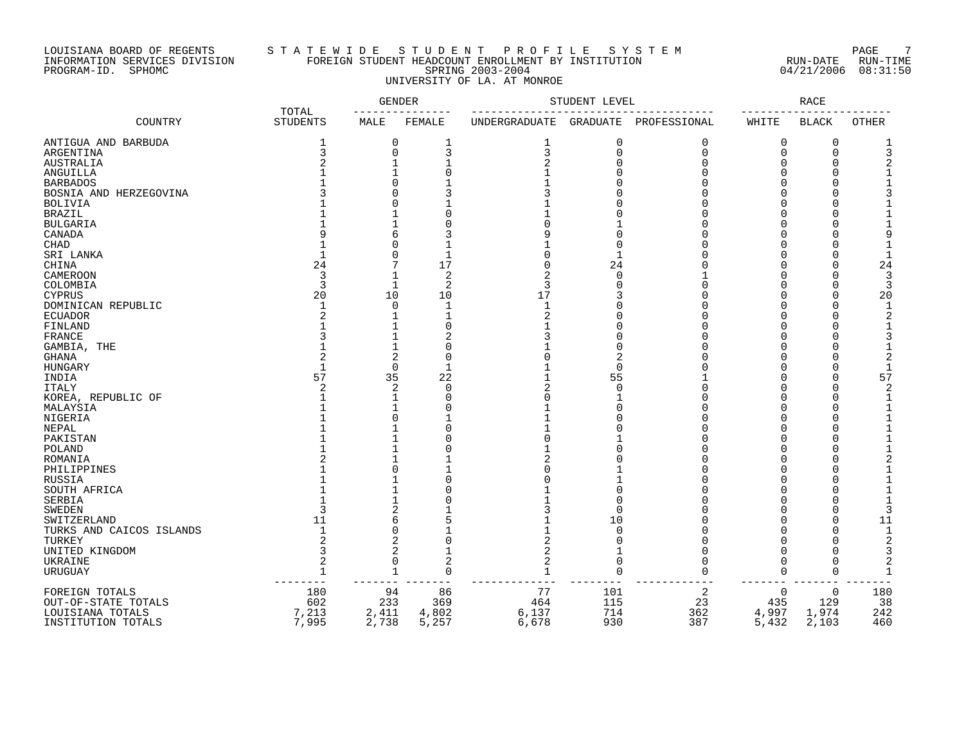### LOUISIANA BOARD OF REGENTS S T A T E W I D E S T U D E N T P R O F I L E S Y S T E M PAGE 7 INFORMATION SERVICES DIVISION FOREIGN STUDENT HEADCOUNT ENROLLMENT BY INSTITUTION RUN-DATE RUN-TIME PROGRAM-ID. SPHOMC SPRING 2003-2004 04/21/2006 08:31:50 UNIVERSITY OF LA. AT MONROE

|                          |                          |                | <b>GENDER</b>  |               | STUDENT LEVEL |                       |              | <b>RACE</b>        |              |
|--------------------------|--------------------------|----------------|----------------|---------------|---------------|-----------------------|--------------|--------------------|--------------|
| COUNTRY                  | TOTAL<br><b>STUDENTS</b> | MALE           | FEMALE         | UNDERGRADUATE |               | GRADUATE PROFESSIONAL | WHITE        | <b>BLACK</b>       | <b>OTHER</b> |
| ANTIGUA AND BARBUDA      | 1                        | 0              | 1              | 1             | 0             | 0                     | 0            | 0                  |              |
| ARGENTINA                | 3                        | 0              | 3              | 3             | $\mathbf 0$   | $\mathbf 0$           | $\mathbf 0$  | $\mathbf 0$        | 3            |
| AUSTRALIA                |                          |                |                |               | $\Omega$      | $\Omega$              | $\Omega$     | $\Omega$           |              |
| ANGUILLA                 |                          |                |                |               |               |                       | $\Omega$     | $\cap$             |              |
| <b>BARBADOS</b>          |                          | O              |                |               |               |                       |              |                    |              |
| BOSNIA AND HERZEGOVINA   |                          | U              |                |               |               |                       |              |                    |              |
| <b>BOLIVIA</b>           |                          | N              |                |               |               |                       |              |                    |              |
| <b>BRAZIL</b>            |                          |                |                |               |               |                       |              |                    |              |
| <b>BULGARIA</b>          |                          |                |                |               |               |                       |              |                    |              |
| CANADA                   |                          | 6              |                |               |               |                       |              |                    |              |
| CHAD                     |                          | O              |                |               |               |                       |              |                    |              |
| SRI LANKA                |                          | O              |                |               |               |                       |              |                    |              |
| CHINA                    | 24                       | 7              | 17             |               | 24            |                       |              |                    | 24           |
| CAMEROON                 | 3                        | 1              | $\overline{2}$ |               | $\Omega$      |                       |              |                    |              |
| COLOMBIA                 | 3                        | 1              | $\overline{2}$ | 3             |               |                       |              |                    | 3            |
| <b>CYPRUS</b>            | 20                       | 10             | 10             | 17            |               |                       |              |                    | 20           |
| DOMINICAN REPUBLIC       |                          | $\Omega$       | $\mathbf{1}$   | $\mathbf{1}$  |               |                       |              |                    |              |
| <b>ECUADOR</b>           |                          | 1              | $\mathbf{1}$   |               |               |                       |              |                    |              |
| FINLAND                  |                          | 1              | C              |               |               |                       | ∩            |                    |              |
| FRANCE                   |                          | $\mathbf{1}$   | 2              |               |               |                       |              |                    |              |
| GAMBIA, THE              |                          | $\mathbf{1}$   | $\Omega$       |               |               |                       |              |                    |              |
| <b>GHANA</b>             |                          | 2              | C              |               | 2             |                       |              |                    |              |
| HUNGARY                  |                          | $\Omega$       | $\mathbf{1}$   |               | $\Omega$      |                       |              | $\Omega$           |              |
|                          | 57                       | 35             | 22             |               | 55            |                       |              | $\Omega$           | 57           |
| INDIA                    |                          |                |                |               |               |                       |              |                    |              |
| <b>ITALY</b>             | $\overline{c}$           | 2              | 0              |               | $\Omega$      |                       |              | $\Omega$<br>$\cap$ |              |
| KOREA, REPUBLIC OF       |                          | 1              | C              |               |               |                       | $\Omega$     | $\Omega$           |              |
| MALAYSIA                 |                          | $\mathbf{1}$   | C              |               |               |                       | $\Omega$     |                    |              |
| NIGERIA                  |                          | $\Omega$       |                |               |               |                       | <sup>0</sup> | $\cap$             |              |
| NEPAL                    |                          |                | $\bigcap$      |               |               |                       | $\Omega$     |                    |              |
| PAKISTAN                 |                          |                |                |               |               |                       |              |                    |              |
| POLAND                   |                          |                |                |               |               |                       |              | $\cap$             |              |
| ROMANIA                  |                          |                |                |               |               |                       |              |                    |              |
| PHILIPPINES              |                          | O              |                |               |               |                       |              |                    |              |
| RUSSIA                   |                          |                |                |               |               |                       |              |                    |              |
| SOUTH AFRICA             |                          |                |                |               |               |                       |              |                    |              |
| SERBIA                   |                          |                |                |               | $\sqrt{ }$    |                       |              |                    |              |
| <b>SWEDEN</b>            |                          | $\overline{2}$ |                |               | $\Omega$      |                       |              |                    |              |
| SWITZERLAND              | 11                       | б              |                |               | 10            |                       |              |                    | 11           |
| TURKS AND CAICOS ISLANDS | $\mathbf{1}$             | O              |                |               | $\Omega$      |                       |              |                    | $\mathbf{1}$ |
| TURKEY                   |                          | 2              |                |               |               |                       |              |                    | 2            |
| UNITED KINGDOM           | 3                        | 2              |                | 2             |               |                       |              |                    |              |
| UKRAINE                  | $\overline{2}$           | 0              | $\overline{2}$ |               | 0             |                       | $\cap$       |                    |              |
| URUGUAY                  | $\mathbf{1}$             | 1              | $\mathbf 0$    | $\mathbf{1}$  | $\mathbf 0$   | $\Omega$              | $\Omega$     | $\Omega$           | $\mathbf{1}$ |
| FOREIGN TOTALS           | 180                      | 94             | 86             | 77            | 101           | $\overline{a}$        | 0            | $\mathbf 0$        | 180          |
| OUT-OF-STATE TOTALS      | 602                      | 233            | 369            | 464           | 115           | 23                    | 435          | 129                | 38           |
| LOUISIANA TOTALS         | 7,213                    | 2,411          | 4,802          | 6,137         | 714           | 362                   | 4,997        | 1,974              | 242          |
| INSTITUTION TOTALS       | 7,995                    | 2,738          | 5,257          | 6,678         | 930           | 387                   | 5,432        | 2,103              | 460          |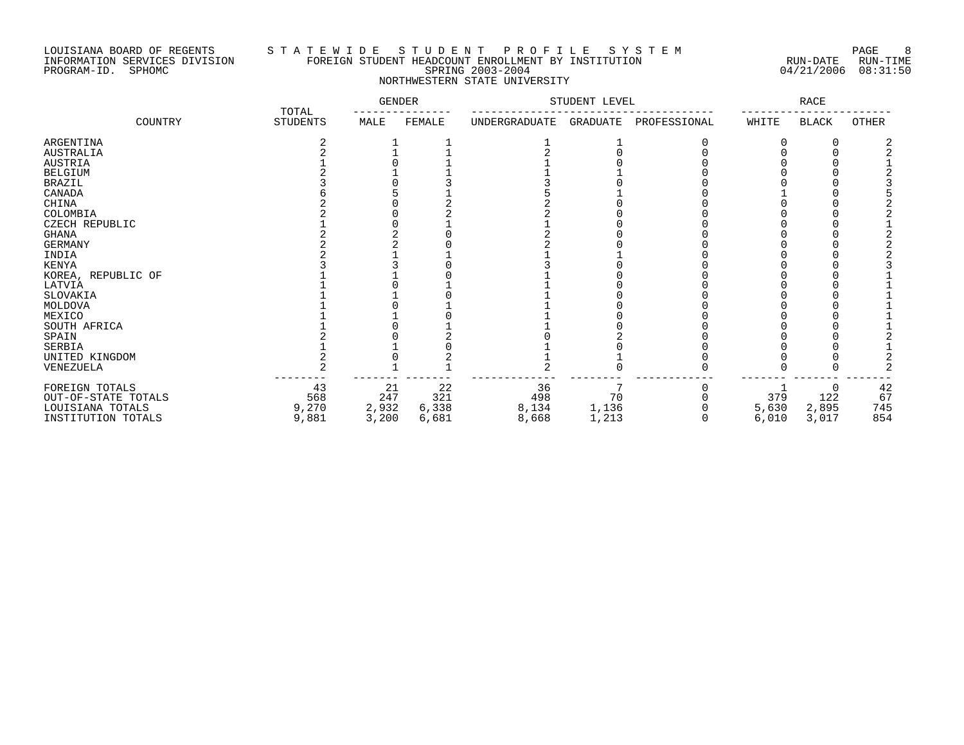### LOUISIANA BOARD OF REGENTS S T A T E W I D E S T U D E N T P R O F I L E S Y S T E M PAGE 8 INFORMATION SERVICES DIVISION FOREIGN STUDENT HEADCOUNT ENROLLMENT BY INSTITUTION RUN-DATE RUN-TIME PROGRAM-ID. SPHOMC SPRING 2003-2004 04/21/2006 08:31:50 NORTHWESTERN STATE UNIVERSITY

|                     |                          |       | <b>GENDER</b> | STUDENT LEVEL |          |              | $\texttt{RACE}$ |              |       |  |
|---------------------|--------------------------|-------|---------------|---------------|----------|--------------|-----------------|--------------|-------|--|
| COUNTRY             | TOTAL<br><b>STUDENTS</b> | MALE  | FEMALE        | UNDERGRADUATE | GRADUATE | PROFESSIONAL | WHITE           | <b>BLACK</b> | OTHER |  |
| ARGENTINA           |                          |       |               |               |          |              |                 |              |       |  |
| <b>AUSTRALIA</b>    |                          |       |               |               |          |              |                 |              |       |  |
| <b>AUSTRIA</b>      |                          |       |               |               |          |              |                 |              |       |  |
| BELGIUM             |                          |       |               |               |          |              |                 |              |       |  |
| <b>BRAZIL</b>       |                          |       |               |               |          |              |                 |              |       |  |
| CANADA              |                          |       |               |               |          |              |                 |              |       |  |
| CHINA               |                          |       |               |               |          |              |                 |              |       |  |
| COLOMBIA            |                          |       |               |               |          |              |                 |              |       |  |
| CZECH REPUBLIC      |                          |       |               |               |          |              |                 |              |       |  |
| GHANA               |                          |       |               |               |          |              |                 |              |       |  |
| GERMANY             |                          |       |               |               |          |              |                 |              |       |  |
| INDIA               |                          |       |               |               |          |              |                 |              |       |  |
| KENYA               |                          |       |               |               |          |              |                 |              |       |  |
| KOREA, REPUBLIC OF  |                          |       |               |               |          |              |                 |              |       |  |
| LATVIA              |                          |       |               |               |          |              |                 |              |       |  |
| SLOVAKIA            |                          |       |               |               |          |              |                 |              |       |  |
| MOLDOVA             |                          |       |               |               |          |              |                 |              |       |  |
| MEXICO              |                          |       |               |               |          |              |                 |              |       |  |
| SOUTH AFRICA        |                          |       |               |               |          |              |                 |              |       |  |
| SPAIN               |                          |       |               |               |          |              |                 |              |       |  |
| SERBIA              |                          |       |               |               |          |              |                 |              |       |  |
| UNITED KINGDOM      |                          |       |               |               |          |              |                 |              |       |  |
| VENEZUELA           |                          |       |               |               |          |              |                 |              |       |  |
| FOREIGN TOTALS      | 43                       | 21    | 22            | 36            |          |              |                 |              | 42    |  |
| OUT-OF-STATE TOTALS | 568                      | 247   | 321           | 498           | 70       |              | 379             | 122          | 67    |  |
| LOUISIANA TOTALS    | 9,270                    | 2,932 | 6,338         | 8,134         | 1,136    |              | 5,630           | 2,895        | 745   |  |
| INSTITUTION TOTALS  | 9,881                    | 3,200 | 6,681         | 8,668         | 1,213    |              | 6,010           | 3,017        | 854   |  |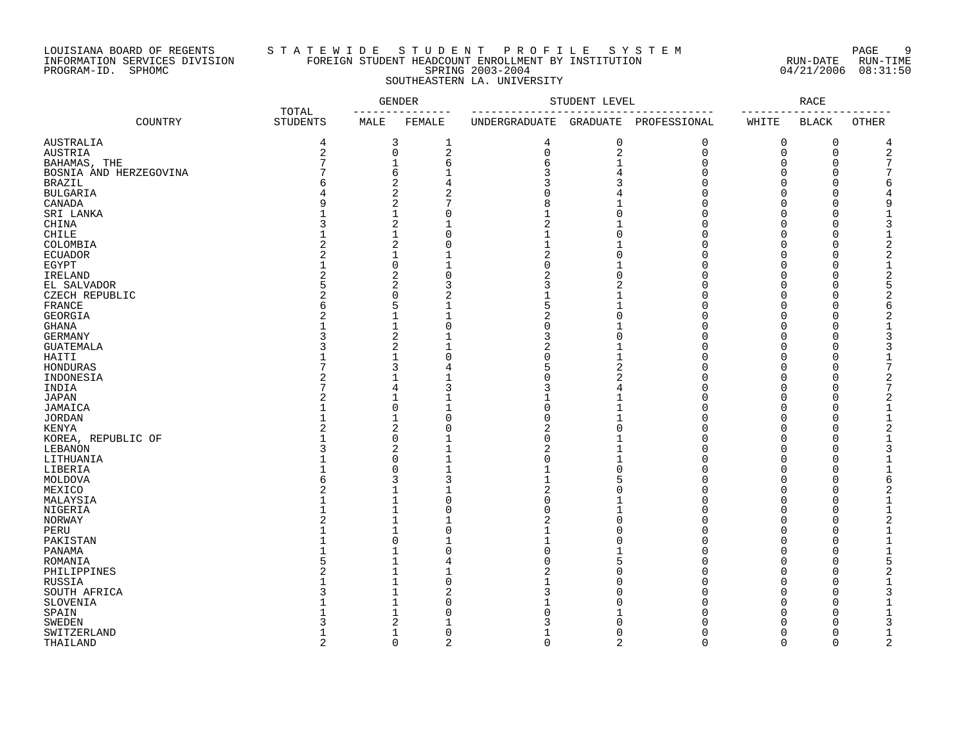### LOUISIANA BOARD OF REGENTS S T A T E W I D E S T U D E N T P R O F I L E S Y S T E M PAGE 9 INFORMATION SERVICES DIVISION FOREIGN STUDENT HEADCOUNT ENROLLMENT BY INSTITUTION RUN-DATE RUN-TIME PROGRAM-ID. SPHOMC SPRING 2003-2004 04/21/2006 08:31:50 SOUTHEASTERN LA. UNIVERSITY

|                        |                          |                | <b>GENDER</b> |               | STUDENT LEVEL |              |          | <b>RACE</b>  |                |
|------------------------|--------------------------|----------------|---------------|---------------|---------------|--------------|----------|--------------|----------------|
| COUNTRY                | TOTAL<br><b>STUDENTS</b> | MALE           | FEMALE        | UNDERGRADUATE | GRADUATE      | PROFESSIONAL | WHITE    | <b>BLACK</b> | OTHER          |
| <b>AUSTRALIA</b>       | 4                        | 3              | 1             | 4             | 0             | $\mathbf 0$  | 0        | $\mathbf 0$  | 4              |
| <b>AUSTRIA</b>         | $\overline{2}$           | 0              | $\sqrt{2}$    | $\mathbf 0$   | 2             | $\Omega$     | $\Omega$ | $\Omega$     | $\overline{2}$ |
| BAHAMAS, THE           | 7                        | $\mathbf{1}$   | 6             | 6             | $\mathbf{1}$  | $\Omega$     | 0        | $\Omega$     |                |
| BOSNIA AND HERZEGOVINA |                          | 6              |               | 3             |               | U            | O        | O            |                |
| <b>BRAZIL</b>          | 6                        | $\overline{c}$ | 4             | 3             |               |              | O        | $\Omega$     | 6              |
| <b>BULGARIA</b>        |                          | $\overline{a}$ | 2             |               |               |              | O        | O            |                |
| CANADA                 |                          | 2              |               | 8             |               |              |          | ∩            | 9              |
| SRI LANKA              |                          | $\mathbf{1}$   | $\Omega$      |               | $\Omega$      |              | U        | $\Omega$     | 1              |
| CHINA                  | κ                        | 2              |               | 2             |               |              | ∩        | ∩            | 3              |
| CHILE                  |                          | $\mathbf 1$    | $\Omega$      | $\mathbf{1}$  | $\Omega$      |              | O        | $\Omega$     | $\mathbf{1}$   |
| COLOMBIA               | 2                        | 2              | $\Omega$      |               |               |              | U        | O            | 2              |
| <b>ECUADOR</b>         | 2                        | $\mathbf{1}$   |               | 2             |               |              |          | $\Omega$     | 2              |
|                        |                          | 0              |               | O             | 1             |              | O        | $\Omega$     | 1              |
| EGYPT<br>IRELAND       |                          | 2              | $\Omega$      | 2             | $\Omega$      |              |          | ∩            | 2              |
|                        |                          | $\overline{2}$ | 3             |               |               |              |          |              |                |
| EL SALVADOR            |                          |                |               | 3             |               |              |          | $\Omega$     |                |
| CZECH REPUBLIC         | 2                        | $\Omega$       |               |               |               |              |          | ∩            |                |
| FRANCE                 | 6                        | 5              |               | 5             |               |              |          | O            | б              |
| GEORGIA                |                          | $\mathbf{1}$   |               | 2             | U             |              |          | O            |                |
| GHANA                  |                          | $\mathbf{1}$   | $\Omega$      | O             |               |              | U        | $\Omega$     | 1              |
| GERMANY                |                          | 2              |               | 3             |               |              |          | $\Omega$     | 3              |
| <b>GUATEMALA</b>       |                          | 2              |               | 2             |               |              | U        | $\Omega$     | 3              |
| HAITI                  |                          | 1              | $\Omega$      | U             |               |              | U        | $\Omega$     | 1              |
| HONDURAS               |                          | 3              | 4             | 5             | 2             |              | O        | ∩            | 7              |
| INDONESIA              |                          | 1              |               |               | 2             |              | N        | 0            | 2              |
| INDIA                  |                          | 4              |               |               |               |              | O        | $\Omega$     | 7              |
| <b>JAPAN</b>           | 2                        | $\mathbf{1}$   |               |               |               |              | O        | $\Omega$     |                |
| JAMAICA                |                          | $\Omega$       |               | O             | $\mathbf{1}$  |              | O        | ∩            | 1              |
| <b>JORDAN</b>          |                          | $\mathbf{1}$   | $\Omega$      | U             | $\mathbf{1}$  |              | O        | ∩            | 1              |
| KENYA                  | 2                        | 2              | $\Omega$      | 2             | $\Omega$      | U            | $\Omega$ | $\Omega$     | 2              |
| KOREA, REPUBLIC OF     |                          | 0              |               | O             |               |              | O        | $\Omega$     | 1              |
| LEBANON                | 3                        | 2              |               | 2             | 1             | U            | O        | $\Omega$     |                |
| LITHUANIA              |                          | $\Omega$       |               | U             | 1             |              | O        | O            | 1              |
| LIBERIA                |                          | 0              |               |               | $\Omega$      | U            | O        | $\Omega$     | 1              |
| MOLDOVA                |                          | 3              | 3             |               |               | U            | $\Omega$ | ∩            | 6              |
| MEXICO                 | 2                        | 1              |               | 2             |               |              | O        | $\Omega$     | 2              |
| MALAYSIA               |                          | $\mathbf{1}$   | $\Omega$      | O             | $\mathbf{1}$  | U            | $\Omega$ | $\Omega$     | $\mathbf{1}$   |
| NIGERIA                |                          | 1              | $\Omega$      | U             | $\mathbf{1}$  | U            | O        | $\Omega$     | 1              |
| NORWAY                 |                          | $\mathbf{1}$   |               | 2             | $\Omega$      |              | 0        | $\Omega$     | 2              |
| PERU                   |                          | $\mathbf{1}$   | $\Omega$      |               |               | U            | O        | $\Omega$     | 1              |
| PAKISTAN               |                          | $\Omega$       |               |               |               |              | U        | $\Omega$     | 1              |
| PANAMA                 |                          | 1              | $\Omega$      |               |               |              | U        | ∩            |                |
| ROMANIA                |                          | 1              | 4             |               | 5             |              | U        | $\Omega$     |                |
|                        |                          | $\mathbf{1}$   |               |               |               |              | O        | ∩            | 2              |
| PHILIPPINES            |                          | 1              | 0             |               |               |              | O        | $\Omega$     | 1              |
| RUSSIA                 |                          |                |               |               |               |              |          |              |                |
| SOUTH AFRICA           |                          | 1              | 2             |               |               |              |          | O            | 3              |
| SLOVENIA               |                          | 1              | $\sqrt{ }$    |               |               |              | O        | ∩            |                |
| SPAIN                  |                          | 1              | ſ             |               |               |              | U        | ∩            |                |
| <b>SWEDEN</b>          |                          | 2              |               |               |               |              |          |              |                |
| SWITZERLAND            |                          | $\mathbf{1}$   | $\Omega$      |               | O             |              | $\Omega$ | ∩            | 1              |
| THATI, AND             |                          | $\Omega$       | C             | U             | ∩             | ∩            | $\cap$   | ∩            | 2              |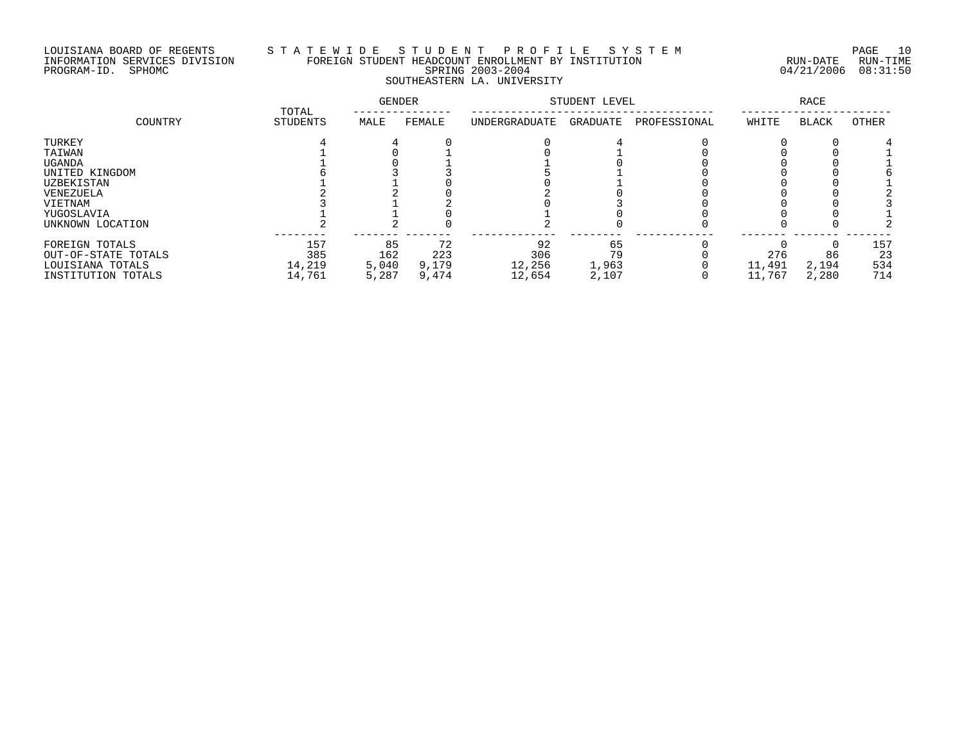### LOUISIANA BOARD OF REGENTS S T A T E W I D E S T U D E N T P R O F I L E S Y S T E M PAGE 10 INFORMATION SERVICES DIVISION FOREIGN STUDENT HEADCOUNT ENROLLMENT BY INSTITUTION RUN-DATE RUN-TIME PROGRAM-ID. SPHOMC SPRING 2003-2004 04/21/2006 08:31:50 SOUTHEASTERN LA. UNIVERSITY

|                     | TOTAL           | GENDER |        | STUDENT LEVEL |          | RACE         |        |              |       |
|---------------------|-----------------|--------|--------|---------------|----------|--------------|--------|--------------|-------|
| COUNTRY             | <b>STUDENTS</b> | MALE   | FEMALE | UNDERGRADUATE | GRADUATE | PROFESSIONAL | WHITE  | <b>BLACK</b> | OTHER |
| TURKEY              |                 |        |        |               |          |              |        |              |       |
| TAIWAN              |                 |        |        |               |          |              |        |              |       |
| UGANDA              |                 |        |        |               |          |              |        |              |       |
| UNITED KINGDOM      |                 |        |        |               |          |              |        |              |       |
| <b>UZBEKISTAN</b>   |                 |        |        |               |          |              |        |              |       |
| VENEZUELA           |                 |        |        |               |          |              |        |              |       |
| VIETNAM             |                 |        |        |               |          |              |        |              |       |
| YUGOSLAVIA          |                 |        |        |               |          |              |        |              |       |
| UNKNOWN LOCATION    |                 |        |        |               |          |              |        |              |       |
| FOREIGN TOTALS      | 157             | 85     | 72     | 92            | 65       |              |        |              | 157   |
| OUT-OF-STATE TOTALS | 385             | 162    | 223    | 306           | 79       |              | 276    | 86           | 23    |
| LOUISIANA TOTALS    | 14,219          | 5,040  | 9,179  | 12,256        | 1,963    |              | 11,491 | 2,194        | 534   |
| INSTITUTION TOTALS  | 14,761          | 5,287  | 9,474  | 12,654        | 2,107    |              | 11,767 | 2,280        | 714   |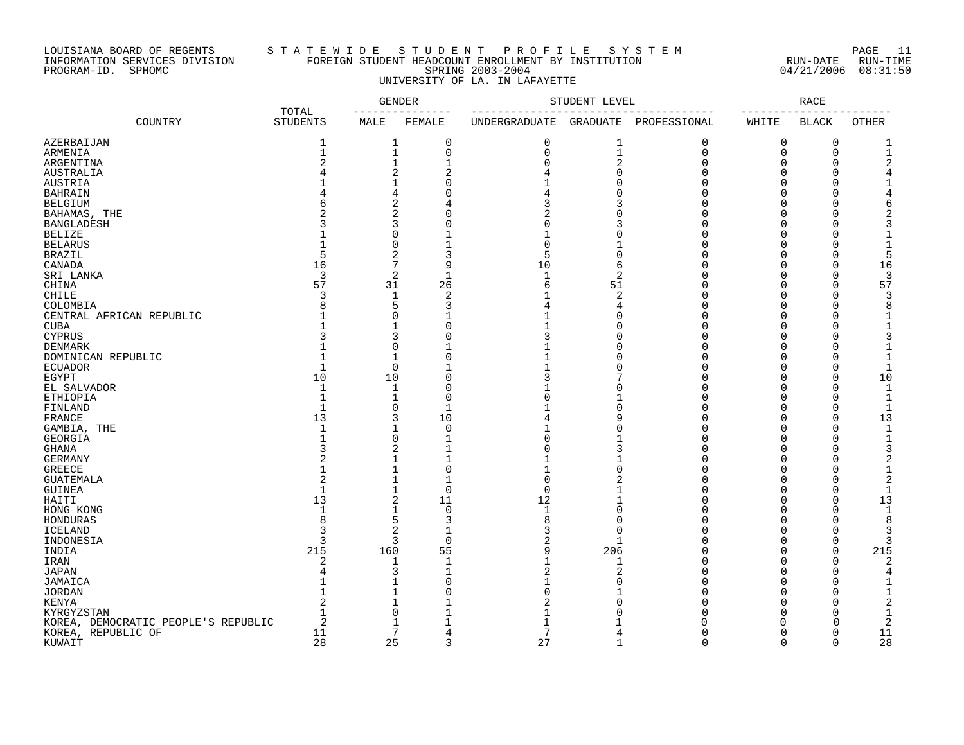### LOUISIANA BOARD OF REGENTS S T A T E W I D E S T U D E N T P R O F I L E S Y S T E M PAGE 11 INFORMATION SERVICES DIVISION FOREIGN STUDENT HEADCOUNT ENROLLMENT BY INSTITUTION RUN-DATE RUN-TIME PROGRAM-ID. SPHOMC SPRING 2003-2004 04/21/2006 08:31:50 UNIVERSITY OF LA. IN LAFAYETTE

|                                     |                              |                | <b>GENDER</b>               |               | STUDENT LEVEL  |                       |                      | <b>RACE</b>          |              |
|-------------------------------------|------------------------------|----------------|-----------------------------|---------------|----------------|-----------------------|----------------------|----------------------|--------------|
| COUNTRY                             | TOTAL<br><b>STUDENTS</b>     | MALE           | FEMALE                      | UNDERGRADUATE |                | GRADUATE PROFESSIONAL | WHITE                | <b>BLACK</b>         | <b>OTHER</b> |
| AZERBAIJAN                          | 1                            | 1              | 0                           | 0             | 1              | $\mathbf 0$           | 0                    | 0                    |              |
| ARMENIA                             | $\mathbf{1}$                 | $\mathbf 1$    | 0                           | 0             | $\mathbf{1}$   | $\mathbf 0$           | 0                    | 0                    | 1            |
| ARGENTINA                           | $\overline{2}$               | $\mathbf{1}$   | 1                           | ∩             | $\sqrt{2}$     | $\Omega$              | $\Omega$             | $\Omega$             |              |
| AUSTRALIA                           |                              | 2              | $\overline{2}$              |               | $\Omega$       | $\cap$                | $\Omega$             | $\cap$               |              |
| <b>AUSTRIA</b>                      |                              | $\mathbf{1}$   | $\cap$                      |               |                | U                     | $\Omega$             | $\Omega$             |              |
| <b>BAHRAIN</b>                      |                              | 4              |                             |               |                |                       | $\Omega$             | ∩                    |              |
| <b>BELGIUM</b>                      |                              | 2              |                             |               |                |                       | $\Omega$             |                      |              |
| BAHAMAS, THE                        |                              | 2              |                             |               | ſ              |                       |                      |                      |              |
| <b>BANGLADESH</b>                   |                              | 3              |                             |               |                |                       | $\cap$               |                      |              |
| <b>BELIZE</b>                       |                              | 0              |                             |               |                |                       | $\Omega$             |                      |              |
| <b>BELARUS</b>                      |                              | $\Omega$       |                             |               |                |                       |                      |                      |              |
| <b>BRAZIL</b>                       | .5                           | $\overline{2}$ | 3                           | 5             | $\Omega$       |                       |                      | ∩                    | 5            |
| CANADA                              | 16                           | 7              | 9                           | 10            | 6              |                       | $\cap$               | $\Omega$             | 16           |
| SRI LANKA                           | 3                            | 2              | $\overline{1}$              | $\mathbf{1}$  | $\overline{c}$ | U                     | $\Omega$             | $\Omega$             |              |
| CHINA                               | 57                           | 31             | 26                          | 6             | 51             |                       | $\Omega$             | $\Omega$             | 57           |
| CHILE                               | 3                            | 1              | $\overline{2}$              |               | $\overline{2}$ | U                     | $\Omega$             | $\Omega$             |              |
| COLOMBIA                            |                              | 5              | 3                           |               | 4              | $\cap$                | $\cap$               | $\cap$               |              |
| CENTRAL AFRICAN REPUBLIC            |                              | $\Omega$       | $\mathbf{1}$                |               | $\Omega$       | U                     | $\Omega$             | $\Omega$             |              |
| <b>CUBA</b>                         |                              | 1              | $\mathbf 0$                 |               | C              | $\Omega$              | $\Omega$             | $\Omega$             |              |
| <b>CYPRUS</b>                       |                              | 3              | O                           |               | ſ              | U                     | $\Omega$             |                      |              |
| DENMARK                             |                              | 0              |                             |               | $\cap$         | $\cap$                | $\cap$               | $\cap$               |              |
| DOMINICAN REPUBLIC                  |                              | $\mathbf{1}$   | C                           |               | $\cap$         | U                     | $\Omega$             | $\cap$               |              |
| <b>ECUADOR</b>                      | $\mathbf{1}$                 | 0              |                             |               | ſ              | U                     | $\Omega$             | $\Omega$             |              |
|                                     | 10                           | 10             | $\mathbf 0$                 |               |                | U                     | $\Omega$             | $\Omega$             | 10           |
| $_{\tt EGYPT}$                      |                              |                |                             |               | ſ              | U                     |                      |                      |              |
| EL SALVADOR                         | $\mathbf{1}$<br>$\mathbf{1}$ | 1              | C                           |               |                |                       | $\Omega$<br>$\Omega$ | $\Omega$<br>$\Omega$ |              |
| ETHIOPIA                            | $\mathbf{1}$                 | 1              | $\mathbf 0$<br>$\mathbf{1}$ |               |                | n<br>U                |                      | $\Omega$             | 1            |
| FINLAND                             |                              | 0              |                             |               | $\Omega$       |                       | $\Omega$             |                      |              |
| FRANCE                              | 13                           | 3              | 10                          |               | 9              |                       | $\Omega$             | $\Omega$             | 13           |
| GAMBIA, THE                         | $\mathbf{1}$                 | 1              | $\mathbf 0$                 |               | ſ              | U                     | $\Omega$             | $\Omega$             |              |
| GEORGIA                             |                              | 0              |                             |               |                |                       | ∩                    | ∩                    |              |
| $\operatorname{GHANA}$              |                              | 2              |                             |               |                |                       | $\cap$               |                      |              |
| GERMANY                             |                              | 1              |                             |               |                |                       | $\cap$               | ∩                    |              |
| <b>GREECE</b>                       |                              | 1              | O                           |               | C              |                       |                      |                      |              |
| <b>GUATEMALA</b>                    | $\overline{2}$               | $\mathbf{1}$   |                             |               |                |                       | ∩                    |                      |              |
| GUINEA                              | $\mathbf{1}$                 | 1              | $\Omega$                    | ∩             |                |                       | $\cap$               | $\cap$               |              |
| HAITI                               | 13                           | $\overline{2}$ | 11                          | 12            |                |                       | $\Omega$             | $\Omega$             | 13           |
| HONG KONG                           | $\mathbf{1}$                 | 1              | $\mathbf 0$                 | $\mathbf{1}$  | $\overline{0}$ |                       | $\Omega$             | $\Omega$             | -1           |
| HONDURAS                            | 8                            | 5              | 3                           | 8             | $\Omega$       |                       | $\Omega$             | $\cap$               | 8            |
| <b>ICELAND</b>                      | 3                            | 2              | 1                           | 3             | $\Omega$       | U                     | $\cap$               | $\cap$               |              |
| INDONESIA                           | 3                            | 3              | $\Omega$                    | 2             | $\mathbf{1}$   | U                     | $\cap$               | $\Omega$             |              |
| INDIA                               | 215                          | 160            | 55                          | 9             | 206            | U                     | $\Omega$             | $\Omega$             | 215          |
| IRAN                                | $\overline{2}$               | 1              | 1                           |               | 1              | U                     | $\Omega$             | 0                    | 2            |
| <b>JAPAN</b>                        |                              | 3              |                             |               | 2              | $\cap$                | $\Omega$             | $\cap$               |              |
| JAMAICA                             |                              | $\mathbf{1}$   | C                           |               | U              | U                     | $\Omega$             | $\cap$               |              |
| <b>JORDAN</b>                       |                              | 1              | C                           |               |                | U                     | $\Omega$             | $\cap$               |              |
| KENYA                               |                              | 1              |                             |               |                |                       | $\Omega$             | $\Omega$             |              |
| KYRGYZSTAN                          |                              | 0              |                             |               |                |                       | <sup>0</sup>         | O                    |              |
| KOREA, DEMOCRATIC PEOPLE'S REPUBLIC | 2                            | 1              |                             |               |                |                       | O                    | $\Omega$             | 2            |
| KOREA, REPUBLIC OF                  | 11                           | 7              | 4                           | 7             | 4              | U                     | $\Omega$             | $\Omega$             | 11           |
| KUWAIT                              | 28                           | 25             | 3                           | 27            | $\mathbf{1}$   | $\Omega$              | $\Omega$             | $\Omega$             | 28           |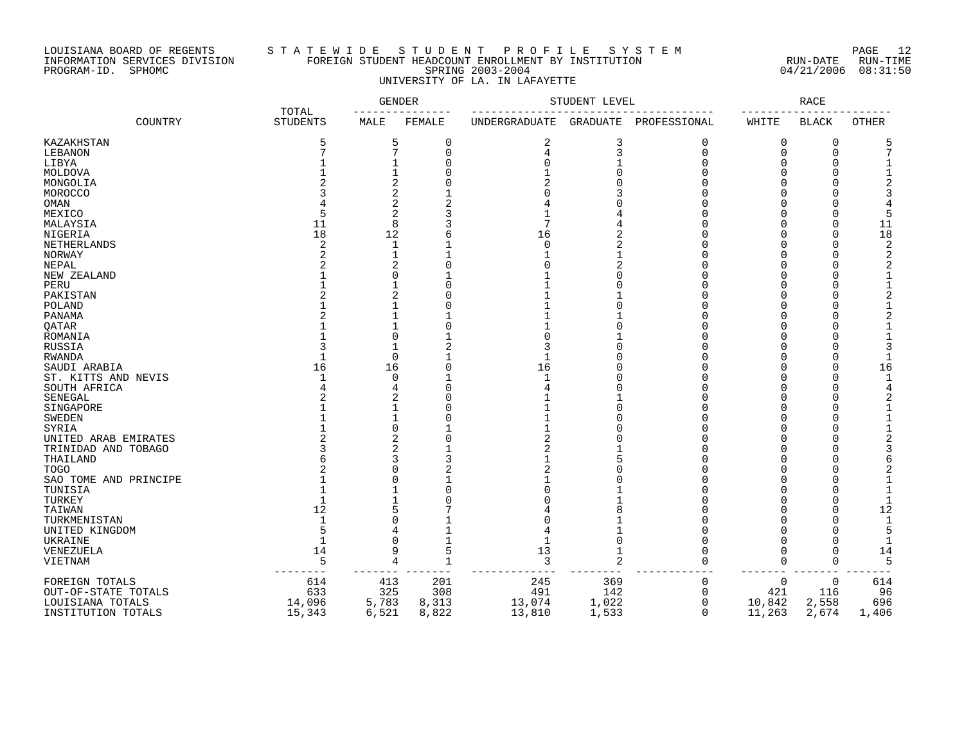### LOUISIANA BOARD OF REGENTS S T A T E W I D E S T U D E N T P R O F I L E S Y S T E M PAGE 12 INFORMATION SERVICES DIVISION FOREIGN STUDENT HEADCOUNT ENROLLMENT BY INSTITUTION RUN-DATE RUN-TIME PROGRAM-ID. SPHOMC SPRING 2003-2004 04/21/2006 08:31:50 UNIVERSITY OF LA. IN LAFAYETTE

|                       | TOTAL           |          | GENDER       |                      | STUDENT LEVEL   |              |        | RACE         |                |
|-----------------------|-----------------|----------|--------------|----------------------|-----------------|--------------|--------|--------------|----------------|
| COUNTRY               | <b>STUDENTS</b> | MALE     | FEMALE       | <b>UNDERGRADUATE</b> | <b>GRADUATE</b> | PROFESSIONAL | WHITE  | <b>BLACK</b> | <b>OTHER</b>   |
| KAZAKHSTAN            | 5               | 5        | 0            | 2                    | 3               | $\Omega$     | 0      | 0            | 5              |
| LEBANON               | 7               | 7        | $\mathbf 0$  |                      | 3               | $\Omega$     | 0      | $\mathbf 0$  | 7              |
| LIBYA                 |                 |          | 0            |                      |                 | ∩            | O      | O            |                |
| MOLDOVA               |                 |          |              |                      |                 | ∩            | O      | O            |                |
| MONGOLIA              |                 |          |              |                      |                 |              | U      | O            |                |
| MOROCCO               |                 |          |              |                      |                 |              |        |              |                |
| OMAN                  |                 | 2        |              |                      |                 |              |        |              |                |
| MEXICO                |                 | 2        |              |                      |                 |              |        |              | 5              |
| MALAYSIA              | 11              | 8        |              |                      |                 |              |        | $\Omega$     | 11             |
| NIGERIA               | 18              | 12       |              | 16                   | 2               |              |        | $\Omega$     | 18             |
| NETHERLANDS           | 2               |          |              | $\Omega$             | 2               |              |        | $\Omega$     | $\overline{2}$ |
| NORWAY                |                 |          |              |                      |                 |              |        |              | 2              |
| NEPAL                 |                 | 2        |              |                      | 2               |              |        |              | 2              |
| NEW ZEALAND           |                 |          |              |                      | ∩               |              |        | U            |                |
|                       |                 |          | $\Omega$     |                      |                 |              |        | $\Omega$     | $\mathbf{1}$   |
| PERU<br>PAKISTAN      |                 | 2        | $\Omega$     |                      |                 |              | U      | $\Omega$     | $\overline{2}$ |
|                       |                 |          | O            |                      |                 |              | O      | $\Omega$     | $\mathbf{1}$   |
| POLAND                |                 |          |              |                      |                 |              |        |              |                |
| PANAMA                |                 |          |              |                      |                 | ∩            | U      | $\Omega$     |                |
| <b>QATAR</b>          |                 |          | $\Omega$     |                      | ∩               | ∩            | O      | $\Omega$     |                |
| ROMANIA               |                 |          |              |                      |                 | ∩            | ∩      | $\Omega$     |                |
| RUSSIA                |                 |          |              |                      |                 | ∩            | O      | 0            | 3              |
| RWANDA                |                 | $\Omega$ |              |                      |                 | ∩            | O      | 0            |                |
| SAUDI ARABIA          | 16              | 16       | $\Omega$     | 16                   |                 | $\Omega$     | 0      | $\Omega$     | 16             |
| ST. KITTS AND NEVIS   | $\mathbf{1}$    | ∩        |              |                      |                 | ∩            | O      | $\Omega$     | -1             |
| SOUTH AFRICA          |                 |          | $\Omega$     |                      |                 |              | U      | $\Omega$     | 4              |
| SENEGAL               |                 |          | O            |                      |                 | ∩            | U      | $\Omega$     |                |
| SINGAPORE             |                 |          |              |                      |                 |              |        | ∩            |                |
| <b>SWEDEN</b>         |                 |          |              |                      |                 |              |        |              |                |
| SYRIA                 |                 |          |              |                      |                 |              |        |              |                |
| UNITED ARAB EMIRATES  |                 |          |              |                      |                 |              |        |              |                |
| TRINIDAD AND TOBAGO   |                 |          |              |                      |                 |              |        |              |                |
| THAILAND              |                 |          |              |                      |                 |              |        |              | 6              |
| <b>TOGO</b>           |                 |          |              |                      |                 |              |        |              |                |
| SAO TOME AND PRINCIPE |                 |          |              |                      |                 |              |        |              |                |
| TUNISIA               |                 |          | O            |                      |                 |              |        | U            | $\mathbf 1$    |
| TURKEY                |                 |          |              |                      |                 |              |        | O            | $\mathbf 1$    |
| TAIWAN                | 12              |          |              |                      |                 |              | O      | O            | 12             |
| TURKMENISTAN          | $\mathbf{1}$    |          |              |                      |                 |              |        | O            | $\mathbf{1}$   |
| UNITED KINGDOM        |                 |          |              |                      |                 |              |        | U            | 5              |
| UKRAINE               |                 |          |              |                      | $\Omega$        |              |        | $\Omega$     |                |
| <b>VENEZUELA</b>      | 14              |          | 5            | 13                   |                 | $\Omega$     | O      | $\Omega$     | 14             |
| VIETNAM               | 5               | 4        | $\mathbf{1}$ | 3                    | $\overline{2}$  | $\Omega$     | 0      | $\Omega$     | 5              |
|                       |                 |          |              |                      |                 |              |        |              |                |
| FOREIGN TOTALS        | 614             | 413      | 201          | 245                  | 369             | 0            | 0      | $\mathbf 0$  | 614            |
| OUT-OF-STATE TOTALS   | 633             | 325      | 308          | 491                  | 142             | 0            | 421    | 116          | 96             |
| LOUISIANA TOTALS      | 14,096          | 5,783    | 8,313        | 13,074               | 1,022           | $\Omega$     | 10,842 | 2,558        | 696            |
| INSTITUTION TOTALS    | 15,343          | 6,521    | 8,822        | 13,810               | 1,533           | $\Omega$     | 11,263 | 2,674        | 1,406          |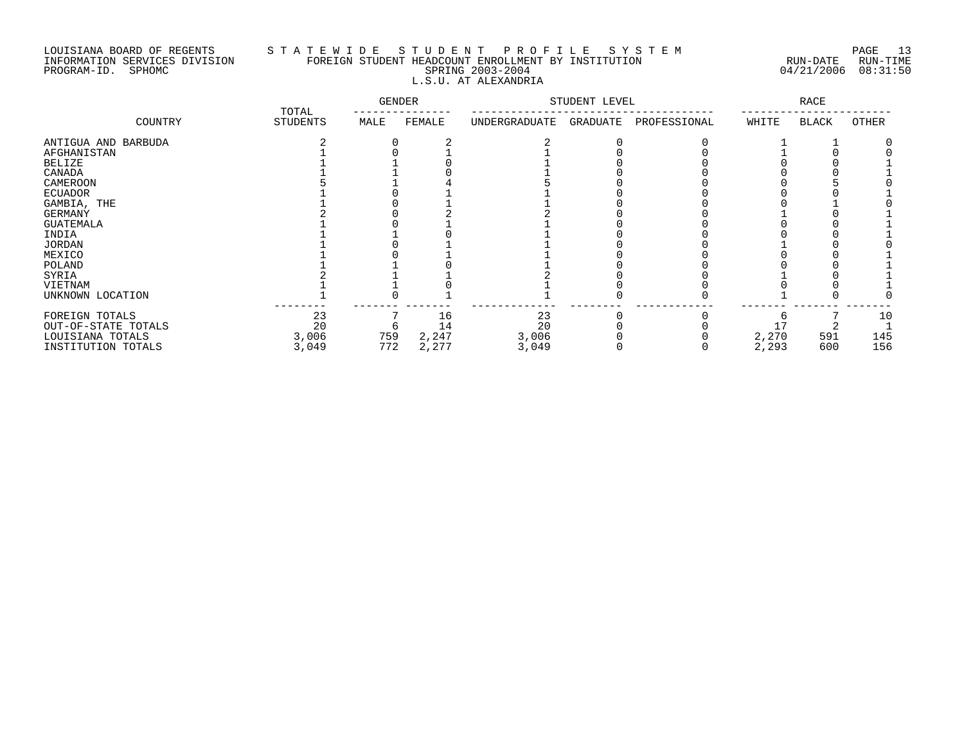# LOUISIANA BOARD OF REGENTS S T A T E W I D E S T U D E N T P R O F I L E S Y S T E M PAGE 13 INFORMATION SERVICES DIVISION FOREIGN STUDENT HEADCOUNT ENROLLMENT BY INSTITUTION RUN-DATE RUN-TIME PROGRAM-ID. SPHOMC SPRING 2003-2004 04/21/2006 08:31:50 L.S.U. AT ALEXANDRIA

|                     |                   | <b>GENDER</b> |        | STUDENT LEVEL |          | RACE         |       |              |       |
|---------------------|-------------------|---------------|--------|---------------|----------|--------------|-------|--------------|-------|
| COUNTRY             | TOTAL<br>STUDENTS | MALE          | FEMALE | UNDERGRADUATE | GRADUATE | PROFESSIONAL | WHITE | <b>BLACK</b> | OTHER |
| ANTIGUA AND BARBUDA |                   |               |        |               |          |              |       |              |       |
| AFGHANISTAN         |                   |               |        |               |          |              |       |              |       |
| <b>BELIZE</b>       |                   |               |        |               |          |              |       |              |       |
| CANADA              |                   |               |        |               |          |              |       |              |       |
| CAMEROON            |                   |               |        |               |          |              |       |              |       |
| <b>ECUADOR</b>      |                   |               |        |               |          |              |       |              |       |
| GAMBIA, THE         |                   |               |        |               |          |              |       |              |       |
| GERMANY             |                   |               |        |               |          |              |       |              |       |
| GUATEMALA           |                   |               |        |               |          |              |       |              |       |
| INDIA               |                   |               |        |               |          |              |       |              |       |
| <b>JORDAN</b>       |                   |               |        |               |          |              |       |              |       |
| MEXICO              |                   |               |        |               |          |              |       |              |       |
| POLAND              |                   |               |        |               |          |              |       |              |       |
| SYRIA               |                   |               |        |               |          |              |       |              |       |
| VIETNAM             |                   |               |        |               |          |              |       |              |       |
| UNKNOWN LOCATION    |                   |               |        |               |          |              |       |              |       |
| FOREIGN TOTALS      | 23                |               | 16     | 23            |          |              |       |              | 10    |
| OUT-OF-STATE TOTALS | 20                |               | 14     | 20            |          |              |       |              |       |
| LOUISIANA TOTALS    | 3,006             | 759           | 2,247  | 3,006         |          |              | 2,270 | 591          | 145   |
| INSTITUTION TOTALS  | 3,049             | 772           | 2,277  | 3,049         |          |              | 2,293 | 600          | 156   |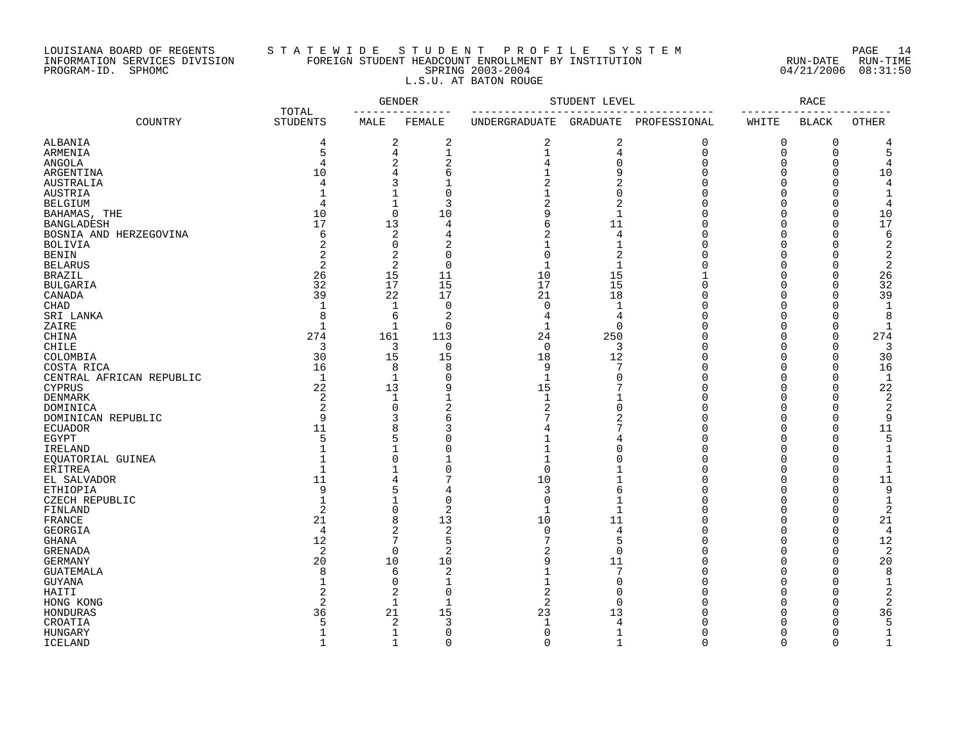# LOUISIANA BOARD OF REGENTS S T A T E W I D E S T U D E N T P R O F I L E S Y S T E M PAGE 14 INFORMATION SERVICES DIVISION FOREIGN STUDENT HEADCOUNT ENROLLMENT BY INSTITUTION RUN-DATE RUN-TIME PROGRAM-ID. SPHOMC SPRING 2003-2004 04/21/2006 08:31:50 L.S.U. AT BATON ROUGE

|                           |                          |                       | <b>GENDER</b>  |                  | STUDENT LEVEL    |              |                      | RACE         |                   |
|---------------------------|--------------------------|-----------------------|----------------|------------------|------------------|--------------|----------------------|--------------|-------------------|
| COUNTRY                   | TOTAL<br><b>STUDENTS</b> | $- - - - - -$<br>MALE | FEMALE         | UNDERGRADUATE    | GRADUATE         | PROFESSIONAL | WHITE                | <b>BLACK</b> | OTHER             |
| ALBANIA                   | 4                        | 2                     | 2              | 2                | 2                | 0            | $\mathbf 0$          | $\mathbf 0$  | 4                 |
| ARMENIA                   | 5                        | 4                     | $\mathbf{1}$   | $\mathbf 1$      | 4                | $\Omega$     | $\overline{0}$       | $\mathbf 0$  | 5                 |
| ANGOLA                    | 4                        | 2                     | 2              | 4                | $\mathbf 0$      | O            | 0                    | 0            | 4                 |
| ARGENTINA                 | 10                       | 4                     | 6              |                  | 9                | O            | $\Omega$             | 0            | 10                |
| AUSTRALIA                 | 4                        | 3                     |                |                  | 2                |              | $\Omega$             | $\mathbf 0$  | 4                 |
| AUSTRIA                   |                          | 1                     | $\mathbf 0$    |                  | $\Omega$         | U            | $\Omega$             | $\Omega$     |                   |
| <b>BELGIUM</b>            | $\overline{4}$           | $\mathbf{1}$          | 3              | 2                | $\overline{2}$   | U            | $\Omega$             | $\Omega$     | 4                 |
| BAHAMAS, THE              | 10                       | $\Omega$              | 10             | 9                | $\mathbf{1}$     | Λ            | $\Omega$             | $\Omega$     | 10                |
| <b>BANGLADESH</b>         | 17                       | 13                    | $\overline{4}$ | б                | 11               | Ω            | $\Omega$             | $\mathbf 0$  | 17                |
| BOSNIA AND HERZEGOVINA    | 6                        | 2                     | 4              | 2                | 4                |              | $\Omega$             | C            | 6                 |
| <b>BOLIVIA</b>            | 2                        | 0                     | 2              |                  | -1               | Λ            | $\Omega$             | $\Omega$     | 2                 |
| <b>BENIN</b>              |                          | 2                     | $\Omega$       | $\Omega$         | 2                |              | $\Omega$             | C            | 2                 |
| <b>BELARUS</b>            | 2                        | $\overline{2}$        | $\overline{0}$ | $\mathbf{1}$     | $\mathbf{1}$     |              | $\Omega$             | $\bigcap$    | $\overline{2}$    |
| <b>BRAZIL</b>             | 26                       | 15                    | 11             | 10               | 15               |              | $\Omega$             | $\mathbf 0$  | 26                |
| <b>BULGARIA</b>           | 32                       | 17                    | 15             | 17               | 15               |              | $\Omega$             | O            | 32                |
| CANADA                    | 39                       | 22                    | 17             | 21               | 18               | U            | $\Omega$             | 0            | 39                |
| <b>CHAD</b>               | 1                        | $\mathbf 1$           | 0              | $\Omega$         | 1                | U            | $\Omega$             | C            | 1                 |
| SRI LANKA                 | 8                        | 6                     | $\overline{c}$ | 4                | 4                |              | $\Omega$             | C            | 8                 |
| ZAIRE                     | $\mathbf{1}$             | $\mathbf{1}$          | $\Omega$       | 1                | $\Omega$         |              | $\Omega$             | $\bigcap$    | 1                 |
| CHINA                     | 274                      | 161                   | 113            | 24               | 250              | Λ            | $\Omega$             | $\Omega$     | 274               |
| <b>CHILE</b>              | 3                        | 3                     | 0              | $\Omega$         | 3                |              | $\Omega$             | $\Omega$     | 3                 |
| COLOMBIA                  | 30                       | 15                    | 15             | 18               | 12               | U            | $\Omega$             | $\Omega$     | 30                |
| COSTA RICA                | 16                       | 8                     | 8              | 9                | 7                |              | $\Omega$             | $\Omega$     | 16                |
| CENTRAL AFRICAN REPUBLIC  | $\mathbf{1}$             | $\mathbf 1$           | $\mathbf 0$    | $\mathbf{1}$     | $\Omega$         | Λ            | $\Omega$             | $\mathbf 0$  | 1                 |
| <b>CYPRUS</b>             | 22                       | 13                    | 9              | 15               | 7                | Λ            | $\Omega$             | $\bigcap$    | 22                |
| <b>DENMARK</b>            | 2                        | $\mathbf{1}$          | $\mathbf{1}$   | $\mathbf{1}$     | -1               | Λ            | $\Omega$             | $\bigcap$    | 2                 |
| DOMINICA                  | 2                        | 0                     | $\overline{2}$ | 2                | $\Omega$         | Λ            | $\Omega$             | O            | 2                 |
| DOMINICAN REPUBLIC        | 9                        | 3                     | б              |                  |                  |              | $\Omega$             | $\Omega$     | 9                 |
| <b>ECUADOR</b>            | 11                       | 8                     | 3              |                  | 7                | U            | $\Omega$             | $\mathbf 0$  | 11                |
| EGYPT                     | 5                        | 5                     | $\Omega$       |                  | 4                | Ω            | $\Omega$             | $\Omega$     | 5                 |
| IRELAND                   | $\mathbf 1$              | $\mathbf{1}$          | $\Omega$       | $\mathbf{1}$     | $\Omega$         | Λ            | $\Omega$             | $\bigcap$    | $\mathbf{1}$      |
| EOUATORIAL GUINEA         | $\mathbf{1}$             | $\Omega$              |                | $\mathbf{1}$     | $\Omega$         | U            | $\Omega$             | $\bigcap$    | $\mathbf{1}$      |
| ERITREA                   | $\mathbf{1}$             | $\mathbf{1}$          | $\Omega$       | $\Omega$         |                  | Ω            | $\Omega$             | O            | 1                 |
| EL SALVADOR               | 11<br>9                  | 4<br>5                | 7              | 10               | 1                | Λ<br>U       | $\Omega$<br>$\Omega$ | $\mathbf 0$  | 11                |
| <b>ETHIOPIA</b>           | $\mathbf{1}$             | $\mathbf{1}$          | 4<br>$\Omega$  | 3<br>$\mathbf 0$ | 6<br>$\mathbf 1$ | Λ            | $\Omega$             | C<br>C       | 9<br>$\mathbf{1}$ |
| CZECH REPUBLIC<br>FINLAND | $\overline{a}$           | $\mathbf 0$           | $\overline{2}$ | $\mathbf{1}$     | $\mathbf{1}$     |              | $\Omega$             | $\bigcap$    | $\overline{2}$    |
| FRANCE                    | 21                       | 8                     | 13             | 10               | 11               | Λ            | $\Omega$             | $\bigcap$    | 21                |
| GEORGIA                   | 4                        | $\overline{a}$        | 2              | $\Omega$         | 4                | U            | $\Omega$             | 0            | 4                 |
| <b>GHANA</b>              | 12                       | 7                     | 5              |                  | 5                | U            | $\Omega$             | 0            | 12                |
| <b>GRENADA</b>            | 2                        | $\mathbf 0$           | $\overline{2}$ | 2                | $\Omega$         |              | $\Omega$             | $\Omega$     | 2                 |
| <b>GERMANY</b>            | 20                       | 10                    | 10             | 9                | 11               | U            | $\Omega$             | $\mathbf 0$  | 20                |
| <b>GUATEMALA</b>          | 8                        | 6                     | $\overline{2}$ |                  | 7                | U            | $\Omega$             | $\Omega$     | 8                 |
| GUYANA                    |                          | $\Omega$              | $\mathbf{1}$   | 1                | $\Omega$         | U            | $\Omega$             | $\bigcap$    | $\mathbf{1}$      |
| HAITI                     | 2                        | 2                     | $\overline{0}$ | 2                | $\Omega$         | O            | $\Omega$             | O            | 2                 |
| HONG KONG                 | 2                        | 1                     | -1             | 2                | $\Omega$         |              | $\Omega$             | O            | 2                 |
| HONDURAS                  | 36                       | 21                    | 15             | 23               | 13               | U            | $\Omega$             | 0            | 36                |
| CROATIA                   | д                        | 2                     | 3              |                  | 4                |              | $\cap$               | $\Omega$     |                   |
| <b>HUNGARY</b>            | $\mathbf{1}$             | 1                     | $\Omega$       | $\Omega$         | 1                | U            | $\Omega$             | $\Omega$     | 1                 |
| <b>ICELAND</b>            | $\mathbf{1}$             | $\mathbf{1}$          | $\Omega$       | $\cap$           | $\mathbf{1}$     | $\Omega$     | $\Omega$             | $\Omega$     | $\mathbf{1}$      |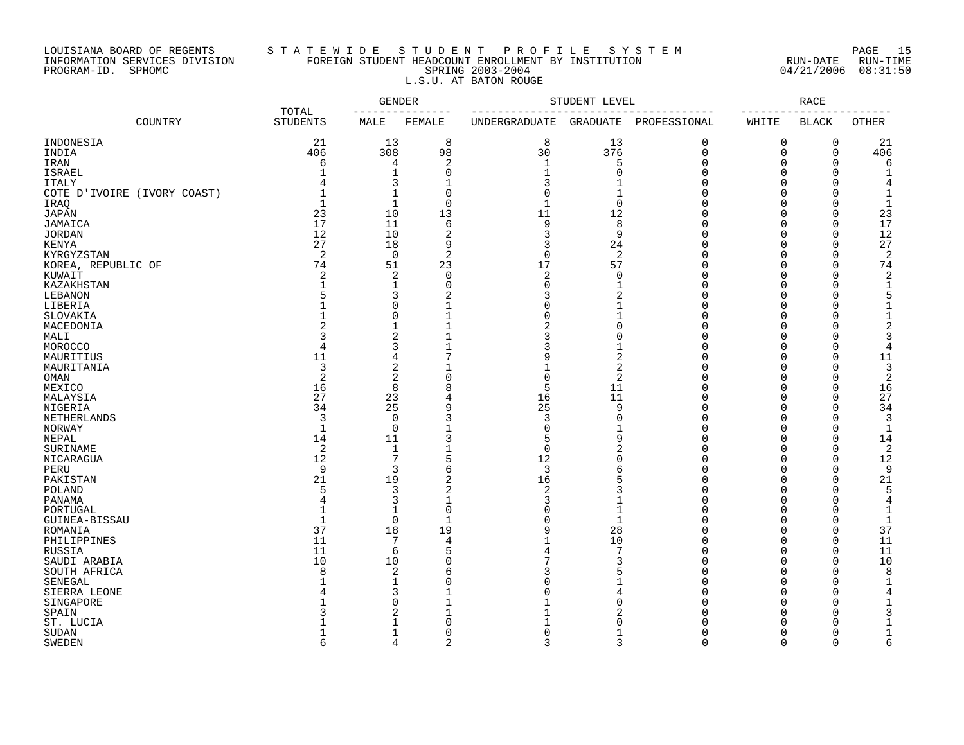# LOUISIANA BOARD OF REGENTS S T A T E W I D E S T U D E N T P R O F I L E S Y S T E M PAGE 15 INFORMATION SERVICES DIVISION FOREIGN STUDENT HEADCOUNT ENROLLMENT BY INSTITUTION RUN-DATE RUN-TIME PROGRAM-ID. SPHOMC SPRING 2003-2004 04/21/2006 08:31:50 L.S.U. AT BATON ROUGE

| TOTAL                       |                 | GENDER       |                | STUDENT LEVEL  |                | RACE         |          |              |              |
|-----------------------------|-----------------|--------------|----------------|----------------|----------------|--------------|----------|--------------|--------------|
| COUNTRY                     | <b>STUDENTS</b> | MALE         | FEMALE         | UNDERGRADUATE  | GRADUATE       | PROFESSIONAL | WHITE    | <b>BLACK</b> | OTHER        |
| INDONESIA                   | 21              | 13           | 8              | 8              | 13             | 0            | 0        | 0            | 21           |
| INDIA                       | 406             | 308          | 98             | 30             | 376            | $\mathbf 0$  | $\Omega$ | $\mathbf 0$  | 406          |
| IRAN                        | 6               | 4            | $\overline{2}$ | $\mathbf{1}$   | 5              | $\Omega$     | $\Omega$ | $\Omega$     | 6            |
| <b>ISRAEL</b>               |                 | 1            | $\Omega$       |                | $\Omega$       | $\Omega$     | $\Omega$ | $\Omega$     |              |
| <b>ITALY</b>                |                 | 3            |                |                |                | U            | $\Omega$ | $\cap$       |              |
| COTE D'IVOIRE (IVORY COAST) | $\mathbf{1}$    | 1            | $\mathbf 0$    | ∩              | 1              | n            | $\Omega$ | $\cap$       |              |
| IRAQ                        | $\mathbf{1}$    | 1            | $\mathbf 0$    | $\mathbf{1}$   | $\Omega$       | $\cap$       | $\Omega$ | $\Omega$     | $\mathbf{1}$ |
|                             |                 |              |                | 11             | 12             |              | $\Omega$ | $\Omega$     | 23           |
| <b>JAPAN</b>                | 23<br>17        | 10           | 13             | 9              | 8              | $\Omega$     | $\Omega$ | $\Omega$     | 17           |
| JAMAICA                     |                 | 11           | 6              |                |                |              |          |              |              |
| <b>JORDAN</b>               | 12              | 10           | $\overline{2}$ | 3              | 9              | U            | $\Omega$ | $\Omega$     | 12           |
| <b>KENYA</b>                | 27              | 18           | 9              | 3              | 24             | $\cap$       | $\Omega$ | $\Omega$     | 27           |
| KYRGYZSTAN                  | 2               | $\mathbf 0$  | $\overline{2}$ | $\mathbf 0$    | 2              | $\Omega$     | $\Omega$ | $\mathbf 0$  | 2            |
| KOREA, REPUBLIC OF          | 74              | 51           | 23             | 17             | 57             | $\Omega$     | $\Omega$ | $\Omega$     | 74           |
| KUWAIT                      | 2               | 2            | $\mathbf 0$    | 2              | $\mathbf 0$    | $\Omega$     | $\Omega$ | $\Omega$     | 2            |
| KAZAKHSTAN                  |                 | 1            | $\mathbf 0$    | $\Omega$       | 1              | $\Omega$     | $\Omega$ | $\cap$       |              |
| LEBANON                     | 5               | 3            | 2              | 3              | 2              | $\cap$       | $\Omega$ | $\Omega$     |              |
| LIBERIA                     |                 | 0            | 1              | ∩              | 1              | $\Omega$     | $\Omega$ | $\Omega$     |              |
| SLOVAKIA                    |                 | $\Omega$     |                | ∩              | 1              | $\Omega$     | $\Omega$ | $\Omega$     |              |
| MACEDONIA                   | $\overline{c}$  | $\mathbf{1}$ |                | $\overline{c}$ | $\Omega$       | $\Omega$     | $\Omega$ | $\Omega$     |              |
| MALI                        | 3               | 2            |                |                | $\Omega$       | $\Omega$     | $\Omega$ | $\Omega$     |              |
| MOROCCO                     | 4               | 3            |                | 3              | 1              | $\Omega$     | $\Omega$ | 0            | 4            |
| MAURITIUS                   | 11              | 4            | 7              | 9              | $\overline{2}$ | $\Omega$     | $\Omega$ | $\mathbf 0$  | 11           |
| MAURITANIA                  | 3               | 2            |                |                | $\overline{2}$ | $\cap$       | $\Omega$ | $\Omega$     | 3            |
| OMAN                        | $\overline{2}$  | 2            | 0              | $\Omega$       | 2              | $\cap$       | $\Omega$ | $\Omega$     | 2            |
|                             |                 |              |                |                |                | $\cap$       | $\Omega$ | $\Omega$     |              |
| MEXICO                      | 16              | 8            | 8              | 5              | 11             |              |          |              | 16           |
| MALAYSIA                    | 27              | 23           | 4              | 16             | 11             | $\cap$       | $\Omega$ | $\Omega$     | 27           |
| NIGERIA                     | 34              | 25           | 9              | 25             | 9              | $\Omega$     | $\Omega$ | $\Omega$     | 34           |
| NETHERLANDS                 | 3               | 0            |                | 3              | $\Omega$       | U            | $\Omega$ | $\Omega$     | 3            |
| NORWAY                      | $\mathbf{1}$    | 0            |                | ∩              |                | $\Omega$     | $\Omega$ | $\Omega$     | $\mathbf{1}$ |
| NEPAL                       | 14              | 11           | 3              | 5              | 9              | $\cap$       | $\Omega$ | $\Omega$     | 14           |
| SURINAME                    | 2               | 1            |                | $\Omega$       | 2              | U            | $\Omega$ | $\Omega$     | 2            |
| NICARAGUA                   | 12              | 7            | 5              | 12             | $\Omega$       | U            | $\Omega$ | $\Omega$     | 12           |
| PERU                        | 9               | 3            | 6              | 3              | 6              | U            | $\Omega$ | $\Omega$     | 9            |
| PAKISTAN                    | 21              | 19           | $\overline{2}$ | 16             | 5              | $\cap$       | $\Omega$ | $\Omega$     | 21           |
| POLAND                      | 5               | 3            | $\overline{2}$ | 2              | 3              | O            | $\Omega$ | $\Omega$     | 5            |
| PANAMA                      | 4               | 3            | 1              | 3              |                |              | $\Omega$ | ∩            | 4            |
| PORTUGAL                    | $\mathbf{1}$    | 1            | $\mathbf 0$    |                | $\mathbf{1}$   | U            | $\Omega$ | ∩            |              |
| GUINEA-BISSAU               | $\mathbf{1}$    | 0            | $\mathbf 1$    |                | 1              | $\cap$       | $\Omega$ | $\Omega$     |              |
| ROMANIA                     | 37              | 18           | 19             | q              | 28             | $\cap$       | $\Omega$ | $\Omega$     | 37           |
| PHILIPPINES                 | 11              | 7            | 4              |                | 10             | $\Omega$     | $\Omega$ | $\Omega$     | 11           |
| RUSSIA                      | 11              | 6            | 5              |                | 7              | $\Omega$     | $\Omega$ | $\Omega$     | 11           |
| SAUDI ARABIA                | 10              | 10           | $\Omega$       |                | 3              | $\Omega$     | $\Omega$ | $\Omega$     | 10           |
|                             | $\mathsf{R}$    |              |                |                |                | $\Omega$     | $\Omega$ | $\Omega$     |              |
| SOUTH AFRICA                |                 | 2            | 6<br>C         |                |                | $\Omega$     | $\Omega$ | $\Omega$     | 8<br>-1      |
| SENEGAL                     |                 | 1            |                |                |                |              |          |              |              |
| SIERRA LEONE                |                 | 3            |                |                | 4              | $\Omega$     | $\Omega$ | $\Omega$     |              |
| SINGAPORE                   |                 | $\Omega$     |                |                | $\Omega$       | $\cap$       | $\Omega$ | $\Omega$     |              |
| SPAIN                       |                 | 2            |                |                |                | $\cap$       | $\cap$   | $\Omega$     |              |
| ST. LUCIA                   |                 |              | $\bigcap$      |                |                |              | $\cap$   | ∩            |              |
| SUDAN                       |                 | 1            | $\Omega$       | ∩              | 1              | $\cap$       | $\Omega$ | $\Omega$     | 1            |
| <b>SWEDEN</b>               | 6               | 4            | $\overline{c}$ | 3              | 3              | $\Omega$     | $\Omega$ | $\Omega$     | 6            |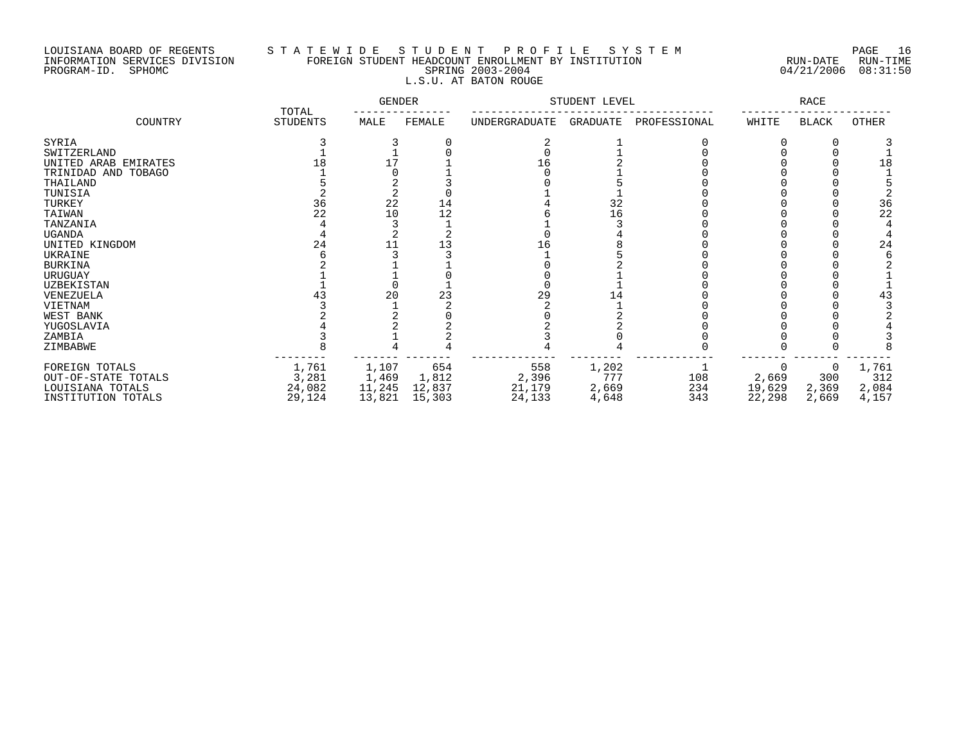# LOUISIANA BOARD OF REGENTS S T A T E W I D E S T U D E N T P R O F I L E S Y S T E M PAGE 16 INFORMATION SERVICES DIVISION FOREIGN STUDENT HEADCOUNT ENROLLMENT BY INSTITUTION RUN-DATE RUN-TIME PROGRAM-ID. SPHOMC SPRING 2003-2004 04/21/2006 08:31:50 L.S.U. AT BATON ROUGE

|                      |                   | <b>GENDER</b> |        | STUDENT LEVEL |          | <b>RACE</b>  |        |       |       |
|----------------------|-------------------|---------------|--------|---------------|----------|--------------|--------|-------|-------|
| COUNTRY              | TOTAL<br>STUDENTS | MALE          | FEMALE | UNDERGRADUATE | GRADUATE | PROFESSIONAL | WHITE  | BLACK | OTHER |
| SYRIA                |                   |               |        |               |          |              |        |       |       |
| SWITZERLAND          |                   |               |        |               |          |              |        |       |       |
| UNITED ARAB EMIRATES |                   |               |        | 16            |          |              |        |       | 18    |
| TRINIDAD AND TOBAGO  |                   |               |        |               |          |              |        |       |       |
| THAILAND             |                   |               |        |               |          |              |        |       |       |
| TUNISIA              |                   |               |        |               |          |              |        |       |       |
| TURKEY               | 36                | 22            | 14     |               | 32       |              |        |       | 36    |
| TAIWAN               | 22                | 10            | 12     |               | 16       |              |        |       | 22    |
| TANZANIA             |                   |               |        |               |          |              |        |       |       |
| <b>UGANDA</b>        |                   |               |        |               |          |              |        |       |       |
| UNITED KINGDOM       | 24                |               |        | 16            |          |              |        |       | 24    |
| UKRAINE              |                   |               |        |               |          |              |        |       |       |
| <b>BURKINA</b>       |                   |               |        |               |          |              |        |       |       |
| URUGUAY              |                   |               |        |               |          |              |        |       |       |
| UZBEKISTAN           |                   |               |        |               |          |              |        |       |       |
| VENEZUELA            |                   | 20            |        | 29            |          |              |        |       | 43    |
| VIETNAM              |                   |               |        |               |          |              |        |       |       |
| WEST BANK            |                   |               |        |               |          |              |        |       |       |
| YUGOSLAVIA           |                   |               |        |               |          |              |        |       |       |
| ZAMBIA               |                   |               |        |               |          |              |        |       |       |
| ZIMBABWE             |                   |               |        |               |          |              |        |       |       |
| FOREIGN TOTALS       | 1,761             | 1,107         | 654    | 558           | 1,202    |              |        |       | 1,761 |
| OUT-OF-STATE TOTALS  | 3,281             | 1,469         | 1,812  | 2,396         | 777      | 108          | 2,669  | 300   | 312   |
| LOUISIANA TOTALS     | 24,082            | 11,245        | 12,837 | 21,179        | 2,669    | 234          | 19,629 | 2,369 | 2,084 |
| INSTITUTION TOTALS   | 29,124            | 13,821        | 15,303 | 24,133        | 4,648    | 343          | 22,298 | 2,669 | 4,157 |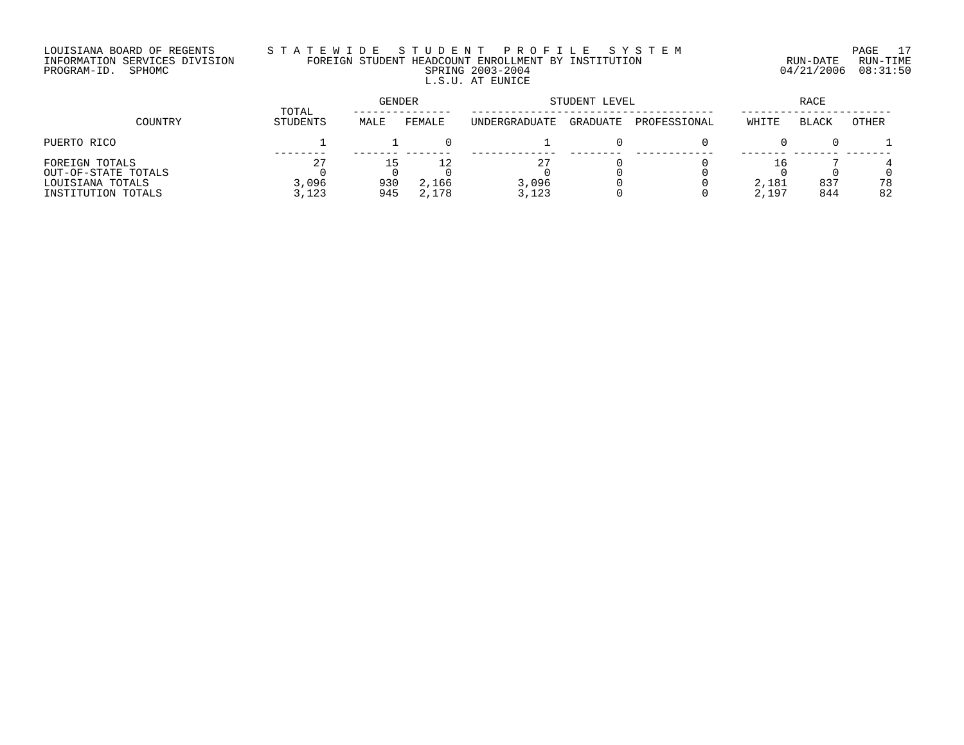# LOUISIANA BOARD OF REGENTS S T A T E W I D E S T U D E N T P R O F I L E S Y S T E M PAGE 17 INFORMATION SERVICES DIVISION FOREIGN STUDENT HEADCOUNT ENROLLMENT BY INSTITUTION RUN-DATE RUN-TIME PROGRAM-ID. SPHOMC SPRING 2003-2004 04/21/2006 08:31:50 L.S.U. AT EUNICE

|                                                                                 |                      | GENDER     |                | STUDENT LEVEL        | RACE     |              |                |              |              |
|---------------------------------------------------------------------------------|----------------------|------------|----------------|----------------------|----------|--------------|----------------|--------------|--------------|
| COUNTRY                                                                         | TOTAL<br>STUDENTS    | MALE       | FEMALE         | <b>UNDERGRADUATE</b> | GRADUATE | PROFESSIONAL | WHITE          | <b>BLACK</b> | <b>OTHER</b> |
| PUERTO RICO                                                                     |                      |            |                |                      |          |              |                |              |              |
| FOREIGN TOTALS<br>OUT-OF-STATE TOTALS<br>LOUISIANA TOTALS<br>INSTITUTION TOTALS | 27<br>3,096<br>3,123 | 930<br>945 | 2,166<br>2,178 | 3,096<br>3,123       |          |              | 2,181<br>2,197 | 837<br>844   | 78<br>82     |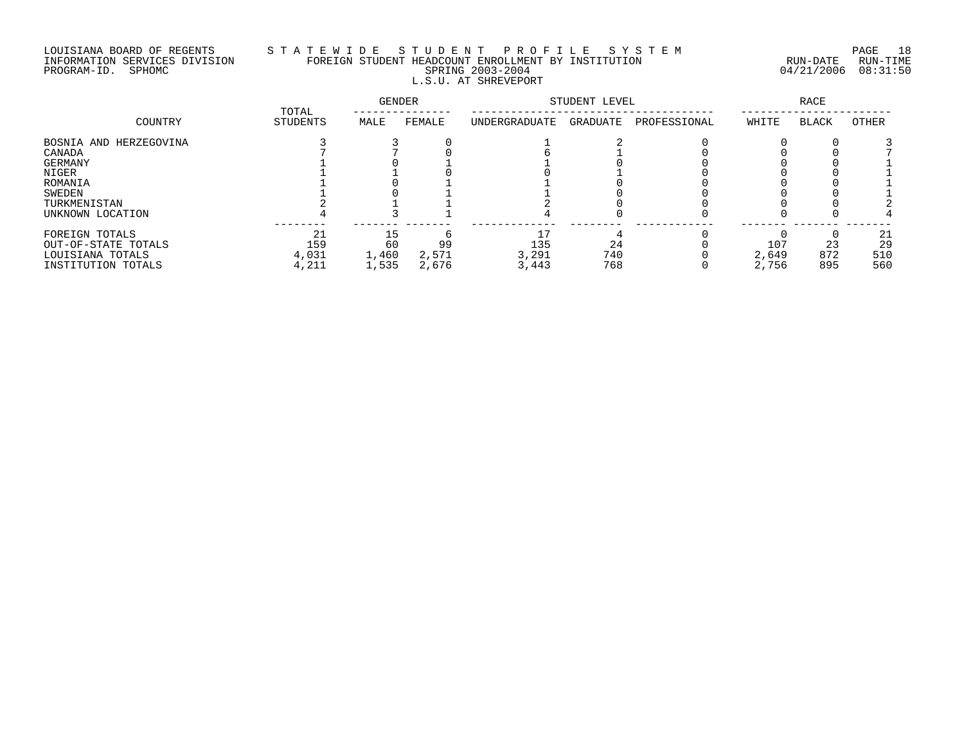# LOUISIANA BOARD OF REGENTS S T A T E W I D E S T U D E N T P R O F I L E S Y S T E M PAGE 18 INFORMATION SERVICES DIVISION FOREIGN STUDENT HEADCOUNT ENROLLMENT BY INSTITUTION RUN-DATE RUN-TIME PROGRAM-ID. SPHOMC SPRING 2003-2004 04/21/2006 08:31:50 L.S.U. AT SHREVEPORT

|                        | TOTAL    | <b>GENDER</b> |        | STUDENT LEVEL |          | RACE         |       |              |       |
|------------------------|----------|---------------|--------|---------------|----------|--------------|-------|--------------|-------|
| COUNTRY                | STUDENTS | MALE          | FEMALE | UNDERGRADUATE | GRADUATE | PROFESSIONAL | WHITE | <b>BLACK</b> | OTHER |
| BOSNIA AND HERZEGOVINA |          |               |        |               |          |              |       |              |       |
| CANADA                 |          |               |        |               |          |              |       |              |       |
| GERMANY                |          |               |        |               |          |              |       |              |       |
| NIGER                  |          |               |        |               |          |              |       |              |       |
| ROMANIA                |          |               |        |               |          |              |       |              |       |
| SWEDEN                 |          |               |        |               |          |              |       |              |       |
| TURKMENISTAN           |          |               |        |               |          |              |       |              |       |
| UNKNOWN LOCATION       |          |               |        |               |          |              |       |              |       |
| FOREIGN TOTALS         | 21       |               |        | 17            |          |              |       |              | 21    |
| OUT-OF-STATE TOTALS    | 159      | 60            | 99     | 135           | 24       |              | 107   | 23           | 29    |
| LOUISIANA TOTALS       | 4,031    | 1,460         | 2,571  | 3,291         | 740      |              | 2,649 | 872          | 510   |
| INSTITUTION TOTALS     | 4,211    | 1,535         | 2,676  | 3,443         | 768      |              | 2,756 | 895          | 560   |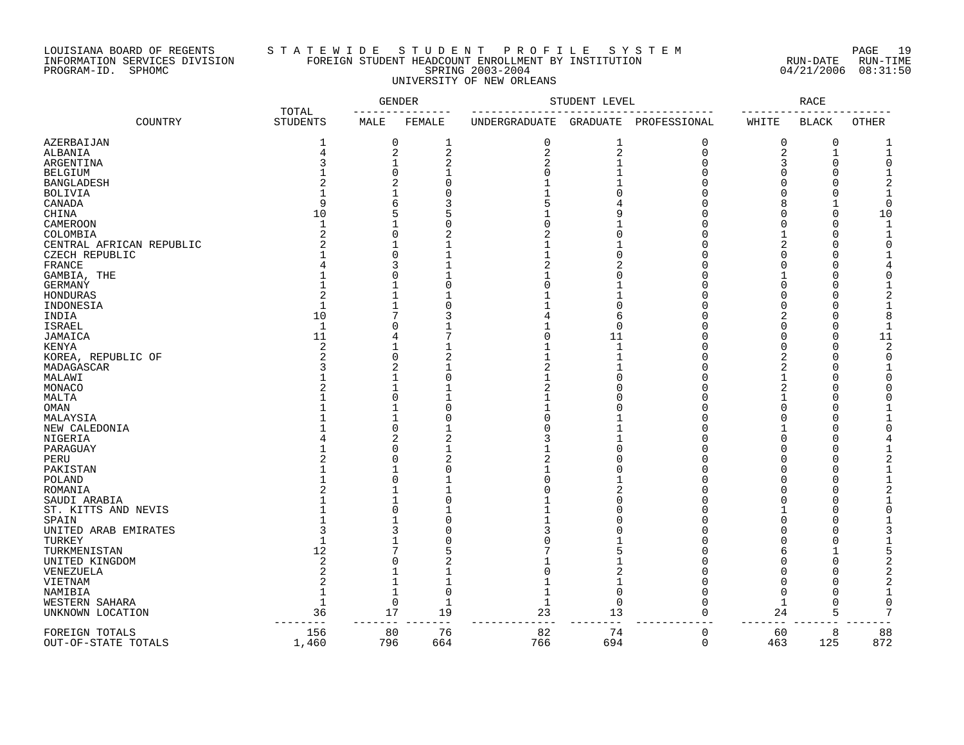# LOUISIANA BOARD OF REGENTS S T A T E W I D E S T U D E N T P R O F I L E S Y S T E M PAGE 19 INFORMATION SERVICES DIVISION FOREIGN STUDENT HEADCOUNT ENROLLMENT BY INSTITUTION RUN-DATE RUN-TIME PROGRAM-ID. SPHOMC SPRING 2003-2004 04/21/2006 08:31:50 UNIVERSITY OF NEW ORLEANS

|                          |                          |                         | <b>GENDER</b>  |                      | STUDENT LEVEL   |              |             | <b>RACE</b>  |              |
|--------------------------|--------------------------|-------------------------|----------------|----------------------|-----------------|--------------|-------------|--------------|--------------|
| COUNTRY                  | TOTAL<br><b>STUDENTS</b> | MALE                    | FEMALE         | <b>UNDERGRADUATE</b> | <b>GRADUATE</b> | PROFESSIONAL | WHITE       | <b>BLACK</b> | <b>OTHER</b> |
| AZERBAIJAN               | 1                        | 0                       | 1              | 0                    | 1               | 0            | 0           | 0            |              |
| ALBANIA                  | 4                        | 2                       | $\overline{2}$ | 2                    | 2               | $\Omega$     | 2           | $\mathbf{1}$ |              |
| ARGENTINA                | 3                        | $\mathbf{1}$            | 2              | 2                    |                 | ∩            | 3           | 0            | O            |
| <b>BELGIUM</b>           |                          | $\Omega$                |                | $\Omega$             |                 | ∩            | 0           | $\Omega$     |              |
| <b>BANGLADESH</b>        |                          |                         | ∩              |                      |                 |              | O           | O            |              |
| <b>BOLIVIA</b>           |                          |                         |                |                      |                 |              | Ω           | U            |              |
|                          | q                        | 6                       | 3              | 5                    |                 |              | 8           | 1            | $\Omega$     |
| CANADA                   |                          |                         |                |                      |                 |              |             |              |              |
| CHINA                    | 10                       | 5                       | 5              |                      | q               |              |             | $\Omega$     | 10           |
| CAMEROON                 |                          |                         |                | 0                    |                 |              | O           | $\Omega$     |              |
| COLOMBIA                 | 2                        | $\Omega$                |                |                      |                 |              |             | $\Omega$     |              |
| CENTRAL AFRICAN REPUBLIC |                          |                         |                |                      |                 |              |             | O            | 0            |
| CZECH REPUBLIC           |                          | C                       |                |                      |                 |              |             | Ω            |              |
| <b>FRANCE</b>            |                          | 3                       |                | 2                    | 2               |              | Ω           | U            |              |
| GAMBIA, THE              |                          | $\Omega$                |                |                      |                 |              |             | U            | O            |
| <b>GERMANY</b>           |                          |                         |                | 0                    |                 |              |             | O            |              |
| HONDURAS                 | $\overline{2}$           | $\mathbf{1}$            |                | 1                    |                 |              | O           | U            |              |
| INDONESIA                | $\mathbf{1}$             | $\mathbf{1}$            |                | 1                    | ∩               |              | U           | U            |              |
| INDIA                    | 10                       | 7                       |                | 4                    | 6               |              |             | 0            | 8            |
| <b>ISRAEL</b>            | $\mathbf{1}$             | $\Omega$                |                |                      | $\Omega$        |              | U           | 0            |              |
| JAMAICA                  | 11                       | 4                       |                | U                    | 11              |              | O           | $\Omega$     | 11           |
| KENYA                    | 2                        | $\mathbf{1}$            |                |                      | $\mathbf{1}$    |              | $\Omega$    | $\Omega$     | 2            |
| KOREA, REPUBLIC OF       | $\overline{2}$           | $\Omega$                | 2              |                      |                 |              | 2           | $\Omega$     | 0            |
| MADAGASCAR               |                          | 2                       |                | 2                    |                 |              |             | $\Omega$     |              |
| MALAWI                   |                          |                         |                |                      |                 |              |             | O            | U            |
|                          |                          |                         |                | 2                    |                 |              |             | U            |              |
| MONACO                   |                          |                         |                |                      |                 |              |             |              |              |
| MALTA                    |                          | $\Omega$                |                |                      |                 |              |             | O            | O            |
| OMAN                     |                          |                         |                |                      |                 |              |             | U            |              |
| MALAYSIA                 |                          |                         |                | ∩                    |                 |              |             | U            |              |
| NEW CALEDONIA            |                          | $\Omega$                |                | U                    |                 |              |             | O            |              |
| NIGERIA                  |                          | $\overline{c}$          | 2              | 3                    |                 |              | O           | O            |              |
| PARAGUAY                 |                          | $\Omega$                |                |                      |                 |              |             | U            |              |
| PERU                     |                          | $\Omega$                | $\overline{c}$ | 2                    | ∩               |              | Ω           | O            |              |
| PAKISTAN                 |                          |                         |                | 1                    |                 |              | Ω           | O            |              |
| POLAND                   |                          | $\Omega$                |                | 0                    |                 |              | O           | $\Omega$     |              |
| ROMANIA                  |                          |                         |                | 0                    | 2               |              | O           | O            |              |
| SAUDI ARABIA             |                          | 1                       |                |                      |                 |              | O           | 0            |              |
| ST. KITTS AND NEVIS      |                          | $\Omega$                |                | 1                    |                 |              | -1          | O            |              |
| SPAIN                    |                          |                         |                |                      |                 |              | O           | U            |              |
| UNITED ARAB EMIRATES     |                          |                         |                | ζ                    |                 |              | O           | U            |              |
| TURKEY                   |                          |                         |                | 0                    |                 |              |             | 0            |              |
| TURKMENISTAN             | 12                       |                         |                |                      |                 |              | 6           |              | 5            |
| UNITED KINGDOM           | 2                        | C                       |                |                      |                 |              | U           | $\Omega$     |              |
| VENEZUELA                |                          |                         |                | 0                    |                 |              | U           | U            |              |
|                          | 2                        | 1                       |                |                      |                 |              |             | O            | 2            |
| VIETNAM                  |                          |                         | $\Omega$       | 1                    | $\Omega$        |              | O           | O            |              |
| NAMIBIA                  | $\mathbf{1}$             | $\mathbf 1$<br>$\Omega$ |                |                      | ∩               | ∩            |             |              |              |
| WESTERN SAHARA           |                          |                         | $\mathbf{1}$   | $\mathbf{1}$         |                 |              | $\mathbf 1$ | $\Omega$     | $\Omega$     |
| UNKNOWN LOCATION         | 36                       | 17                      | 19             | 23                   | 13              | $\Omega$     | 24          | 5            | 7            |
| FOREIGN TOTALS           | 156                      | 80                      | 76             | 82                   | 74              | $\mathbf 0$  | 60          | 8            | 88           |
| OUT-OF-STATE TOTALS      | 1,460                    | 796                     | 664            | 766                  | 694             | $\mathbf 0$  | 463         | 125          | 872          |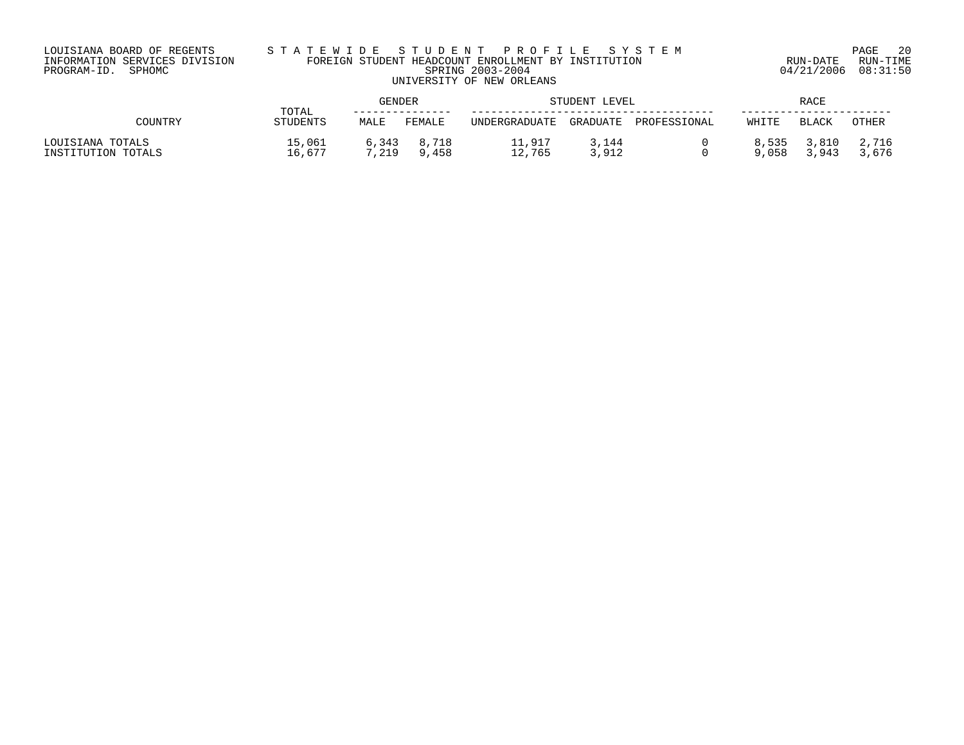# LOUISIANA BOARD OF REGENTS S T A T E W I D E S T U D E N T P R O F I L E S Y S T E M PAGE 20 INFORMATION SERVICES DIVISION FOREIGN STUDENT HEADCOUNT ENROLLMENT BY INSTITUTION RUN-DATE RUN-TIME PROGRAM-ID. SPHOMC SPRING 2003-2004 04/21/2006 08:31:50 UNIVERSITY OF NEW ORLEANS

|                                        | TOTAL            | GENDER         |                |                  | STUDENT LEVEL   |              |                |                | <b>RACE</b>    |  |  |  |
|----------------------------------------|------------------|----------------|----------------|------------------|-----------------|--------------|----------------|----------------|----------------|--|--|--|
| COUNTRY                                | STUDENTS         | MALE           | FEMALE         | UNDERGRADUATE    | GRADUATE        | PROFESSIONAL | WHITE          | BLACK          | <b>OTHER</b>   |  |  |  |
| LOUISIANA TOTALS<br>INSTITUTION TOTALS | 15,061<br>16,677 | 6,343<br>7,219 | 8,718<br>9,458 | 11,917<br>12,765 | 144ء ر<br>3,912 |              | 8,535<br>9,058 | 3,810<br>3,943 | 2,716<br>3,676 |  |  |  |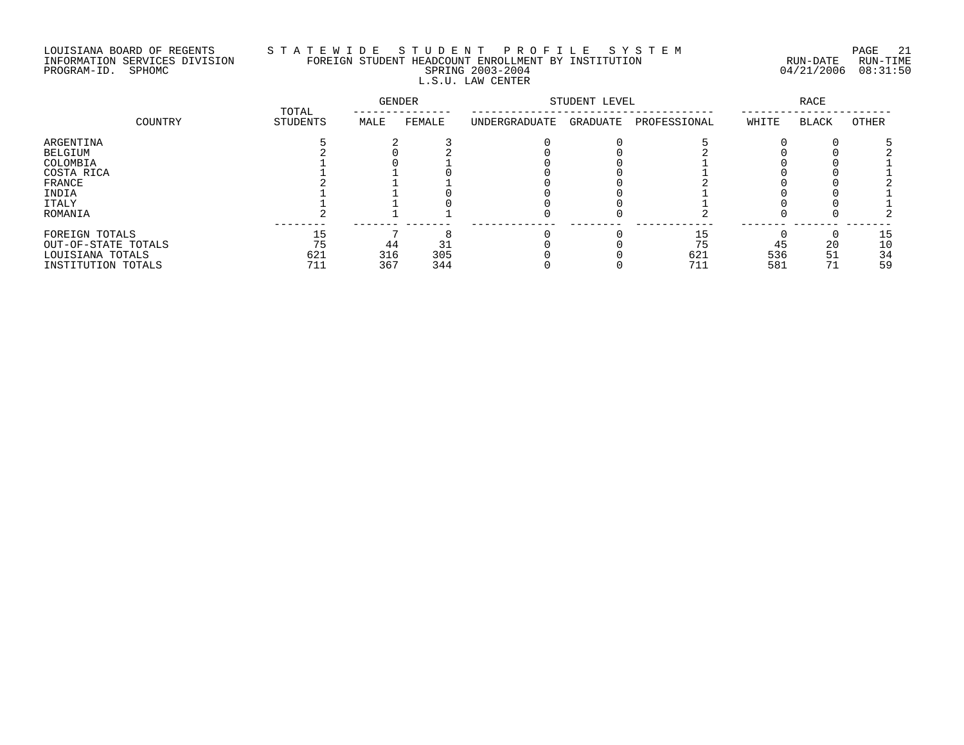# LOUISIANA BOARD OF REGENTS S T A T E W I D E S T U D E N T P R O F I L E S Y S T E M PAGE 21 INFORMATION SERVICES DIVISION FOREIGN STUDENT HEADCOUNT ENROLLMENT BY INSTITUTION RUN-DATE RUN-TIME PROGRAM-ID. SPHOMC SPRING 2003-2004 04/21/2006 08:31:50 L.S.U. LAW CENTER

| COUNTRY             | TOTAL    | <b>GENDER</b> |        | STUDENT LEVEL | <b>RACE</b> |              |       |              |       |
|---------------------|----------|---------------|--------|---------------|-------------|--------------|-------|--------------|-------|
|                     | STUDENTS | MALE          | FEMALE | UNDERGRADUATE | GRADUATE    | PROFESSIONAL | WHITE | <b>BLACK</b> | OTHER |
| ARGENTINA           |          |               |        |               |             |              |       |              |       |
| BELGIUM             |          |               |        |               |             |              |       |              |       |
| COLOMBIA            |          |               |        |               |             |              |       |              |       |
| COSTA RICA          |          |               |        |               |             |              |       |              |       |
| FRANCE              |          |               |        |               |             |              |       |              |       |
| INDIA               |          |               |        |               |             |              |       |              |       |
| ITALY               |          |               |        |               |             |              |       |              |       |
| ROMANIA             |          |               |        |               |             |              |       |              |       |
| FOREIGN TOTALS      | 15       |               |        |               |             | 15           |       |              | 15    |
| OUT-OF-STATE TOTALS | 75       | 44            |        |               |             | 75           | 45    | 20           | 10    |
| LOUISIANA TOTALS    | 621      | 316           | 305    |               |             | 621          | 536   | 51           | 34    |
| INSTITUTION TOTALS  | 711      | 367           | 344    |               |             | 711          | 581   |              | 59    |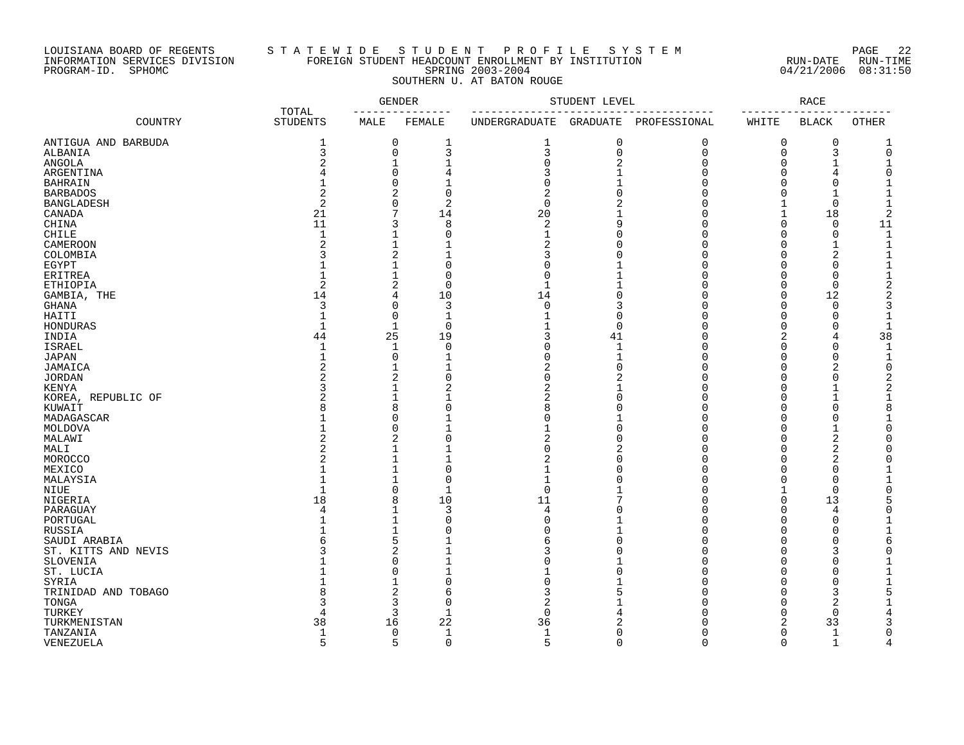### LOUISIANA BOARD OF REGENTS S T A T E W I D E S T U D E N T P R O F I L E S Y S T E M PAGE 22 INFORMATION SERVICES DIVISION FOREIGN STUDENT HEADCOUNT ENROLLMENT BY INSTITUTION RUN-DATE RUN-TIME PROGRAM-ID. SPHOMC SPRING 2003-2004 04/21/2006 08:31:50 SOUTHERN U. AT BATON ROUGE

| COUNTRY<br><b>STUDENTS</b><br>MALE<br>FEMALE<br>UNDERGRADUATE<br>GRADUATE<br>PROFESSIONAL<br>WHITE<br><b>BLACK</b><br>OTHER<br>0<br>1<br>0<br>0<br>0<br>1<br>1<br>0<br>3<br>3<br>3<br>3<br>0<br>$\mathbf 0$<br>$\mathbf 0$<br>0<br>$\overline{2}$<br>$\Omega$<br>1<br>$\mathbf{1}$<br>2<br>O<br>O<br>0<br>3<br>ARGENTINA<br>4<br>4<br>0<br>$\mathbf{1}$<br>0<br>BAHRAIN<br>0<br>$\overline{2}$<br>2<br>$\Omega$<br>$\overline{2}$<br>BARBADOS<br>$\overline{c}$<br>2<br>0<br>0<br>$\Omega$<br><b>BANGLADESH</b><br>7<br>20<br>21<br>18<br>14<br>CANADA<br>11<br>3<br>8<br>2<br>11<br>CHINA<br>0<br>O<br>$\mathbf{1}$<br>$\Omega$<br>$\mathbf{1}$<br>$\mathbf 0$<br>CHILE<br>$\mathbf{1}$<br>$\Omega$<br>O<br>$\overline{\mathcal{L}}$<br>$\mathbf{1}$<br><b>CAMEROON</b><br>2<br>1<br>2<br>$\overline{2}$<br>$\mathbf{1}$<br>COLOMBIA<br>3<br>$\mathbf{1}$<br>C<br>$\Omega$<br>EGYPT<br>0<br>$\mathbf{1}$<br>$\Omega$<br>$\mathbf 0$<br>$\mathbf 0$<br>ERITREA<br>O<br>2<br>$\overline{2}$<br>$\Omega$<br>$\mathbf{1}$<br>$\Omega$<br>ETHIOPIA<br>∩<br>14<br>4<br>10<br>14<br>$\Omega$<br>$\Omega$<br>12<br>2<br>GAMBIA, THE<br>3<br>$\Omega$<br>3<br>$\mathbf 0$<br>$\Omega$<br>3<br>GHANA<br>O<br>$\mathbf{1}$<br>$\mathbf{1}$<br>0<br>$\Omega$<br>$\Omega$<br>HAITI<br>$\mathbf{1}$<br>$\Omega$<br>$\mathbf{1}$<br>$\overline{0}$<br>$\mathbf{1}$<br>$\Omega$<br>$\Omega$<br>$\Omega$<br>$\mathbf{1}$<br>HONDURAS<br>U<br>38<br>44<br>25<br>19<br>3<br>INDIA<br>41<br>2<br>4<br>$\mathbf 1$<br>0<br>$\mathbf{1}$<br>$\Omega$<br><b>ISRAEL</b><br>$\mathbf{1}$<br>Ω<br>O<br>1<br>$\Omega$<br>$\mathbf{1}$<br>JAPAN<br>$\mathbf{1}$<br>Ω<br>1<br>$\Omega$<br>O<br>$\overline{c}$<br>$\mathbf{1}$<br>$\overline{2}$<br>$\overline{2}$<br>$\mathbf{1}$<br>$\Omega$<br>JAMAICA<br>$\Omega$<br>2<br>2<br>0<br><b>JORDAN</b><br>0<br>0<br>2<br>$\mathbf{1}$<br>2<br>2<br>2<br><b>KENYA</b><br>O<br>1<br>KOREA, REPUBLIC OF<br>2<br>$\mathbf{1}$<br>2<br>$\mathbf{1}$<br>1<br>8<br>$\Omega$<br>8<br>$\Omega$<br>KUWAIT<br>8<br>0<br>MADAGASCAR<br>Ω<br>0<br>0<br>MOLDOVA<br>O<br>2<br>$\overline{2}$<br>2<br>$\Omega$<br>MALAWI<br>2<br>$\mathbf{1}$<br>0<br>MALI<br>2<br>2<br>MOROCCO<br>2<br>$\mathbf{1}$<br>$\mathbf{1}$<br>$\Omega$<br>$\Omega$<br>MEXICO<br>$\mathbf{1}$<br>$\Omega$<br>1<br>$\Omega$<br>MALAYSIA<br>0<br>$\mathbf{1}$<br>$\mathbf 0$<br>NIUE<br>$\mathbf{1}$<br>$\mathbf 0$<br>18<br>8<br>10<br>11<br>$\Omega$<br>13<br>NIGERIA<br>$\mathbf{1}$<br>3<br>4<br>4<br>PARAGUAY<br>4<br>$\Omega$<br>$\Omega$<br>1<br>$\Omega$<br>$\Omega$<br>$\Omega$<br>PORTUGAL<br>∩<br>1<br>RUSSIA<br>$\Omega$<br>$\Omega$<br>Ω<br>$\Omega$<br>5<br>SAUDI ARABIA<br>$\Omega$<br>$\Omega$<br>6<br>O<br>2<br>3<br>ST. KITTS AND NEVIS<br>3<br>0<br>$\mathbf{1}$<br>0<br>SLOVENIA<br>Ω<br>∩<br>$\Omega$<br>ST. LUCIA<br>$\Omega$<br>$\Omega$<br>SYRIA<br>1<br>0<br>0<br>2<br>6<br>3<br>3<br>TRINIDAD AND TOBAGO<br>∩<br>3<br>2<br>$\Omega$<br>2<br>TONGA<br>∩<br>3<br>$\mathbf{1}$<br>$\Omega$<br>TURKEY<br>$\Omega$<br>$\Omega$<br>4<br>TURKMENISTAN<br>38<br>16<br>22<br>36<br>33<br>2<br>$\mathbf 0$<br>$\mathbf{1}$<br>$\Omega$<br>$\mathbf{1}$<br>TANZANIA<br>$\mathbf{1}$<br>1<br>$\Omega$<br>5<br>5<br>$\Omega$<br>5<br>$\Omega$<br>$\Omega$<br>$\Omega$<br>$\mathbf{1}$<br>$\overline{4}$ |                     |       | <b>GENDER</b> | STUDENT LEVEL |  |  | <b>RACE</b> |  |  |
|-----------------------------------------------------------------------------------------------------------------------------------------------------------------------------------------------------------------------------------------------------------------------------------------------------------------------------------------------------------------------------------------------------------------------------------------------------------------------------------------------------------------------------------------------------------------------------------------------------------------------------------------------------------------------------------------------------------------------------------------------------------------------------------------------------------------------------------------------------------------------------------------------------------------------------------------------------------------------------------------------------------------------------------------------------------------------------------------------------------------------------------------------------------------------------------------------------------------------------------------------------------------------------------------------------------------------------------------------------------------------------------------------------------------------------------------------------------------------------------------------------------------------------------------------------------------------------------------------------------------------------------------------------------------------------------------------------------------------------------------------------------------------------------------------------------------------------------------------------------------------------------------------------------------------------------------------------------------------------------------------------------------------------------------------------------------------------------------------------------------------------------------------------------------------------------------------------------------------------------------------------------------------------------------------------------------------------------------------------------------------------------------------------------------------------------------------------------------------------------------------------------------------------------------------------------------------------------------------------------------------------------------------------------------------------------------------------------------------------------------------------------------------------------------------------------------------------------------------------------------------------------------------------------------------------------------------------------------------------------------------------------------------------------------------------------------------------------------------------------------------------------------------------------------------------------------------------------------------------------------------------------------------------------------------|---------------------|-------|---------------|---------------|--|--|-------------|--|--|
|                                                                                                                                                                                                                                                                                                                                                                                                                                                                                                                                                                                                                                                                                                                                                                                                                                                                                                                                                                                                                                                                                                                                                                                                                                                                                                                                                                                                                                                                                                                                                                                                                                                                                                                                                                                                                                                                                                                                                                                                                                                                                                                                                                                                                                                                                                                                                                                                                                                                                                                                                                                                                                                                                                                                                                                                                                                                                                                                                                                                                                                                                                                                                                                                                                                                                               |                     | TOTAL |               |               |  |  |             |  |  |
|                                                                                                                                                                                                                                                                                                                                                                                                                                                                                                                                                                                                                                                                                                                                                                                                                                                                                                                                                                                                                                                                                                                                                                                                                                                                                                                                                                                                                                                                                                                                                                                                                                                                                                                                                                                                                                                                                                                                                                                                                                                                                                                                                                                                                                                                                                                                                                                                                                                                                                                                                                                                                                                                                                                                                                                                                                                                                                                                                                                                                                                                                                                                                                                                                                                                                               | ANTIGUA AND BARBUDA |       |               |               |  |  |             |  |  |
|                                                                                                                                                                                                                                                                                                                                                                                                                                                                                                                                                                                                                                                                                                                                                                                                                                                                                                                                                                                                                                                                                                                                                                                                                                                                                                                                                                                                                                                                                                                                                                                                                                                                                                                                                                                                                                                                                                                                                                                                                                                                                                                                                                                                                                                                                                                                                                                                                                                                                                                                                                                                                                                                                                                                                                                                                                                                                                                                                                                                                                                                                                                                                                                                                                                                                               | ALBANIA             |       |               |               |  |  |             |  |  |
|                                                                                                                                                                                                                                                                                                                                                                                                                                                                                                                                                                                                                                                                                                                                                                                                                                                                                                                                                                                                                                                                                                                                                                                                                                                                                                                                                                                                                                                                                                                                                                                                                                                                                                                                                                                                                                                                                                                                                                                                                                                                                                                                                                                                                                                                                                                                                                                                                                                                                                                                                                                                                                                                                                                                                                                                                                                                                                                                                                                                                                                                                                                                                                                                                                                                                               | ANGOLA              |       |               |               |  |  |             |  |  |
|                                                                                                                                                                                                                                                                                                                                                                                                                                                                                                                                                                                                                                                                                                                                                                                                                                                                                                                                                                                                                                                                                                                                                                                                                                                                                                                                                                                                                                                                                                                                                                                                                                                                                                                                                                                                                                                                                                                                                                                                                                                                                                                                                                                                                                                                                                                                                                                                                                                                                                                                                                                                                                                                                                                                                                                                                                                                                                                                                                                                                                                                                                                                                                                                                                                                                               |                     |       |               |               |  |  |             |  |  |
|                                                                                                                                                                                                                                                                                                                                                                                                                                                                                                                                                                                                                                                                                                                                                                                                                                                                                                                                                                                                                                                                                                                                                                                                                                                                                                                                                                                                                                                                                                                                                                                                                                                                                                                                                                                                                                                                                                                                                                                                                                                                                                                                                                                                                                                                                                                                                                                                                                                                                                                                                                                                                                                                                                                                                                                                                                                                                                                                                                                                                                                                                                                                                                                                                                                                                               |                     |       |               |               |  |  |             |  |  |
|                                                                                                                                                                                                                                                                                                                                                                                                                                                                                                                                                                                                                                                                                                                                                                                                                                                                                                                                                                                                                                                                                                                                                                                                                                                                                                                                                                                                                                                                                                                                                                                                                                                                                                                                                                                                                                                                                                                                                                                                                                                                                                                                                                                                                                                                                                                                                                                                                                                                                                                                                                                                                                                                                                                                                                                                                                                                                                                                                                                                                                                                                                                                                                                                                                                                                               |                     |       |               |               |  |  |             |  |  |
|                                                                                                                                                                                                                                                                                                                                                                                                                                                                                                                                                                                                                                                                                                                                                                                                                                                                                                                                                                                                                                                                                                                                                                                                                                                                                                                                                                                                                                                                                                                                                                                                                                                                                                                                                                                                                                                                                                                                                                                                                                                                                                                                                                                                                                                                                                                                                                                                                                                                                                                                                                                                                                                                                                                                                                                                                                                                                                                                                                                                                                                                                                                                                                                                                                                                                               |                     |       |               |               |  |  |             |  |  |
|                                                                                                                                                                                                                                                                                                                                                                                                                                                                                                                                                                                                                                                                                                                                                                                                                                                                                                                                                                                                                                                                                                                                                                                                                                                                                                                                                                                                                                                                                                                                                                                                                                                                                                                                                                                                                                                                                                                                                                                                                                                                                                                                                                                                                                                                                                                                                                                                                                                                                                                                                                                                                                                                                                                                                                                                                                                                                                                                                                                                                                                                                                                                                                                                                                                                                               |                     |       |               |               |  |  |             |  |  |
|                                                                                                                                                                                                                                                                                                                                                                                                                                                                                                                                                                                                                                                                                                                                                                                                                                                                                                                                                                                                                                                                                                                                                                                                                                                                                                                                                                                                                                                                                                                                                                                                                                                                                                                                                                                                                                                                                                                                                                                                                                                                                                                                                                                                                                                                                                                                                                                                                                                                                                                                                                                                                                                                                                                                                                                                                                                                                                                                                                                                                                                                                                                                                                                                                                                                                               |                     |       |               |               |  |  |             |  |  |
|                                                                                                                                                                                                                                                                                                                                                                                                                                                                                                                                                                                                                                                                                                                                                                                                                                                                                                                                                                                                                                                                                                                                                                                                                                                                                                                                                                                                                                                                                                                                                                                                                                                                                                                                                                                                                                                                                                                                                                                                                                                                                                                                                                                                                                                                                                                                                                                                                                                                                                                                                                                                                                                                                                                                                                                                                                                                                                                                                                                                                                                                                                                                                                                                                                                                                               |                     |       |               |               |  |  |             |  |  |
|                                                                                                                                                                                                                                                                                                                                                                                                                                                                                                                                                                                                                                                                                                                                                                                                                                                                                                                                                                                                                                                                                                                                                                                                                                                                                                                                                                                                                                                                                                                                                                                                                                                                                                                                                                                                                                                                                                                                                                                                                                                                                                                                                                                                                                                                                                                                                                                                                                                                                                                                                                                                                                                                                                                                                                                                                                                                                                                                                                                                                                                                                                                                                                                                                                                                                               |                     |       |               |               |  |  |             |  |  |
|                                                                                                                                                                                                                                                                                                                                                                                                                                                                                                                                                                                                                                                                                                                                                                                                                                                                                                                                                                                                                                                                                                                                                                                                                                                                                                                                                                                                                                                                                                                                                                                                                                                                                                                                                                                                                                                                                                                                                                                                                                                                                                                                                                                                                                                                                                                                                                                                                                                                                                                                                                                                                                                                                                                                                                                                                                                                                                                                                                                                                                                                                                                                                                                                                                                                                               |                     |       |               |               |  |  |             |  |  |
|                                                                                                                                                                                                                                                                                                                                                                                                                                                                                                                                                                                                                                                                                                                                                                                                                                                                                                                                                                                                                                                                                                                                                                                                                                                                                                                                                                                                                                                                                                                                                                                                                                                                                                                                                                                                                                                                                                                                                                                                                                                                                                                                                                                                                                                                                                                                                                                                                                                                                                                                                                                                                                                                                                                                                                                                                                                                                                                                                                                                                                                                                                                                                                                                                                                                                               |                     |       |               |               |  |  |             |  |  |
|                                                                                                                                                                                                                                                                                                                                                                                                                                                                                                                                                                                                                                                                                                                                                                                                                                                                                                                                                                                                                                                                                                                                                                                                                                                                                                                                                                                                                                                                                                                                                                                                                                                                                                                                                                                                                                                                                                                                                                                                                                                                                                                                                                                                                                                                                                                                                                                                                                                                                                                                                                                                                                                                                                                                                                                                                                                                                                                                                                                                                                                                                                                                                                                                                                                                                               |                     |       |               |               |  |  |             |  |  |
|                                                                                                                                                                                                                                                                                                                                                                                                                                                                                                                                                                                                                                                                                                                                                                                                                                                                                                                                                                                                                                                                                                                                                                                                                                                                                                                                                                                                                                                                                                                                                                                                                                                                                                                                                                                                                                                                                                                                                                                                                                                                                                                                                                                                                                                                                                                                                                                                                                                                                                                                                                                                                                                                                                                                                                                                                                                                                                                                                                                                                                                                                                                                                                                                                                                                                               |                     |       |               |               |  |  |             |  |  |
|                                                                                                                                                                                                                                                                                                                                                                                                                                                                                                                                                                                                                                                                                                                                                                                                                                                                                                                                                                                                                                                                                                                                                                                                                                                                                                                                                                                                                                                                                                                                                                                                                                                                                                                                                                                                                                                                                                                                                                                                                                                                                                                                                                                                                                                                                                                                                                                                                                                                                                                                                                                                                                                                                                                                                                                                                                                                                                                                                                                                                                                                                                                                                                                                                                                                                               |                     |       |               |               |  |  |             |  |  |
|                                                                                                                                                                                                                                                                                                                                                                                                                                                                                                                                                                                                                                                                                                                                                                                                                                                                                                                                                                                                                                                                                                                                                                                                                                                                                                                                                                                                                                                                                                                                                                                                                                                                                                                                                                                                                                                                                                                                                                                                                                                                                                                                                                                                                                                                                                                                                                                                                                                                                                                                                                                                                                                                                                                                                                                                                                                                                                                                                                                                                                                                                                                                                                                                                                                                                               |                     |       |               |               |  |  |             |  |  |
|                                                                                                                                                                                                                                                                                                                                                                                                                                                                                                                                                                                                                                                                                                                                                                                                                                                                                                                                                                                                                                                                                                                                                                                                                                                                                                                                                                                                                                                                                                                                                                                                                                                                                                                                                                                                                                                                                                                                                                                                                                                                                                                                                                                                                                                                                                                                                                                                                                                                                                                                                                                                                                                                                                                                                                                                                                                                                                                                                                                                                                                                                                                                                                                                                                                                                               |                     |       |               |               |  |  |             |  |  |
|                                                                                                                                                                                                                                                                                                                                                                                                                                                                                                                                                                                                                                                                                                                                                                                                                                                                                                                                                                                                                                                                                                                                                                                                                                                                                                                                                                                                                                                                                                                                                                                                                                                                                                                                                                                                                                                                                                                                                                                                                                                                                                                                                                                                                                                                                                                                                                                                                                                                                                                                                                                                                                                                                                                                                                                                                                                                                                                                                                                                                                                                                                                                                                                                                                                                                               |                     |       |               |               |  |  |             |  |  |
|                                                                                                                                                                                                                                                                                                                                                                                                                                                                                                                                                                                                                                                                                                                                                                                                                                                                                                                                                                                                                                                                                                                                                                                                                                                                                                                                                                                                                                                                                                                                                                                                                                                                                                                                                                                                                                                                                                                                                                                                                                                                                                                                                                                                                                                                                                                                                                                                                                                                                                                                                                                                                                                                                                                                                                                                                                                                                                                                                                                                                                                                                                                                                                                                                                                                                               |                     |       |               |               |  |  |             |  |  |
|                                                                                                                                                                                                                                                                                                                                                                                                                                                                                                                                                                                                                                                                                                                                                                                                                                                                                                                                                                                                                                                                                                                                                                                                                                                                                                                                                                                                                                                                                                                                                                                                                                                                                                                                                                                                                                                                                                                                                                                                                                                                                                                                                                                                                                                                                                                                                                                                                                                                                                                                                                                                                                                                                                                                                                                                                                                                                                                                                                                                                                                                                                                                                                                                                                                                                               |                     |       |               |               |  |  |             |  |  |
|                                                                                                                                                                                                                                                                                                                                                                                                                                                                                                                                                                                                                                                                                                                                                                                                                                                                                                                                                                                                                                                                                                                                                                                                                                                                                                                                                                                                                                                                                                                                                                                                                                                                                                                                                                                                                                                                                                                                                                                                                                                                                                                                                                                                                                                                                                                                                                                                                                                                                                                                                                                                                                                                                                                                                                                                                                                                                                                                                                                                                                                                                                                                                                                                                                                                                               |                     |       |               |               |  |  |             |  |  |
|                                                                                                                                                                                                                                                                                                                                                                                                                                                                                                                                                                                                                                                                                                                                                                                                                                                                                                                                                                                                                                                                                                                                                                                                                                                                                                                                                                                                                                                                                                                                                                                                                                                                                                                                                                                                                                                                                                                                                                                                                                                                                                                                                                                                                                                                                                                                                                                                                                                                                                                                                                                                                                                                                                                                                                                                                                                                                                                                                                                                                                                                                                                                                                                                                                                                                               |                     |       |               |               |  |  |             |  |  |
|                                                                                                                                                                                                                                                                                                                                                                                                                                                                                                                                                                                                                                                                                                                                                                                                                                                                                                                                                                                                                                                                                                                                                                                                                                                                                                                                                                                                                                                                                                                                                                                                                                                                                                                                                                                                                                                                                                                                                                                                                                                                                                                                                                                                                                                                                                                                                                                                                                                                                                                                                                                                                                                                                                                                                                                                                                                                                                                                                                                                                                                                                                                                                                                                                                                                                               |                     |       |               |               |  |  |             |  |  |
|                                                                                                                                                                                                                                                                                                                                                                                                                                                                                                                                                                                                                                                                                                                                                                                                                                                                                                                                                                                                                                                                                                                                                                                                                                                                                                                                                                                                                                                                                                                                                                                                                                                                                                                                                                                                                                                                                                                                                                                                                                                                                                                                                                                                                                                                                                                                                                                                                                                                                                                                                                                                                                                                                                                                                                                                                                                                                                                                                                                                                                                                                                                                                                                                                                                                                               |                     |       |               |               |  |  |             |  |  |
|                                                                                                                                                                                                                                                                                                                                                                                                                                                                                                                                                                                                                                                                                                                                                                                                                                                                                                                                                                                                                                                                                                                                                                                                                                                                                                                                                                                                                                                                                                                                                                                                                                                                                                                                                                                                                                                                                                                                                                                                                                                                                                                                                                                                                                                                                                                                                                                                                                                                                                                                                                                                                                                                                                                                                                                                                                                                                                                                                                                                                                                                                                                                                                                                                                                                                               |                     |       |               |               |  |  |             |  |  |
|                                                                                                                                                                                                                                                                                                                                                                                                                                                                                                                                                                                                                                                                                                                                                                                                                                                                                                                                                                                                                                                                                                                                                                                                                                                                                                                                                                                                                                                                                                                                                                                                                                                                                                                                                                                                                                                                                                                                                                                                                                                                                                                                                                                                                                                                                                                                                                                                                                                                                                                                                                                                                                                                                                                                                                                                                                                                                                                                                                                                                                                                                                                                                                                                                                                                                               |                     |       |               |               |  |  |             |  |  |
|                                                                                                                                                                                                                                                                                                                                                                                                                                                                                                                                                                                                                                                                                                                                                                                                                                                                                                                                                                                                                                                                                                                                                                                                                                                                                                                                                                                                                                                                                                                                                                                                                                                                                                                                                                                                                                                                                                                                                                                                                                                                                                                                                                                                                                                                                                                                                                                                                                                                                                                                                                                                                                                                                                                                                                                                                                                                                                                                                                                                                                                                                                                                                                                                                                                                                               |                     |       |               |               |  |  |             |  |  |
|                                                                                                                                                                                                                                                                                                                                                                                                                                                                                                                                                                                                                                                                                                                                                                                                                                                                                                                                                                                                                                                                                                                                                                                                                                                                                                                                                                                                                                                                                                                                                                                                                                                                                                                                                                                                                                                                                                                                                                                                                                                                                                                                                                                                                                                                                                                                                                                                                                                                                                                                                                                                                                                                                                                                                                                                                                                                                                                                                                                                                                                                                                                                                                                                                                                                                               |                     |       |               |               |  |  |             |  |  |
|                                                                                                                                                                                                                                                                                                                                                                                                                                                                                                                                                                                                                                                                                                                                                                                                                                                                                                                                                                                                                                                                                                                                                                                                                                                                                                                                                                                                                                                                                                                                                                                                                                                                                                                                                                                                                                                                                                                                                                                                                                                                                                                                                                                                                                                                                                                                                                                                                                                                                                                                                                                                                                                                                                                                                                                                                                                                                                                                                                                                                                                                                                                                                                                                                                                                                               |                     |       |               |               |  |  |             |  |  |
|                                                                                                                                                                                                                                                                                                                                                                                                                                                                                                                                                                                                                                                                                                                                                                                                                                                                                                                                                                                                                                                                                                                                                                                                                                                                                                                                                                                                                                                                                                                                                                                                                                                                                                                                                                                                                                                                                                                                                                                                                                                                                                                                                                                                                                                                                                                                                                                                                                                                                                                                                                                                                                                                                                                                                                                                                                                                                                                                                                                                                                                                                                                                                                                                                                                                                               |                     |       |               |               |  |  |             |  |  |
|                                                                                                                                                                                                                                                                                                                                                                                                                                                                                                                                                                                                                                                                                                                                                                                                                                                                                                                                                                                                                                                                                                                                                                                                                                                                                                                                                                                                                                                                                                                                                                                                                                                                                                                                                                                                                                                                                                                                                                                                                                                                                                                                                                                                                                                                                                                                                                                                                                                                                                                                                                                                                                                                                                                                                                                                                                                                                                                                                                                                                                                                                                                                                                                                                                                                                               |                     |       |               |               |  |  |             |  |  |
|                                                                                                                                                                                                                                                                                                                                                                                                                                                                                                                                                                                                                                                                                                                                                                                                                                                                                                                                                                                                                                                                                                                                                                                                                                                                                                                                                                                                                                                                                                                                                                                                                                                                                                                                                                                                                                                                                                                                                                                                                                                                                                                                                                                                                                                                                                                                                                                                                                                                                                                                                                                                                                                                                                                                                                                                                                                                                                                                                                                                                                                                                                                                                                                                                                                                                               |                     |       |               |               |  |  |             |  |  |
|                                                                                                                                                                                                                                                                                                                                                                                                                                                                                                                                                                                                                                                                                                                                                                                                                                                                                                                                                                                                                                                                                                                                                                                                                                                                                                                                                                                                                                                                                                                                                                                                                                                                                                                                                                                                                                                                                                                                                                                                                                                                                                                                                                                                                                                                                                                                                                                                                                                                                                                                                                                                                                                                                                                                                                                                                                                                                                                                                                                                                                                                                                                                                                                                                                                                                               |                     |       |               |               |  |  |             |  |  |
|                                                                                                                                                                                                                                                                                                                                                                                                                                                                                                                                                                                                                                                                                                                                                                                                                                                                                                                                                                                                                                                                                                                                                                                                                                                                                                                                                                                                                                                                                                                                                                                                                                                                                                                                                                                                                                                                                                                                                                                                                                                                                                                                                                                                                                                                                                                                                                                                                                                                                                                                                                                                                                                                                                                                                                                                                                                                                                                                                                                                                                                                                                                                                                                                                                                                                               |                     |       |               |               |  |  |             |  |  |
|                                                                                                                                                                                                                                                                                                                                                                                                                                                                                                                                                                                                                                                                                                                                                                                                                                                                                                                                                                                                                                                                                                                                                                                                                                                                                                                                                                                                                                                                                                                                                                                                                                                                                                                                                                                                                                                                                                                                                                                                                                                                                                                                                                                                                                                                                                                                                                                                                                                                                                                                                                                                                                                                                                                                                                                                                                                                                                                                                                                                                                                                                                                                                                                                                                                                                               |                     |       |               |               |  |  |             |  |  |
|                                                                                                                                                                                                                                                                                                                                                                                                                                                                                                                                                                                                                                                                                                                                                                                                                                                                                                                                                                                                                                                                                                                                                                                                                                                                                                                                                                                                                                                                                                                                                                                                                                                                                                                                                                                                                                                                                                                                                                                                                                                                                                                                                                                                                                                                                                                                                                                                                                                                                                                                                                                                                                                                                                                                                                                                                                                                                                                                                                                                                                                                                                                                                                                                                                                                                               |                     |       |               |               |  |  |             |  |  |
|                                                                                                                                                                                                                                                                                                                                                                                                                                                                                                                                                                                                                                                                                                                                                                                                                                                                                                                                                                                                                                                                                                                                                                                                                                                                                                                                                                                                                                                                                                                                                                                                                                                                                                                                                                                                                                                                                                                                                                                                                                                                                                                                                                                                                                                                                                                                                                                                                                                                                                                                                                                                                                                                                                                                                                                                                                                                                                                                                                                                                                                                                                                                                                                                                                                                                               |                     |       |               |               |  |  |             |  |  |
|                                                                                                                                                                                                                                                                                                                                                                                                                                                                                                                                                                                                                                                                                                                                                                                                                                                                                                                                                                                                                                                                                                                                                                                                                                                                                                                                                                                                                                                                                                                                                                                                                                                                                                                                                                                                                                                                                                                                                                                                                                                                                                                                                                                                                                                                                                                                                                                                                                                                                                                                                                                                                                                                                                                                                                                                                                                                                                                                                                                                                                                                                                                                                                                                                                                                                               |                     |       |               |               |  |  |             |  |  |
|                                                                                                                                                                                                                                                                                                                                                                                                                                                                                                                                                                                                                                                                                                                                                                                                                                                                                                                                                                                                                                                                                                                                                                                                                                                                                                                                                                                                                                                                                                                                                                                                                                                                                                                                                                                                                                                                                                                                                                                                                                                                                                                                                                                                                                                                                                                                                                                                                                                                                                                                                                                                                                                                                                                                                                                                                                                                                                                                                                                                                                                                                                                                                                                                                                                                                               |                     |       |               |               |  |  |             |  |  |
|                                                                                                                                                                                                                                                                                                                                                                                                                                                                                                                                                                                                                                                                                                                                                                                                                                                                                                                                                                                                                                                                                                                                                                                                                                                                                                                                                                                                                                                                                                                                                                                                                                                                                                                                                                                                                                                                                                                                                                                                                                                                                                                                                                                                                                                                                                                                                                                                                                                                                                                                                                                                                                                                                                                                                                                                                                                                                                                                                                                                                                                                                                                                                                                                                                                                                               |                     |       |               |               |  |  |             |  |  |
|                                                                                                                                                                                                                                                                                                                                                                                                                                                                                                                                                                                                                                                                                                                                                                                                                                                                                                                                                                                                                                                                                                                                                                                                                                                                                                                                                                                                                                                                                                                                                                                                                                                                                                                                                                                                                                                                                                                                                                                                                                                                                                                                                                                                                                                                                                                                                                                                                                                                                                                                                                                                                                                                                                                                                                                                                                                                                                                                                                                                                                                                                                                                                                                                                                                                                               |                     |       |               |               |  |  |             |  |  |
|                                                                                                                                                                                                                                                                                                                                                                                                                                                                                                                                                                                                                                                                                                                                                                                                                                                                                                                                                                                                                                                                                                                                                                                                                                                                                                                                                                                                                                                                                                                                                                                                                                                                                                                                                                                                                                                                                                                                                                                                                                                                                                                                                                                                                                                                                                                                                                                                                                                                                                                                                                                                                                                                                                                                                                                                                                                                                                                                                                                                                                                                                                                                                                                                                                                                                               |                     |       |               |               |  |  |             |  |  |
|                                                                                                                                                                                                                                                                                                                                                                                                                                                                                                                                                                                                                                                                                                                                                                                                                                                                                                                                                                                                                                                                                                                                                                                                                                                                                                                                                                                                                                                                                                                                                                                                                                                                                                                                                                                                                                                                                                                                                                                                                                                                                                                                                                                                                                                                                                                                                                                                                                                                                                                                                                                                                                                                                                                                                                                                                                                                                                                                                                                                                                                                                                                                                                                                                                                                                               |                     |       |               |               |  |  |             |  |  |
|                                                                                                                                                                                                                                                                                                                                                                                                                                                                                                                                                                                                                                                                                                                                                                                                                                                                                                                                                                                                                                                                                                                                                                                                                                                                                                                                                                                                                                                                                                                                                                                                                                                                                                                                                                                                                                                                                                                                                                                                                                                                                                                                                                                                                                                                                                                                                                                                                                                                                                                                                                                                                                                                                                                                                                                                                                                                                                                                                                                                                                                                                                                                                                                                                                                                                               |                     |       |               |               |  |  |             |  |  |
|                                                                                                                                                                                                                                                                                                                                                                                                                                                                                                                                                                                                                                                                                                                                                                                                                                                                                                                                                                                                                                                                                                                                                                                                                                                                                                                                                                                                                                                                                                                                                                                                                                                                                                                                                                                                                                                                                                                                                                                                                                                                                                                                                                                                                                                                                                                                                                                                                                                                                                                                                                                                                                                                                                                                                                                                                                                                                                                                                                                                                                                                                                                                                                                                                                                                                               |                     |       |               |               |  |  |             |  |  |
|                                                                                                                                                                                                                                                                                                                                                                                                                                                                                                                                                                                                                                                                                                                                                                                                                                                                                                                                                                                                                                                                                                                                                                                                                                                                                                                                                                                                                                                                                                                                                                                                                                                                                                                                                                                                                                                                                                                                                                                                                                                                                                                                                                                                                                                                                                                                                                                                                                                                                                                                                                                                                                                                                                                                                                                                                                                                                                                                                                                                                                                                                                                                                                                                                                                                                               |                     |       |               |               |  |  |             |  |  |
|                                                                                                                                                                                                                                                                                                                                                                                                                                                                                                                                                                                                                                                                                                                                                                                                                                                                                                                                                                                                                                                                                                                                                                                                                                                                                                                                                                                                                                                                                                                                                                                                                                                                                                                                                                                                                                                                                                                                                                                                                                                                                                                                                                                                                                                                                                                                                                                                                                                                                                                                                                                                                                                                                                                                                                                                                                                                                                                                                                                                                                                                                                                                                                                                                                                                                               |                     |       |               |               |  |  |             |  |  |
|                                                                                                                                                                                                                                                                                                                                                                                                                                                                                                                                                                                                                                                                                                                                                                                                                                                                                                                                                                                                                                                                                                                                                                                                                                                                                                                                                                                                                                                                                                                                                                                                                                                                                                                                                                                                                                                                                                                                                                                                                                                                                                                                                                                                                                                                                                                                                                                                                                                                                                                                                                                                                                                                                                                                                                                                                                                                                                                                                                                                                                                                                                                                                                                                                                                                                               | VENEZUELA           |       |               |               |  |  |             |  |  |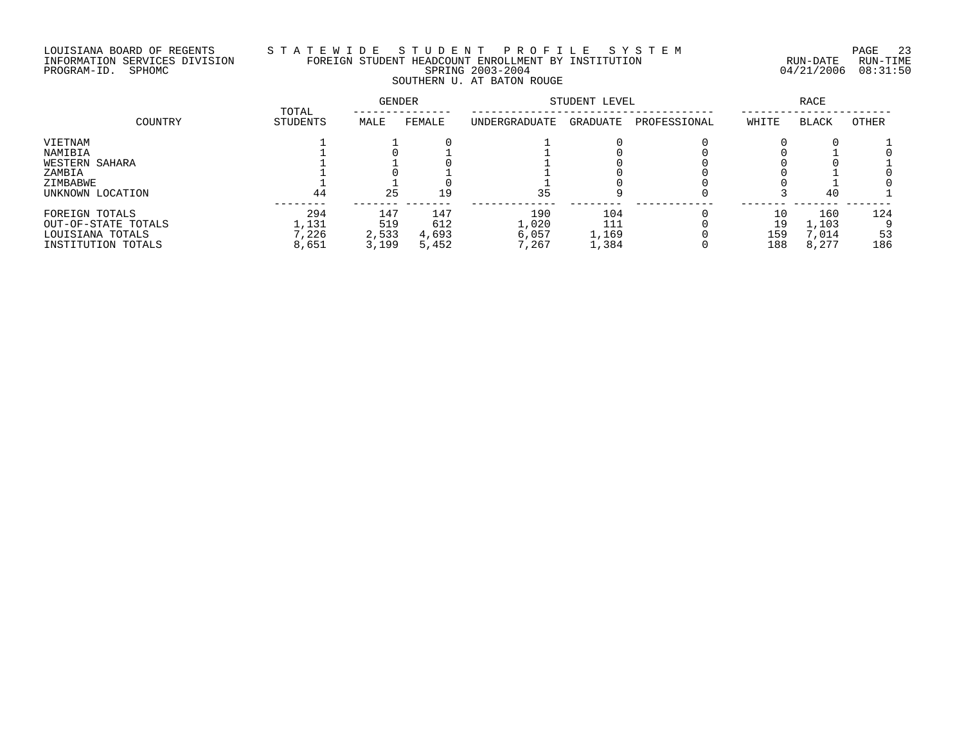# LOUISIANA BOARD OF REGENTS S T A T E W I D E S T U D E N T P R O F I L E S Y S T E M PAGE 23 INFORMATION SERVICES DIVISION FOREIGN STUDENT HEADCOUNT ENROLLMENT BY INSTITUTION RUN-DATE RUN-TIME PROGRAM-ID. SPHOMC SPRING 2003-2004 04/21/2006 08:31:50 SOUTHERN U. AT BATON ROUGE

| COUNTRY             |                   | GENDER |        | STUDENT LEVEL | RACE     |              |       |              |       |
|---------------------|-------------------|--------|--------|---------------|----------|--------------|-------|--------------|-------|
|                     | TOTAL<br>STUDENTS | MALE   | FEMALE | UNDERGRADUATE | GRADUATE | PROFESSIONAL | WHITE | <b>BLACK</b> | OTHER |
| VIETNAM             |                   |        |        |               |          |              |       |              |       |
| NAMIBIA             |                   |        |        |               |          |              |       |              |       |
| WESTERN SAHARA      |                   |        |        |               |          |              |       |              |       |
| ZAMBIA              |                   |        |        |               |          |              |       |              |       |
| ZIMBABWE            |                   |        |        |               |          |              |       |              |       |
| UNKNOWN LOCATION    | 44                | 25     | 19     | 35            |          |              |       | 40           |       |
| FOREIGN TOTALS      | 294               | 147    | 147    | 190           | 104      |              |       | 160          | 124   |
| OUT-OF-STATE TOTALS | 1,131             | 519    | 612    | 1,020         | 111      |              | 19    | ,103         |       |
| LOUISIANA TOTALS    | ,226              | 2,533  | 4,693  | 6,057         | 1,169    |              | 159   | ,014         | 53    |
| INSTITUTION TOTALS  | 8,651             | 3,199  | 5,452  | 7,267         | 1,384    |              | 188   | 8,277        | 186   |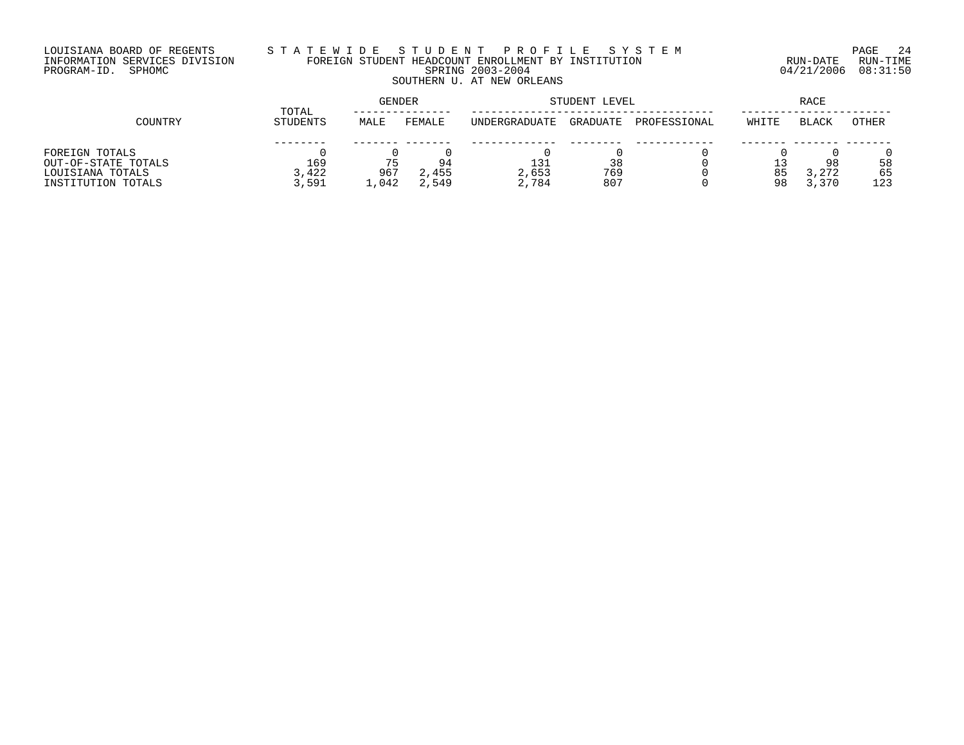## LOUISIANA BOARD OF REGENTS S T A T E W I D E S T U D E N T P R O F I L E S Y S T E M PAGE 24 INFORMATION SERVICES DIVISION FOREIGN STUDENT HEADCOUNT ENROLLMENT BY INSTITUTION RUN-DATE RUN-TIME PROGRAM-ID. SPHOMC SPRING 2003-2004 04/21/2006 08:31:50 SOUTHERN U. AT NEW ORLEANS

|                     | TOTAL    | GENDER |        |               | STUDENT LEVEL | RACE         |       |              |       |
|---------------------|----------|--------|--------|---------------|---------------|--------------|-------|--------------|-------|
| COUNTRY             | STUDENTS | MALE   | FEMALE | UNDERGRADUATE | GRADUATE      | PROFESSIONAL | WHITE | <b>BLACK</b> | OTHER |
|                     |          |        |        |               |               |              |       |              |       |
| FOREIGN TOTALS      |          |        |        |               |               |              |       |              |       |
| OUT-OF-STATE TOTALS | 169      |        | 94     | 131           | 38            |              |       | 98           | 58    |
| LOUISIANA TOTALS    | 3,422    | 967    | 2,455  | 2,653         | 769           |              | 85    | 3,272        | 65    |
| INSTITUTION TOTALS  | 3,591    | 1,042  | 2,549  | 2,784         | 807           |              | 98    | 3,370        | 123   |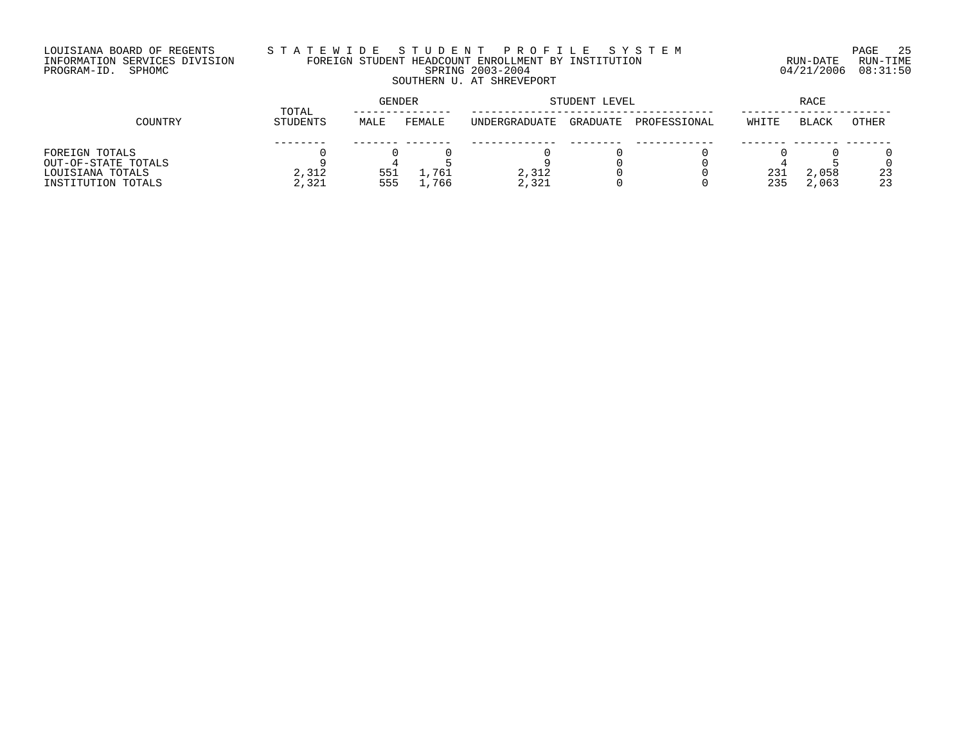# LOUISIANA BOARD OF REGENTS S T A T E W I D E S T U D E N T P R O F I L E S Y S T E M PAGE 25 INFORMATION SERVICES DIVISION FOREIGN STUDENT HEADCOUNT ENROLLMENT BY INSTITUTION RUN-DATE RUN-TIME PROGRAM-ID. SPHOMC SPRING 2003-2004 04/21/2006 08:31:50 SOUTHERN U. AT SHREVEPORT

|                     |          | GENDER<br>TOTAL |        |               | STUDENT LEVEL |              |       |       | RACE  |  |  |
|---------------------|----------|-----------------|--------|---------------|---------------|--------------|-------|-------|-------|--|--|
| COUNTRY             | STUDENTS | MALE            | FEMALE | UNDERGRADUATE | GRADUATE      | PROFESSIONAL | WHITE | BLACK | OTHER |  |  |
|                     |          |                 |        |               |               |              |       |       |       |  |  |
| FOREIGN TOTALS      |          |                 |        |               |               |              |       |       |       |  |  |
| OUT-OF-STATE TOTALS |          |                 |        |               |               |              |       |       |       |  |  |
| LOUISIANA TOTALS    | 2,312    | 551             | 761    | 2,312         |               |              | 231   | 2,058 | 23    |  |  |
| INSTITUTION TOTALS  | 2,321    | 555             | 766    | 2,321         |               |              | 235   | 2,063 | 23    |  |  |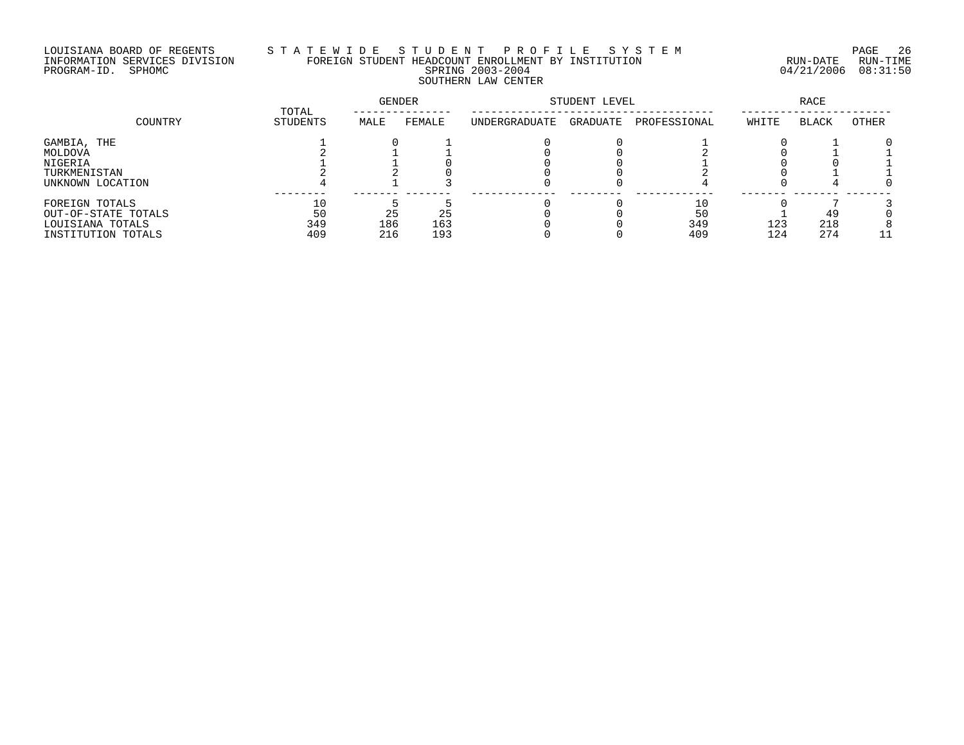# LOUISIANA BOARD OF REGENTS S T A T E W I D E S T U D E N T P R O F I L E S Y S T E M PAGE 26 INFORMATION SERVICES DIVISION FOREIGN STUDENT HEADCOUNT ENROLLMENT BY INSTITUTION RUN-DATE RUN-TIME PROGRAM-ID. SPHOMC SPRING 2003-2004 04/21/2006 08:31:50 SOUTHERN LAW CENTER

|                     |                          | GENDER |        | STUDENT LEVEL | RACE     |              |       |              |       |
|---------------------|--------------------------|--------|--------|---------------|----------|--------------|-------|--------------|-------|
| COUNTRY             | TOTAL<br><b>STUDENTS</b> | MALE   | FEMALE | UNDERGRADUATE | GRADUATE | PROFESSIONAL | WHITE | <b>BLACK</b> | OTHER |
| GAMBIA, THE         |                          |        |        |               |          |              |       |              |       |
| MOLDOVA             |                          |        |        |               |          |              |       |              |       |
| NIGERIA             |                          |        |        |               |          |              |       |              |       |
| TURKMENISTAN        |                          |        |        |               |          |              |       |              |       |
| UNKNOWN LOCATION    |                          |        |        |               |          |              |       |              |       |
| FOREIGN TOTALS      |                          |        |        |               |          |              |       |              |       |
| OUT-OF-STATE TOTALS | 50                       | 25     | 25     |               |          | 50           |       | 49           |       |
| LOUISIANA TOTALS    | 349                      | 186    | 163    |               |          | 349          | 123   | 218          |       |
| INSTITUTION TOTALS  | 409                      | 216    | 193    |               |          | 409          | 124   | 274          |       |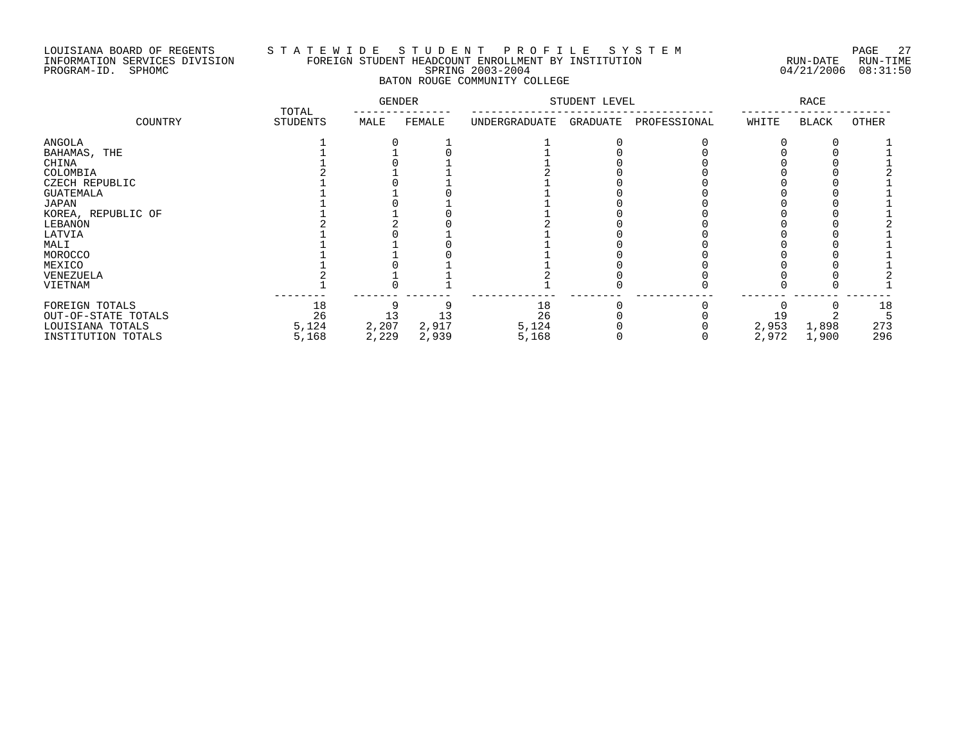### LOUISIANA BOARD OF REGENTS S T A T E W I D E S T U D E N T P R O F I L E S Y S T E M PAGE 27 INFORMATION SERVICES DIVISION FOREIGN STUDENT HEADCOUNT ENROLLMENT BY INSTITUTION RUN-DATE RUN-TIME PROGRAM-ID. SPHOMC SPRING 2003-2004 04/21/2006 08:31:50 BATON ROUGE COMMUNITY COLLEGE

|                                                                                                                                                                                     | TOTAL                      | <b>GENDER</b>        |                      | STUDENT LEVEL              |          |              | RACE           |                |                  |
|-------------------------------------------------------------------------------------------------------------------------------------------------------------------------------------|----------------------------|----------------------|----------------------|----------------------------|----------|--------------|----------------|----------------|------------------|
| COUNTRY                                                                                                                                                                             | STUDENTS                   | MALE                 | FEMALE               | UNDERGRADUATE              | GRADUATE | PROFESSIONAL | WHITE          | <b>BLACK</b>   | <b>OTHER</b>     |
| ANGOLA<br>BAHAMAS, THE<br>CHINA<br>COLOMBIA<br>CZECH REPUBLIC<br>GUATEMALA<br>JAPAN<br>KOREA, REPUBLIC OF<br>LEBANON<br>LATVIA<br>MALI<br>MOROCCO<br>MEXICO<br>VENEZUELA<br>VIETNAM |                            |                      |                      |                            |          |              |                |                |                  |
| FOREIGN TOTALS<br>OUT-OF-STATE TOTALS<br>LOUISIANA TOTALS<br>INSTITUTION TOTALS                                                                                                     | 18<br>26<br>5,124<br>5,168 | 13<br>2,207<br>2,229 | 13<br>2,917<br>2,939 | 18<br>26<br>5,124<br>5,168 |          |              | 2,953<br>2,972 | 1,898<br>1,900 | 18<br>273<br>296 |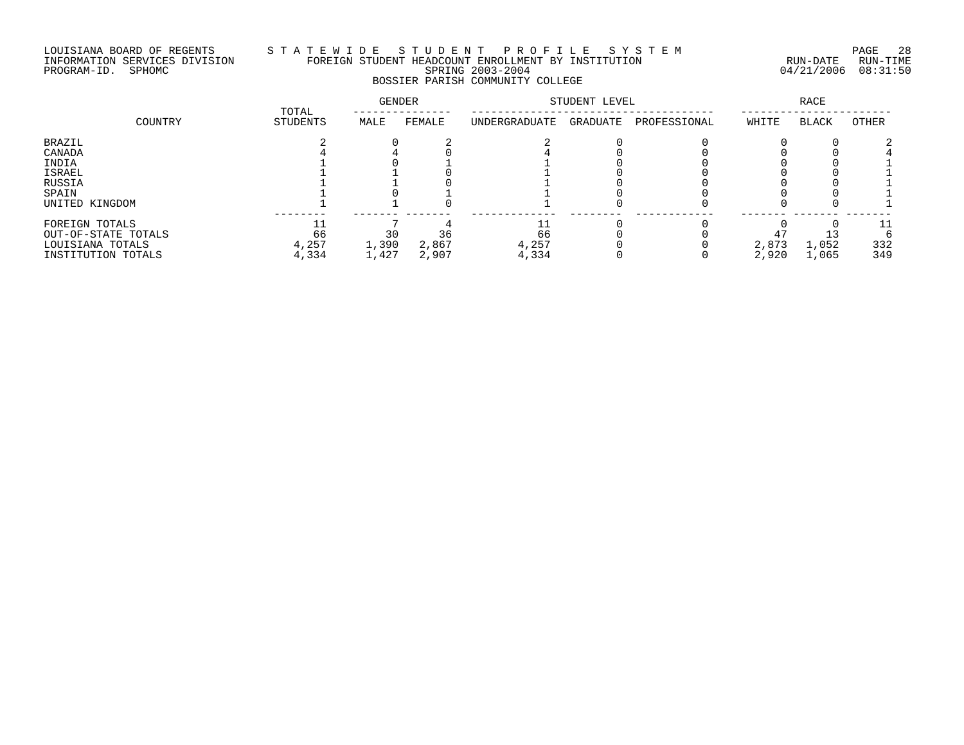# LOUISIANA BOARD OF REGENTS S T A T E W I D E S T U D E N T P R O F I L E S Y S T E M PAGE 28 INFORMATION SERVICES DIVISION FOREIGN STUDENT HEADCOUNT ENROLLMENT BY INSTITUTION RUN-DATE RUN-TIME PROGRAM-ID. SPHOMC SPRING 2003-2004 04/21/2006 08:31:50 BOSSIER PARISH COMMUNITY COLLEGE

|                     | TOTAL           | GENDER |        | STUDENT LEVEL | <b>RACE</b> |              |       |       |       |
|---------------------|-----------------|--------|--------|---------------|-------------|--------------|-------|-------|-------|
| COUNTRY             | <b>STUDENTS</b> | MALE   | FEMALE | UNDERGRADUATE | GRADUATE    | PROFESSIONAL | WHITE | BLACK | OTHER |
| <b>BRAZIL</b>       |                 |        |        |               |             |              |       |       |       |
| CANADA              |                 |        |        |               |             |              |       |       |       |
| INDIA               |                 |        |        |               |             |              |       |       |       |
| ISRAEL              |                 |        |        |               |             |              |       |       |       |
| RUSSIA              |                 |        |        |               |             |              |       |       |       |
| SPAIN               |                 |        |        |               |             |              |       |       |       |
| UNITED KINGDOM      |                 |        |        |               |             |              |       |       |       |
| FOREIGN TOTALS      |                 |        |        |               |             |              |       |       | 11    |
| OUT-OF-STATE TOTALS | 66              | 30     | 36     | 66            |             |              |       |       |       |
| LOUISIANA TOTALS    | 4,257           | 1,390  | 2,867  | 4,257         |             |              | 2,873 | 1,052 | 332   |
| INSTITUTION TOTALS  | 4,334           | 1,427  | 2,907  | 4,334         |             |              | 2,920 | 1,065 | 349   |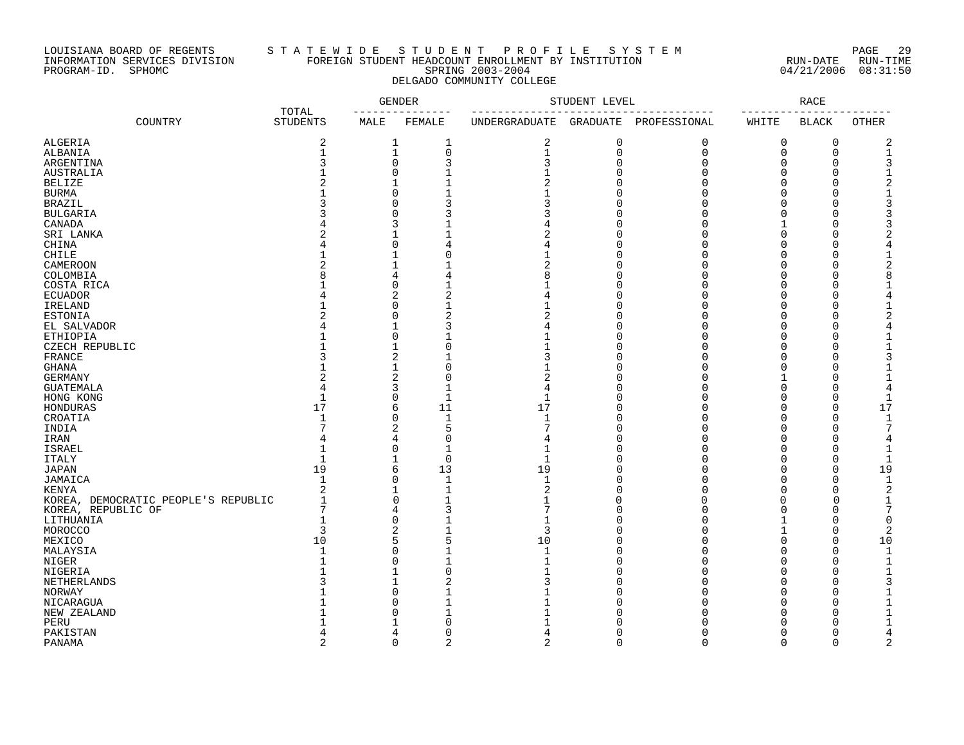### LOUISIANA BOARD OF REGENTS S T A T E W I D E S T U D E N T P R O F I L E S Y S T E M PAGE 29 INFORMATION SERVICES DIVISION FOREIGN STUDENT HEADCOUNT ENROLLMENT BY INSTITUTION RUN-DATE RUN-TIME PROGRAM-ID. SPHOMC SPRING 2003-2004 04/21/2006 08:31:50 DELGADO COMMUNITY COLLEGE

|                                     |                          |                  | <b>GENDER</b>  |                      | STUDENT LEVEL  |              |          | <b>RACE</b>  |                               |
|-------------------------------------|--------------------------|------------------|----------------|----------------------|----------------|--------------|----------|--------------|-------------------------------|
| COUNTRY                             | TOTAL<br><b>STUDENTS</b> | MALE             | FEMALE         | <b>UNDERGRADUATE</b> | GRADUATE       | PROFESSIONAL | WHITE    | <b>BLACK</b> | OTHER                         |
| ALGERIA                             | $\overline{c}$           | 1                | 1              | 2                    | $\mathsf 0$    | 0            | 0        | 0            | $\overline{c}$                |
| ALBANIA                             | $\mathbf{1}$             | $\mathbf 1$      | $\mathbf 0$    | $\mathbf 1$          | $\mathbf 0$    | $\mathbf 0$  | 0        | 0            | $\mathbf 1$                   |
| ARGENTINA                           | 3                        | $\mathbf 0$      | 3              | 3                    | $\overline{0}$ | $\mathbf 0$  | 0        | 0            | 3                             |
| <b>AUSTRALIA</b>                    |                          | $\Omega$         | $\mathbf{1}$   |                      | $\Omega$       | $\Omega$     | $\Omega$ | $\Omega$     | $\mathbf{1}$                  |
| <b>BELIZE</b>                       |                          | 1                | $\mathbf{1}$   |                      | $\Omega$       | $\mathbf 0$  | 0        | 0            | $\overline{2}$                |
| <b>BURMA</b>                        |                          | $\Omega$         | $\mathbf{1}$   |                      | $\Omega$       | $\Omega$     | 0        | $\Omega$     | $\mathbf 1$                   |
| <b>BRAZIL</b>                       |                          | $\Omega$         | 3              | 3                    | ∩              | $\Omega$     | O        | $\Omega$     | 3                             |
| <b>BULGARIA</b>                     |                          | $\Omega$         | 3              |                      | ∩              | $\cap$       | $\Omega$ | $\Omega$     | 3                             |
| CANADA                              |                          | 3                | $\mathbf{1}$   |                      | $\Omega$       | 0            | 1        | $\Omega$     | 3                             |
| SRI LANKA                           |                          | 1                |                |                      | $\Omega$       | $\Omega$     | 0        | $\Omega$     | $\overline{2}$                |
| CHINA                               |                          | $\Omega$         | 4              | 4                    | $\Omega$       | $\Omega$     | 0        | $\Omega$     | $\overline{4}$                |
| CHILE                               |                          | $\mathbf{1}$     | $\Omega$       | 1                    | $\Omega$       | $\Omega$     | $\Omega$ | $\Omega$     | $\mathbf{1}$                  |
|                                     | $\overline{c}$           |                  | $\mathbf{1}$   | $\overline{c}$       | $\Omega$       | $\mathbf 0$  | 0        | 0            | $\overline{c}$                |
| CAMEROON                            | 8                        | $\mathbf 1$<br>4 | $\overline{4}$ | 8                    | $\Omega$       | $\Omega$     | 0        | 0            |                               |
| COLOMBIA                            |                          |                  |                |                      |                |              |          |              | 8                             |
| COSTA RICA                          |                          | $\Omega$         |                |                      | $\Omega$       | $\Omega$     | $\Omega$ | $\Omega$     | $\mathbf 1$                   |
| <b>ECUADOR</b>                      |                          | 2                | $\overline{2}$ | 4                    | $\Omega$       | $\Omega$     | 0        | 0            | $\overline{4}$                |
| IRELAND                             |                          | O                | $\mathbf{1}$   |                      | $\Omega$       | $\Omega$     | $\Omega$ | 0            | $\mathbf{1}$                  |
| <b>ESTONIA</b>                      |                          | $\Omega$         | $\overline{2}$ |                      | $\Omega$       | $\mathbf 0$  | 0        | 0            | $\overline{2}$                |
| EL SALVADOR                         |                          | 1                | 3              |                      | $\Omega$       | $\Omega$     | 0        | 0            | $\overline{4}$                |
| <b>ETHIOPIA</b>                     |                          | $\Omega$         |                |                      | $\Omega$       | $\Omega$     | $\Omega$ | $\Omega$     | $\mathbf{1}$                  |
| CZECH REPUBLIC                      |                          | $\mathbf{1}$     | $\Omega$       |                      | $\Omega$       | $\Omega$     | $\Omega$ | $\Omega$     | $\mathbf{1}$                  |
| FRANCE                              |                          | 2                | 1              | 3                    | $\Omega$       | 0            | 0        | 0            | 3                             |
| <b>GHANA</b>                        |                          | 1                | $\Omega$       |                      | $\Omega$       | $\Omega$     | 0        | 0            | $\mathbf{1}$                  |
| <b>GERMANY</b>                      | 2                        | 2                | $\Omega$       | 2                    | $\Omega$       | $\Omega$     | 1        | 0            | $\mathbf 1$                   |
| <b>GUATEMALA</b>                    | $\overline{4}$           | 3                | $\mathbf{1}$   | 4                    | $\cap$         | $\Omega$     | $\Omega$ | $\Omega$     | $\overline{4}$                |
| HONG KONG                           | $\mathbf{1}$             | $\Omega$         | $\mathbf{1}$   | $\mathbf{1}$         | $\Omega$       | $\Omega$     | 0        | 0            | $\mathbf{1}$                  |
| HONDURAS                            | 17                       | 6                | 11             | 17                   | $\Omega$       | $\Omega$     | 0        | 0            | 17                            |
| CROATIA                             |                          | $\Omega$         | $\mathbf{1}$   | $\mathbf{1}$         | $\Omega$       | $\Omega$     | $\Omega$ | $\Omega$     | $\mathbf 1$                   |
| INDIA                               |                          | 2                | 5              | 7                    | $\Omega$       | $\Omega$     | $\Omega$ | 0            | $\overline{7}$                |
| IRAN                                |                          | 4                | $\Omega$       | 4                    | $\Omega$       | $\Omega$     | $\Omega$ | $\Omega$     | $\overline{4}$                |
| <b>ISRAEL</b>                       |                          | $\Omega$         | 1              | $\mathbf 1$          | $\Omega$       | $\mathbf 0$  | 0        | 0            | $\mathbf 1$                   |
| <b>ITALY</b>                        | $\mathbf{1}$             | 1                | $\mathbf 0$    | $\mathbf{1}$         | $\Omega$       | $\Omega$     | 0        | 0            | $\mathbf 1$                   |
| <b>JAPAN</b>                        | 19                       | 6                | 13             | 19                   | $\Omega$       | $\Omega$     | $\Omega$ | $\Omega$     | 19                            |
| JAMAICA                             | $\mathbf{1}$             | $\Omega$         | $\mathbf{1}$   | $\mathbf{1}$         | $\Omega$       | $\Omega$     | 0        | 0            | $\mathbf{1}$                  |
| <b>KENYA</b>                        | $\overline{c}$           | 1                | $\mathbf{1}$   | 2                    | $\Omega$       | $\Omega$     | 0        | 0            | $\overline{2}$                |
| KOREA, DEMOCRATIC PEOPLE'S REPUBLIC | $\mathbf{1}$             | 0                | $\mathbf{1}$   | 1                    | 0              | $\Omega$     | $\Omega$ | $\Omega$     | 1                             |
| KOREA, REPUBLIC OF                  | 7                        | 4                | 3              | 7                    | $\Omega$       | $\Omega$     | O        | $\Omega$     | $\overline{7}$                |
| LITHUANIA                           | $\mathbf{1}$             | $\Omega$         | $\mathbf{1}$   | $\mathbf 1$          | $\Omega$       | $\Omega$     | 1        | 0            | $\mathbf 0$                   |
| MOROCCO                             | 3                        | 2                | $\mathbf{1}$   | 3                    | $\Omega$       | $\Omega$     | 1        | 0            | 2                             |
| MEXICO                              | 10                       | 5                | 5              | 10                   | $\Omega$       | $\Omega$     | 0        | 0            | 10                            |
| MALAYSIA                            |                          | $\Omega$         |                | $\mathbf{1}$         | $\Omega$       | $\Omega$     | $\Omega$ | $\Omega$     | $\mathbf{1}$                  |
| NIGER                               |                          | $\Omega$         | $\mathbf{1}$   | $\mathbf{1}$         | $\Omega$       | $\Omega$     | $\Omega$ | 0            | $\mathbf{1}$                  |
|                                     |                          |                  | $\Omega$       |                      | $\Omega$       | $\Omega$     | 0        | $\Omega$     |                               |
| NIGERIA                             |                          | 1                | 2              |                      | $\Omega$       | 0            | 0        | 0            | $\mathbf 1$<br>$\overline{3}$ |
| NETHERLANDS                         |                          |                  |                |                      | $\Omega$       | $\Omega$     |          |              |                               |
| NORWAY                              |                          | $\Omega$         | $\mathbf{1}$   |                      |                |              | 0        | 0            | $\mathbf{1}$                  |
| NICARAGUA                           |                          | $\Omega$         |                |                      | $\Omega$       | $\Omega$     | $\Omega$ | $\Omega$     | $\mathbf{1}$                  |
| NEW ZEALAND                         |                          | O                | $\mathbf{1}$   |                      | O              | U            | 0        | 0            | $\mathbf 1$                   |
| PERU                                |                          |                  | $\Omega$       |                      | ∩              | U            | O        | 0            | $\mathbf 1$                   |
| PAKISTAN                            |                          | 4                | $\Omega$       |                      | $\Omega$       | $\Omega$     | 0        | 0            | $\overline{4}$                |
| PANAMA                              | $\overline{2}$           | $\Omega$         | $\overline{2}$ | $\overline{a}$       | $\Omega$       | $\Omega$     | $\Omega$ | $\Omega$     | $\overline{2}$                |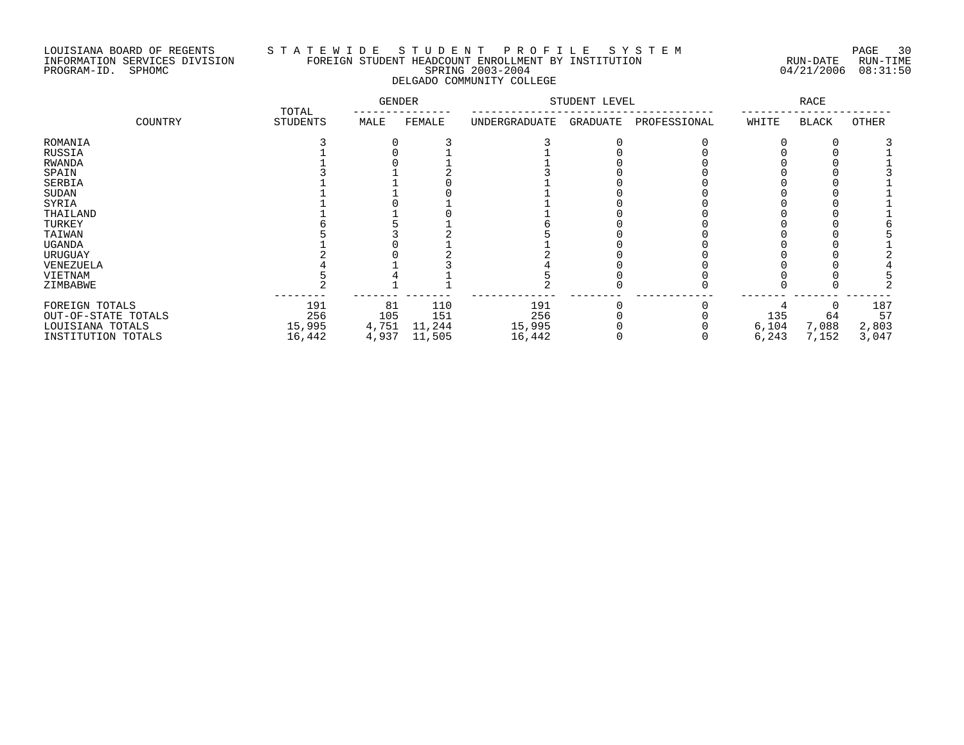### LOUISIANA BOARD OF REGENTS S T A T E W I D E S T U D E N T P R O F I L E S Y S T E M PAGE 30 INFORMATION SERVICES DIVISION FOREIGN STUDENT HEADCOUNT ENROLLMENT BY INSTITUTION RUN-DATE RUN-TIME PROGRAM-ID. SPHOMC SPRING 2003-2004 04/21/2006 08:31:50 DELGADO COMMUNITY COLLEGE

|                     | TOTAL           | <b>GENDER</b> |        |               | STUDENT LEVEL |              | <b>RACE</b> |       |              |
|---------------------|-----------------|---------------|--------|---------------|---------------|--------------|-------------|-------|--------------|
| COUNTRY             | <b>STUDENTS</b> | MALE          | FEMALE | UNDERGRADUATE | GRADUATE      | PROFESSIONAL | WHITE       | BLACK | <b>OTHER</b> |
| ROMANIA             |                 |               |        |               |               |              |             |       |              |
| RUSSIA              |                 |               |        |               |               |              |             |       |              |
| RWANDA              |                 |               |        |               |               |              |             |       |              |
| SPAIN               |                 |               |        |               |               |              |             |       |              |
| SERBIA              |                 |               |        |               |               |              |             |       |              |
| SUDAN               |                 |               |        |               |               |              |             |       |              |
| SYRIA               |                 |               |        |               |               |              |             |       |              |
| THAILAND            |                 |               |        |               |               |              |             |       |              |
| TURKEY              |                 |               |        |               |               |              |             |       |              |
| TAIWAN              |                 |               |        |               |               |              |             |       |              |
| <b>UGANDA</b>       |                 |               |        |               |               |              |             |       |              |
| URUGUAY             |                 |               |        |               |               |              |             |       |              |
| VENEZUELA           |                 |               |        |               |               |              |             |       |              |
| VIETNAM             |                 |               |        |               |               |              |             |       |              |
| ZIMBABWE            |                 |               |        |               |               |              |             |       |              |
| FOREIGN TOTALS      | 191             | 81            | 110    | 191           |               |              |             |       | 187          |
| OUT-OF-STATE TOTALS | 256             | 105           | 151    | 256           |               |              | 135         | 64    | 57           |
| LOUISIANA TOTALS    | 15,995          | 4,751         | 11,244 | 15,995        |               |              | 6,104       | 7,088 | 2,803        |
| INSTITUTION TOTALS  | 16,442          | 4,937         | 11,505 | 16,442        |               |              | 6,243       | 7,152 | 3,047        |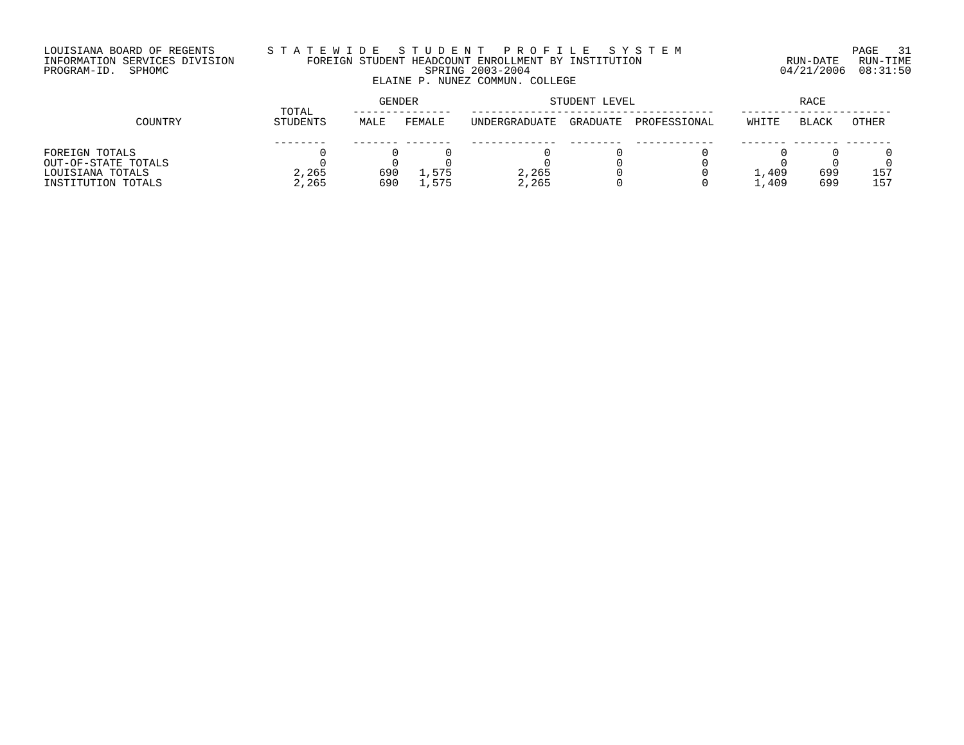### LOUISIANA BOARD OF REGENTS S T A T E W I D E S T U D E N T P R O F I L E S Y S T E M PAGE 31 INFORMATION SERVICES DIVISION FOREIGN STUDENT HEADCOUNT ENROLLMENT BY INSTITUTION RUN-DATE RUN-TIME PROGRAM-ID. SPHOMC SPRING 2003-2004 04/21/2006 08:31:50 ELAINE P. NUNEZ COMMUN. COLLEGE

|                     | TOTAL           | <b>GENDER</b> |        |               | STUDENT LEVEL |              |       |              |       |
|---------------------|-----------------|---------------|--------|---------------|---------------|--------------|-------|--------------|-------|
| COUNTRY             | <b>STUDENTS</b> | MALE          | FEMALE | UNDERGRADUATE | GRADUATE      | PROFESSIONAL | WHITE | <b>BLACK</b> | OTHER |
|                     |                 |               |        |               |               |              |       |              |       |
| FOREIGN TOTALS      |                 |               |        |               |               |              |       |              |       |
| OUT-OF-STATE TOTALS |                 |               |        |               |               |              |       |              |       |
| LOUISIANA TOTALS    | 2,265           | 690           | 1,575  | 2,265         |               |              | 1,409 | 699          | 157   |
| INSTITUTION TOTALS  | 2,265           | 690           | 575,   | 2,265         |               |              | 1,409 | 699          | 157   |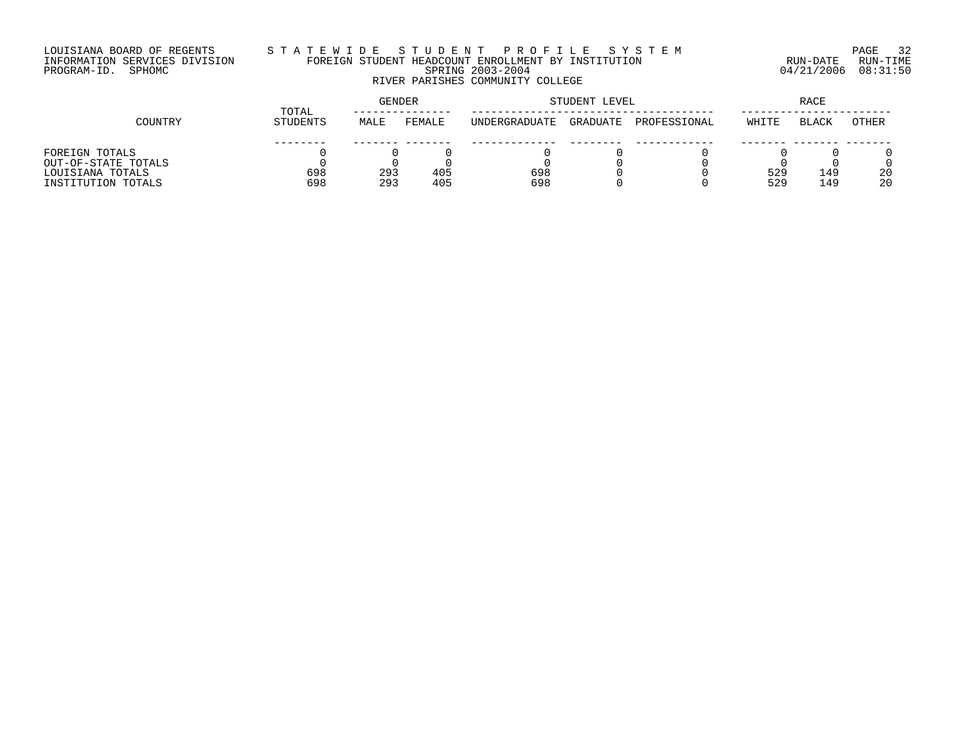# LOUISIANA BOARD OF REGENTS S T A T E W I D E S T U D E N T P R O F I L E S Y S T E M PAGE 32 INFORMATION SERVICES DIVISION FOREIGN STUDENT HEADCOUNT ENROLLMENT BY INSTITUTION RUN-DATE RUN-TIME PROGRAM-ID. SPHOMC SPRING 2003-2004 04/21/2006 08:31:50 RIVER PARISHES COMMUNITY COLLEGE

|                     | TOTAL    | <b>GENDER</b> |        |                      | STUDENT LEVEL |              |       |              |       |
|---------------------|----------|---------------|--------|----------------------|---------------|--------------|-------|--------------|-------|
| COUNTRY             | STUDENTS | MALE          | FEMALE | <b>INDERGRADUATE</b> | GRADUATE      | PROFESSIONAL | WHITE | <b>BLACK</b> | OTHER |
|                     |          |               |        |                      |               |              |       |              |       |
| FOREIGN TOTALS      |          |               |        |                      |               |              |       |              |       |
| OUT-OF-STATE TOTALS |          |               |        |                      |               |              |       |              |       |
| LOUISIANA TOTALS    | 698      | 293           | 405    | 698                  |               |              | 529   | 149          | 20    |
| INSTITUTION TOTALS  | 698      | 293           | 405    | 698                  |               |              | 529   | ⊥49          | 20    |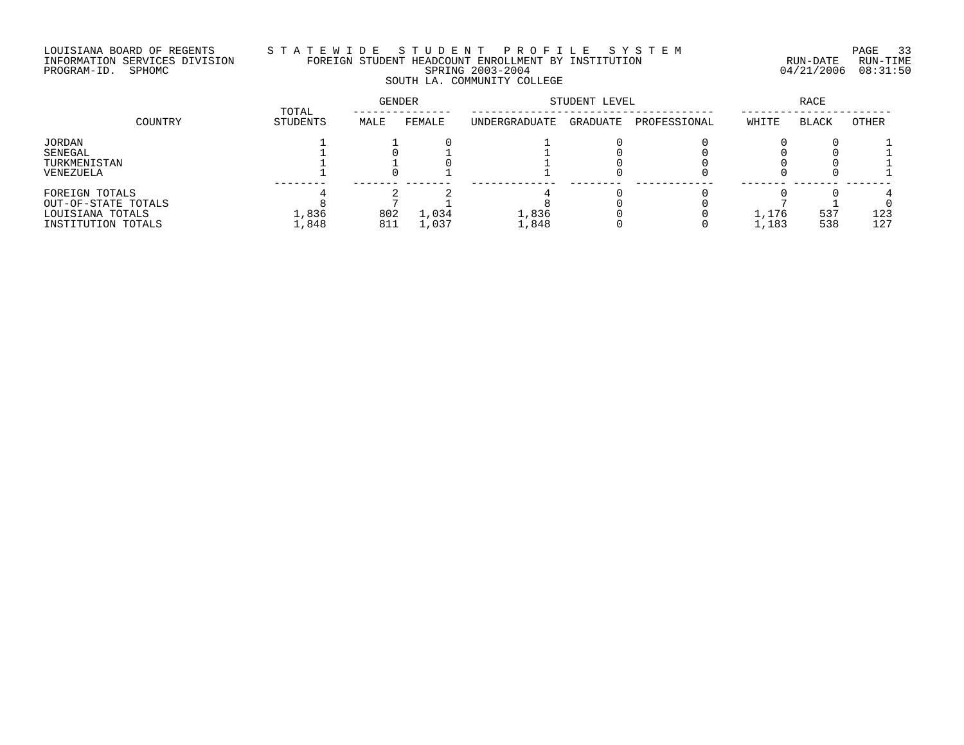# LOUISIANA BOARD OF REGENTS S T A T E W I D E S T U D E N T P R O F I L E S Y S T E M PAGE 33 INFORMATION SERVICES DIVISION FOREIGN STUDENT HEADCOUNT ENROLLMENT BY INSTITUTION RUN-DATE RUN-TIME PROGRAM-ID. SPHOMC SPRING 2003-2004 04/21/2006 08:31:50 SOUTH LA. COMMUNITY COLLEGE

|                     | TOTAL      | GENDER |        | STUDENT LEVEL | RACE     |              |       |              |       |
|---------------------|------------|--------|--------|---------------|----------|--------------|-------|--------------|-------|
| COUNTRY             | STUDENTS   | MALE   | FEMALE | UNDERGRADUATE | GRADUATE | PROFESSIONAL | WHITE | <b>BLACK</b> | OTHER |
| JORDAN              |            |        |        |               |          |              |       |              |       |
| SENEGAL             |            |        |        |               |          |              |       |              |       |
| TURKMENISTAN        |            |        |        |               |          |              |       |              |       |
| VENEZUELA           |            |        |        |               |          |              |       |              |       |
| FOREIGN TOTALS      |            |        |        |               |          |              |       |              |       |
| OUT-OF-STATE TOTALS |            |        |        |               |          |              |       |              |       |
| LOUISIANA TOTALS    | $\pm$ ,836 | 802    | .,034  | 1,836         |          |              | 1,176 | 537          | 123   |
| INSTITUTION TOTALS  | ,848       | 811    | ,037   | 1,848         |          |              | 1,183 | 538          | 127   |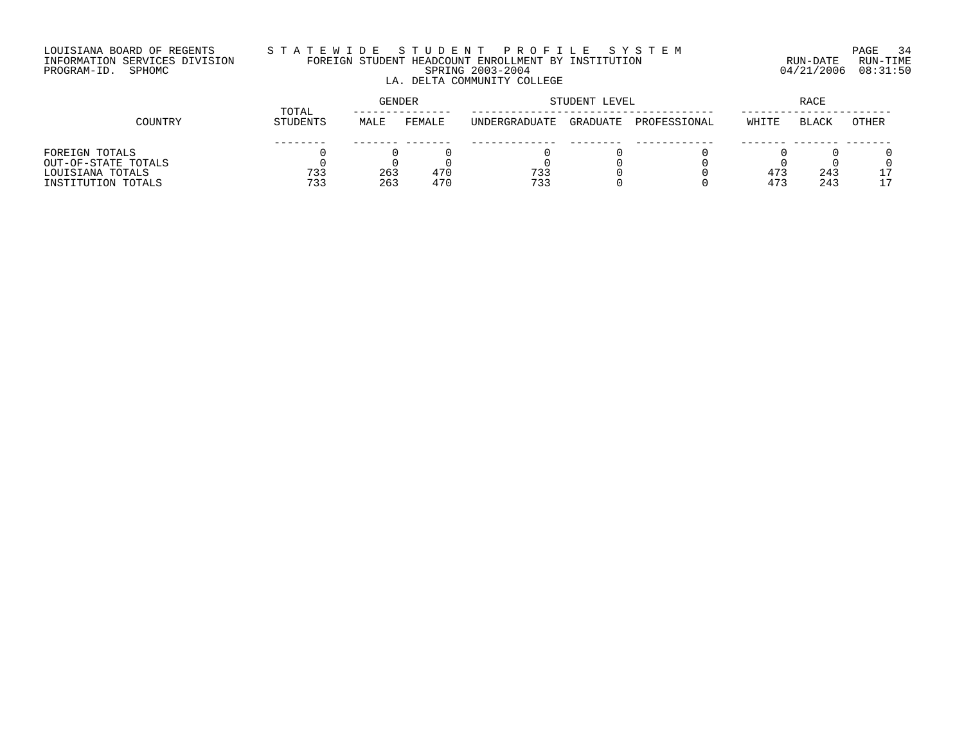# LOUISIANA BOARD OF REGENTS S T A T E W I D E S T U D E N T P R O F I L E S Y S T E M PAGE 34 INFORMATION SERVICES DIVISION FOREIGN STUDENT HEADCOUNT ENROLLMENT BY INSTITUTION RUN-DATE RUN-TIME PROGRAM-ID. SPHOMC SPRING 2003-2004 04/21/2006 08:31:50 LA. DELTA COMMUNITY COLLEGE

|                     | TOTAL    | <b>GENDER</b> |        |               | STUDENT LEVEL | RACE         |       |              |       |
|---------------------|----------|---------------|--------|---------------|---------------|--------------|-------|--------------|-------|
| COUNTRY             | STUDENTS | MALE          | FEMALE | UNDERGRADUATE | GRADUATE      | PROFESSIONAL | WHITE | <b>BLACK</b> | OTHER |
|                     |          |               |        |               |               |              |       |              |       |
| FOREIGN TOTALS      |          |               |        |               |               |              |       |              |       |
| OUT-OF-STATE TOTALS |          |               |        |               |               |              |       |              |       |
| LOUISIANA TOTALS    | 733      | 263           | 470    | 733           |               |              | 473   | 243          | 17    |
| INSTITUTION TOTALS  | 733      | 263           | 470    | 733           |               |              | 473   | 243          |       |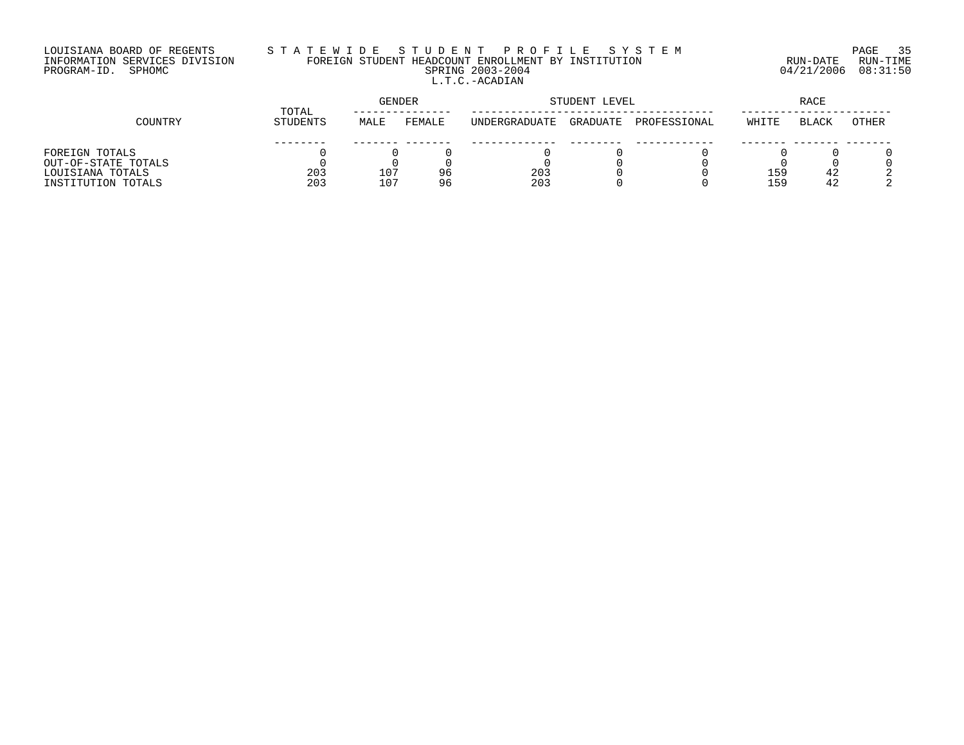# LOUISIANA BOARD OF REGENTS S T A T E W I D E S T U D E N T P R O F I L E S Y S T E M PAGE 35 INFORMATION SERVICES DIVISION FOREIGN STUDENT HEADCOUNT ENROLLMENT BY INSTITUTION RUN-DATE RUN-TIME PROGRAM-ID. SPHOMC SPRING 2003-2004 04/21/2006 08:31:50 L.T.C.-ACADIAN

|                     | TOTAL    | <b>GENDER</b> |        | STUDENT LEVEL |          | RACE         |       |              |       |
|---------------------|----------|---------------|--------|---------------|----------|--------------|-------|--------------|-------|
| COUNTRY             | STUDENTS | MALE          | FEMALE | UNDERGRADUATE | GRADUATE | PROFESSIONAL | WHITE | <b>BLACK</b> | OTHER |
|                     |          |               |        |               |          |              |       |              |       |
| FOREIGN TOTALS      |          |               |        |               |          |              |       |              |       |
| OUT-OF-STATE TOTALS |          |               |        |               |          |              |       |              |       |
| LOUISIANA TOTALS    | 203      | 107           | 96     | 203           |          |              | 159   | 42           |       |
| INSTITUTION TOTALS  | 203      | 107           | 96     | 203           |          |              | 159   | 42           |       |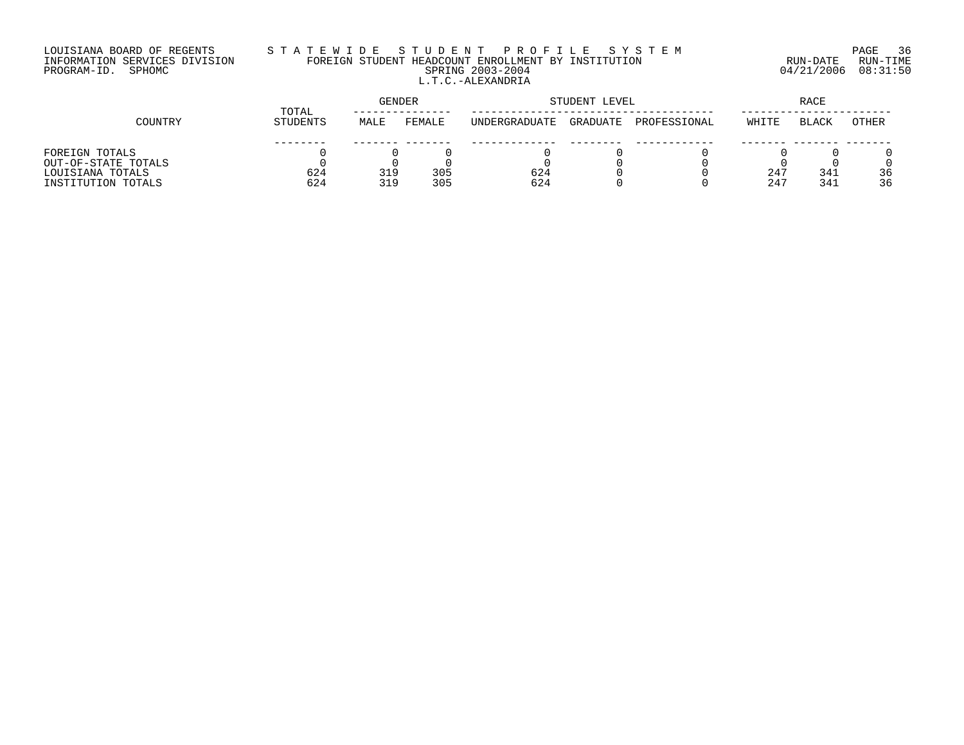# LOUISIANA BOARD OF REGENTS S T A T E W I D E S T U D E N T P R O F I L E S Y S T E M PAGE 36 INFORMATION SERVICES DIVISION FOREIGN STUDENT HEADCOUNT ENROLLMENT BY INSTITUTION RUN-DATE RUN-TIME PROGRAM-ID. SPHOMC SPRING 2003-2004 04/21/2006 08:31:50 L.T.C.-ALEXANDRIA

|                     | TOTAL    | <b>GENDER</b> |        | STUDENT LEVEL |          | RACE         |       |              |       |
|---------------------|----------|---------------|--------|---------------|----------|--------------|-------|--------------|-------|
| COUNTRY             | STUDENTS | MALE          | FEMALE | UNDERGRADUATE | GRADUATE | PROFESSIONAL | WHITE | <b>BLACK</b> | OTHER |
|                     |          |               |        |               |          |              |       |              |       |
| FOREIGN TOTALS      |          |               |        |               |          |              |       |              |       |
| OUT-OF-STATE TOTALS |          |               |        |               |          |              |       |              |       |
| LOUISIANA TOTALS    | 624      | 319           | 305    | 624           |          |              | 247   | 341          | 36    |
| INSTITUTION TOTALS  | 624      | 319           | 305    | 624           |          |              | 247   | 341          | 36    |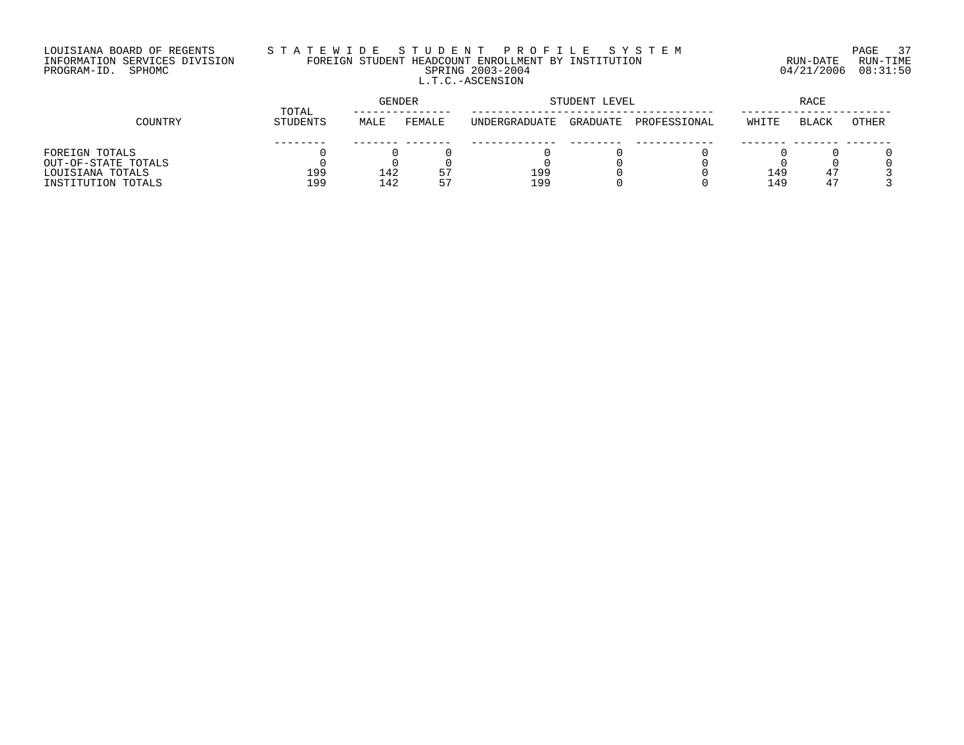# LOUISIANA BOARD OF REGENTS S T A T E W I D E S T U D E N T P R O F I L E S Y S T E M PAGE 37 INFORMATION SERVICES DIVISION FOREIGN STUDENT HEADCOUNT ENROLLMENT BY INSTITUTION RUN-DATE RUN-TIME PROGRAM-ID. SPHOMC SPRING 2003-2004 04/21/2006 08:31:50 L.T.C.-ASCENSION

|                     | TOTAL    | <b>GENDER</b> |        | STUDENT LEVEL | RACE     |              |       |              |       |
|---------------------|----------|---------------|--------|---------------|----------|--------------|-------|--------------|-------|
| COUNTRY             | STUDENTS | MALE          | FEMALE | UNDERGRADUATE | GRADUATE | PROFESSIONAL | WHITE | <b>BLACK</b> | OTHER |
|                     |          |               |        |               |          |              |       |              |       |
| FOREIGN TOTALS      |          |               |        |               |          |              |       |              |       |
| OUT-OF-STATE TOTALS |          |               |        |               |          |              |       |              |       |
| LOUISIANA TOTALS    | 199      | 142           | ו כ    | 199           |          |              | 149   | 47           |       |
| INSTITUTION TOTALS  | 199      | 142           | 57     | 199           |          |              | 149   | 47           |       |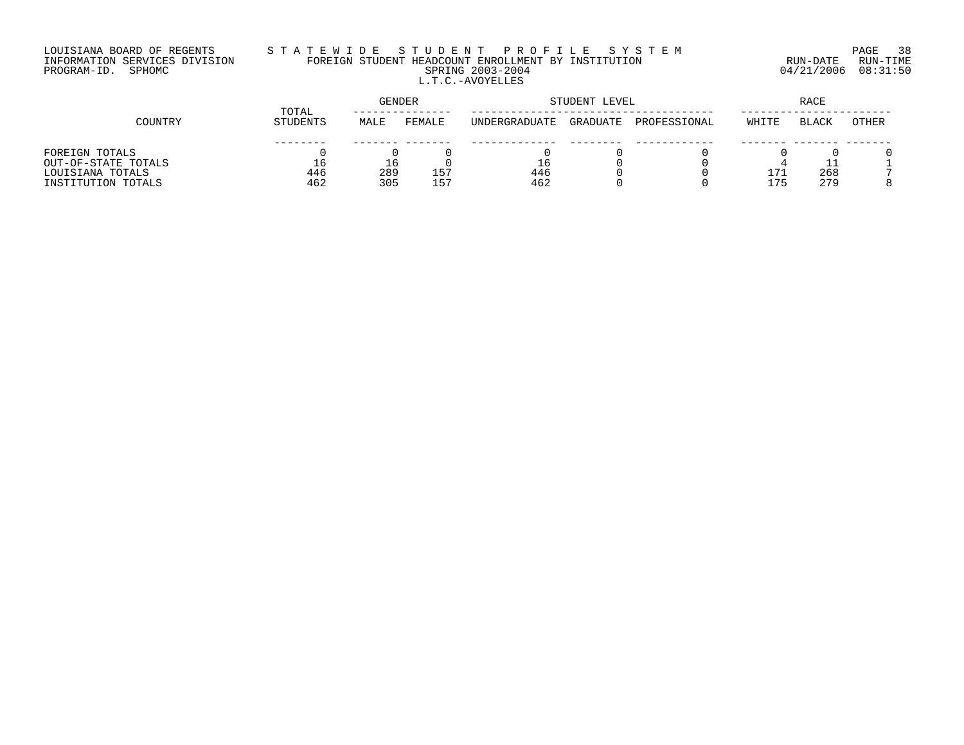# LOUISIANA BOARD OF REGENTS S T A T E W I D E S T U D E N T P R O F I L E S Y S T E M PAGE 38 INFORMATION SERVICES DIVISION FOREIGN STUDENT HEADCOUNT ENROLLMENT BY INSTITUTION RUN-DATE RUN-TIME PROGRAM-ID. SPHOMC SPRING 2003-2004 04/21/2006 08:31:50 L.T.C.-AVOYELLES

|                     | TOTAL    | GENDER |                 |                      | STUDENT LEVEL | RACE         |       |              |       |
|---------------------|----------|--------|-----------------|----------------------|---------------|--------------|-------|--------------|-------|
| COUNTRY             | STUDENTS | MALE   | FEMALE          | <b>INDERGRADUATE</b> | GRADUATE      | PROFESSIONAL | WHITE | <b>BLACK</b> | OTHER |
|                     |          |        |                 |                      |               |              |       |              |       |
| FOREIGN TOTALS      |          |        |                 |                      |               |              |       |              |       |
| OUT-OF-STATE TOTALS |          |        |                 | Tр                   |               |              |       |              |       |
| LOUISIANA TOTALS    | 446      | 289    | 157             | 446                  |               |              | 171   | 268          |       |
| INSTITUTION TOTALS  | 462      | 305    | 15 <sup>7</sup> | 462                  |               |              | 175   | 279          |       |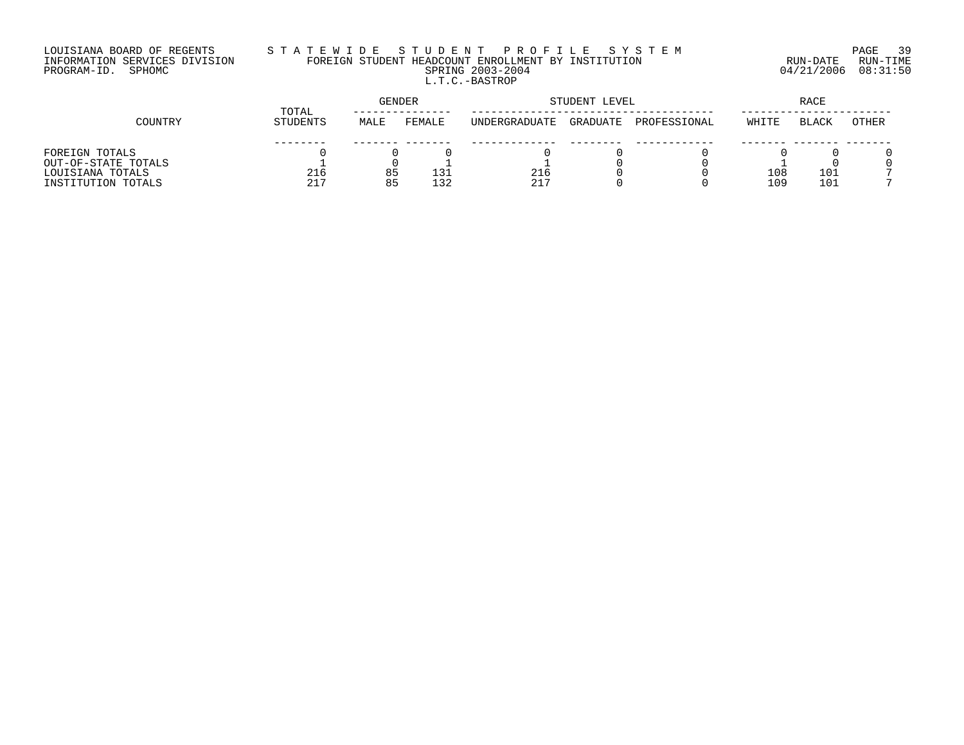# LOUISIANA BOARD OF REGENTS S T A T E W I D E S T U D E N T P R O F I L E S Y S T E M PAGE 39 INFORMATION SERVICES DIVISION FOREIGN STUDENT HEADCOUNT ENROLLMENT BY INSTITUTION RUN-DATE RUN-TIME PROGRAM-ID. SPHOMC SPRING 2003-2004 04/21/2006 08:31:50 L.T.C.-BASTROP

|                     | TOTAL    |      | GENDER |                      | STUDENT LEVEL |              | RACE  |       |       |
|---------------------|----------|------|--------|----------------------|---------------|--------------|-------|-------|-------|
| COUNTRY             | STUDENTS | MALE | FEMALE | <b>INDERGRADUATE</b> | GRADUATE      | PROFESSIONAL | WHITE | BLACK | OTHER |
|                     |          |      |        |                      |               |              |       |       |       |
| FOREIGN TOTALS      |          |      |        |                      |               |              |       |       |       |
| OUT-OF-STATE TOTALS |          |      |        |                      |               |              |       |       |       |
| LOUISIANA TOTALS    | 216      | 85   | ∟31    | 216                  |               |              | 108   | 101   |       |
| INSTITUTION TOTALS  | 217      | 85   | 132    | 217                  |               |              | 109   | 101   |       |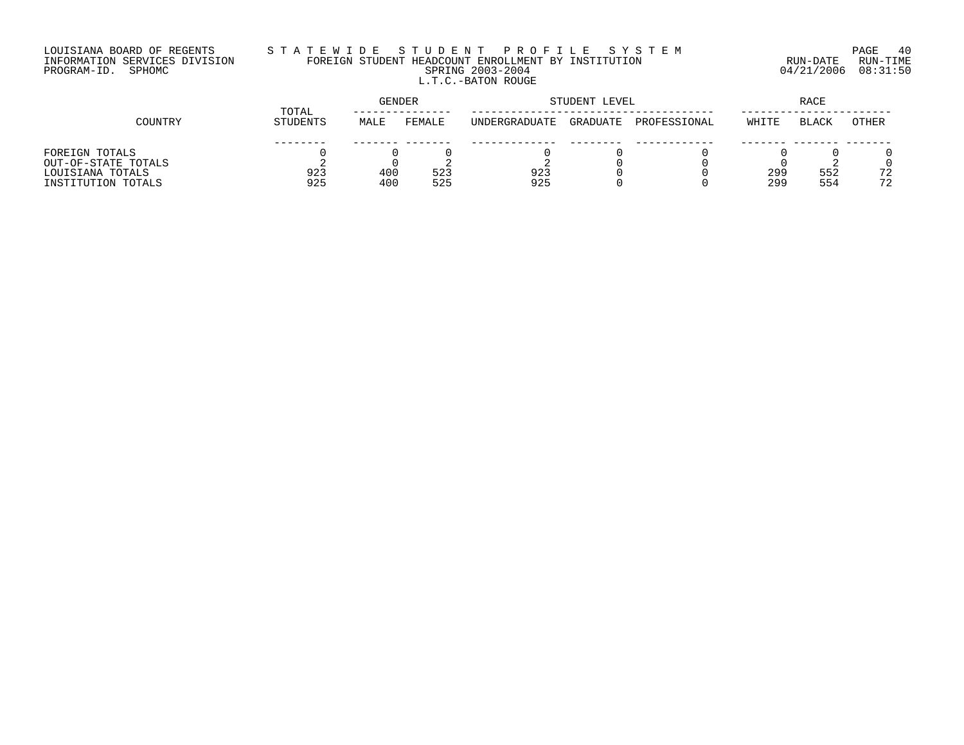# LOUISIANA BOARD OF REGENTS S T A T E W I D E S T U D E N T P R O F I L E S Y S T E M PAGE 40 INFORMATION SERVICES DIVISION FOREIGN STUDENT HEADCOUNT ENROLLMENT BY INSTITUTION RUN-DATE RUN-TIME PROGRAM-ID. SPHOMC SPRING 2003-2004 04/21/2006 08:31:50 L.T.C.-BATON ROUGE

|                     | <b>GENDER</b><br>TOTAL |      |        |               | STUDENT LEVEL |              |       |              |       |
|---------------------|------------------------|------|--------|---------------|---------------|--------------|-------|--------------|-------|
| COUNTRY             | <b>STUDENTS</b>        | MALE | FEMALE | UNDERGRADUATE | GRADUATE      | PROFESSIONAL | WHITE | <b>BLACK</b> | OTHER |
|                     |                        |      |        |               |               |              |       |              |       |
| FOREIGN TOTALS      |                        |      |        |               |               |              |       |              |       |
| OUT-OF-STATE TOTALS |                        |      |        |               |               |              |       |              |       |
| LOUISIANA TOTALS    | 923                    | 400  | 523    | 923           |               |              | 299   | 552          | 72    |
| INSTITUTION TOTALS  | 925                    | 400  | 525    | 925           |               |              | 299   | 554          | 72    |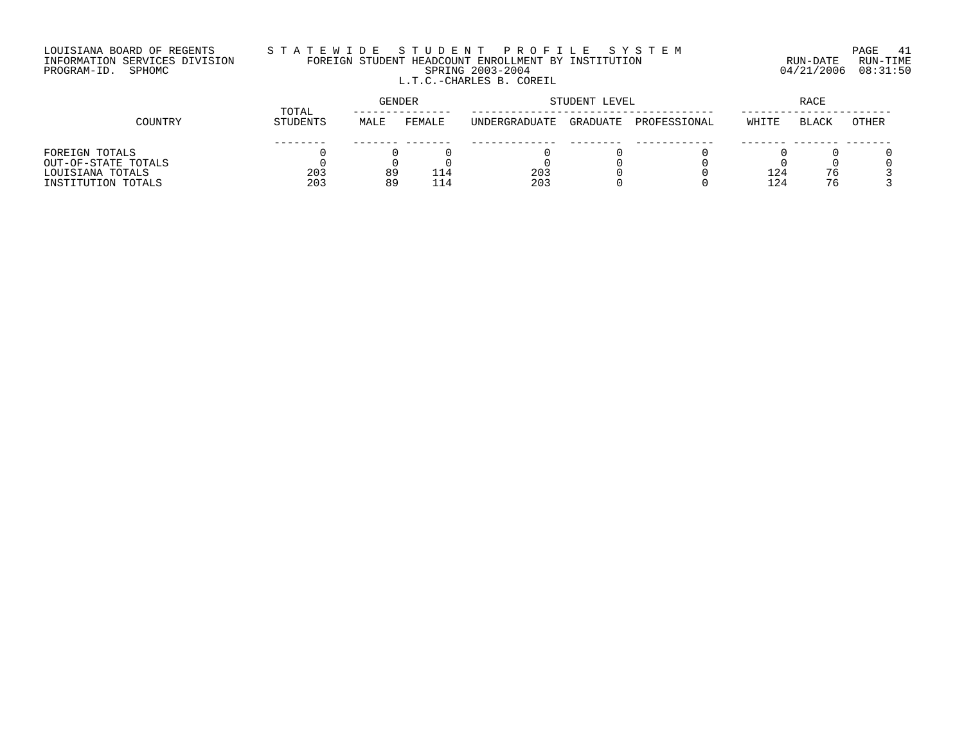#### LOUISIANA BOARD OF REGENTS S T A T E W I D E S T U D E N T P R O F I L E S Y S T E M PAGE 41 INFORMATION SERVICES DIVISION FOREIGN STUDENT HEADCOUNT ENROLLMENT BY INSTITUTION RUN-DATE RUN-TIME PROGRAM-ID. SPHOMC SPRING 2003-2004 04/21/2006 08:31:50 L.T.C.-CHARLES B. COREIL

|                     | TOTAL    | GENDER |        | STUDENT LEVEL | RACE     |              |       |              |              |
|---------------------|----------|--------|--------|---------------|----------|--------------|-------|--------------|--------------|
| COUNTRY             | STUDENTS | MALE   | FEMALE | UNDERGRADUATE | GRADUATE | PROFESSIONAL | WHITE | <b>BLACK</b> | <b>OTHER</b> |
|                     |          |        |        |               |          |              |       |              |              |
| FOREIGN TOTALS      |          |        |        |               |          |              |       |              |              |
| OUT-OF-STATE TOTALS |          |        |        |               |          |              |       |              |              |
| LOUISIANA TOTALS    | 203      | 89     |        | 203           |          |              | 124   | 76           |              |
| INSTITUTION TOTALS  | 203      | 89     |        | 203           |          |              | 124   | 76           |              |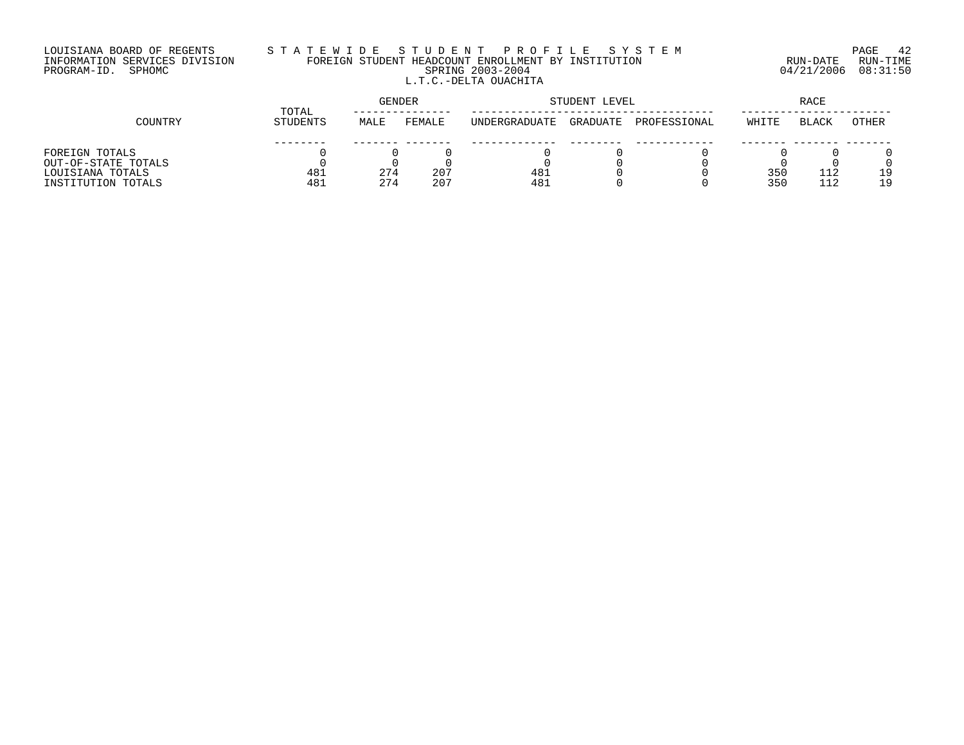## LOUISIANA BOARD OF REGENTS S T A T E W I D E S T U D E N T P R O F I L E S Y S T E M PAGE 42 INFORMATION SERVICES DIVISION FOREIGN STUDENT HEADCOUNT ENROLLMENT BY INSTITUTION RUN-DATE RUN-TIME PROGRAM-ID. SPHOMC SPRING 2003-2004 04/21/2006 08:31:50 L.T.C.-DELTA OUACHITA

|                     |                 | GENDER<br>TOTAL |        |               | STUDENT LEVEL |              |       |              |              |
|---------------------|-----------------|-----------------|--------|---------------|---------------|--------------|-------|--------------|--------------|
| COUNTRY             | <b>STUDENTS</b> | MALE            | FEMALE | UNDERGRADUATE | GRADUATE      | PROFESSIONAL | WHITE | <b>BLACK</b> | <b>OTHER</b> |
|                     |                 |                 |        |               |               |              |       |              |              |
| FOREIGN TOTALS      |                 |                 |        |               |               |              |       |              |              |
| OUT-OF-STATE TOTALS |                 |                 |        |               |               |              |       |              |              |
| LOUISIANA TOTALS    | 481             | 274             | 207    | 481           |               |              | 35C   | 112          | 19           |
| INSTITUTION TOTALS  | 481             | 274             | 207    | 481           |               |              | 35C   | 112          | 19           |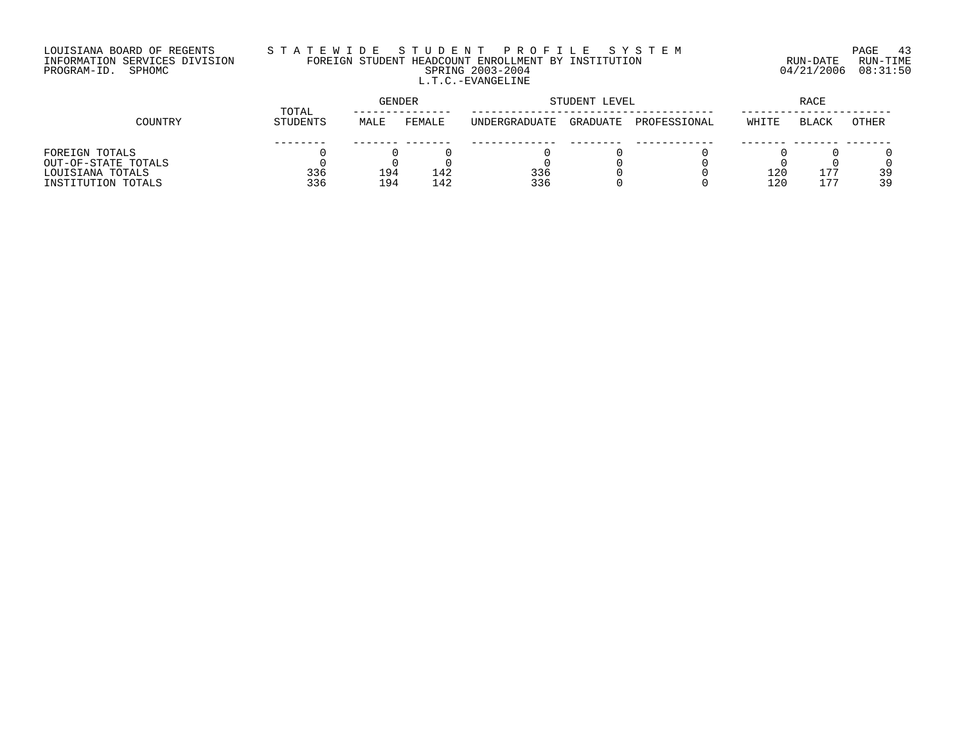## LOUISIANA BOARD OF REGENTS S T A T E W I D E S T U D E N T P R O F I L E S Y S T E M PAGE 43 INFORMATION SERVICES DIVISION FOREIGN STUDENT HEADCOUNT ENROLLMENT BY INSTITUTION RUN-DATE RUN-TIME PROGRAM-ID. SPHOMC SPRING 2003-2004 04/21/2006 08:31:50 L.T.C.-EVANGELINE

|                     | TOTAL    | <b>GENDER</b> |        | STUDENT LEVEL | RACE     |              |       |              |       |
|---------------------|----------|---------------|--------|---------------|----------|--------------|-------|--------------|-------|
| COUNTRY             | STUDENTS | MALE          | FEMALE | UNDERGRADUATE | GRADUATE | PROFESSIONAL | WHITE | <b>BLACK</b> | OTHER |
|                     |          |               |        |               |          |              |       |              |       |
| FOREIGN TOTALS      |          |               |        |               |          |              |       |              |       |
| OUT-OF-STATE TOTALS |          |               |        |               |          |              |       |              |       |
| LOUISIANA TOTALS    | 336      | 194           | 142    | 336           |          |              | 120   | 177          | 39    |
| INSTITUTION TOTALS  | 336      | 194           | 142    | 336           |          |              | 120   | 177          | 39    |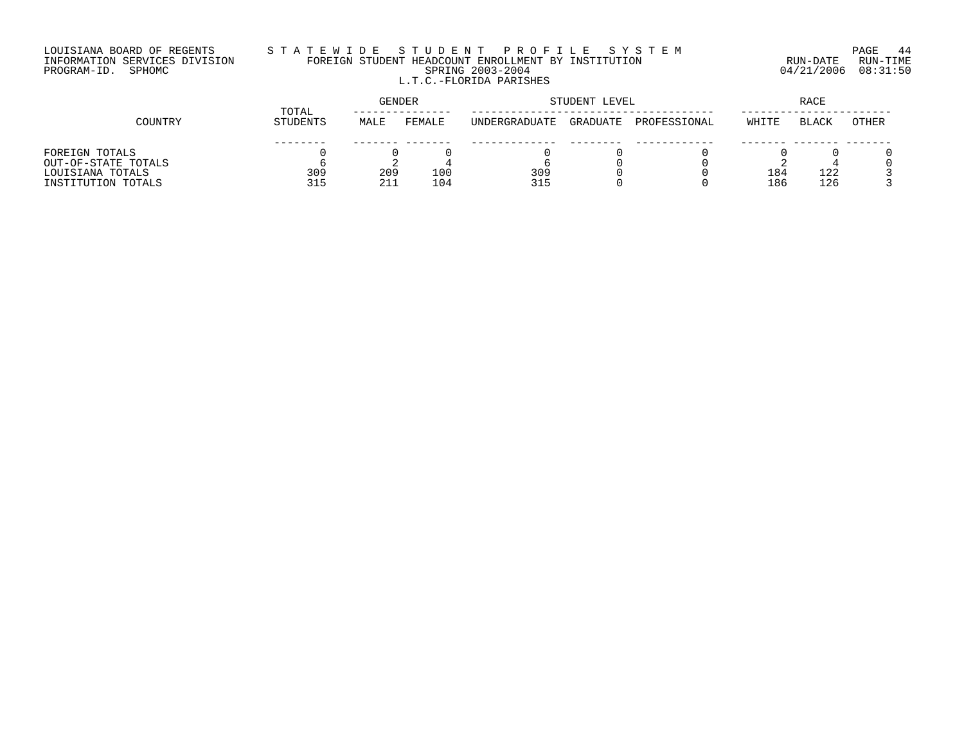#### LOUISIANA BOARD OF REGENTS S T A T E W I D E S T U D E N T P R O F I L E S Y S T E M PAGE 44 INFORMATION SERVICES DIVISION FOREIGN STUDENT HEADCOUNT ENROLLMENT BY INSTITUTION RUN-DATE RUN-TIME PROGRAM-ID. SPHOMC SPRING 2003-2004 04/21/2006 08:31:50 L.T.C.-FLORIDA PARISHES

|                     | TOTAL    | <b>GENDER</b> |        | STUDENT LEVEL | RACE     |              |       |              |       |
|---------------------|----------|---------------|--------|---------------|----------|--------------|-------|--------------|-------|
| COUNTRY             | STUDENTS | MALE          | FEMALE | UNDERGRADUATE | GRADUATE | PROFESSIONAL | WHITE | <b>BLACK</b> | OTHER |
|                     |          |               |        |               |          |              |       |              |       |
| FOREIGN TOTALS      |          |               |        |               |          |              |       |              |       |
| OUT-OF-STATE TOTALS |          |               |        |               |          |              |       |              |       |
| LOUISIANA TOTALS    | 309      | 209           | 100    | 309           |          |              | 184   | 122          |       |
| INSTITUTION TOTALS  | 315      | 211           | 104    | 315           |          |              | 186   | 126          |       |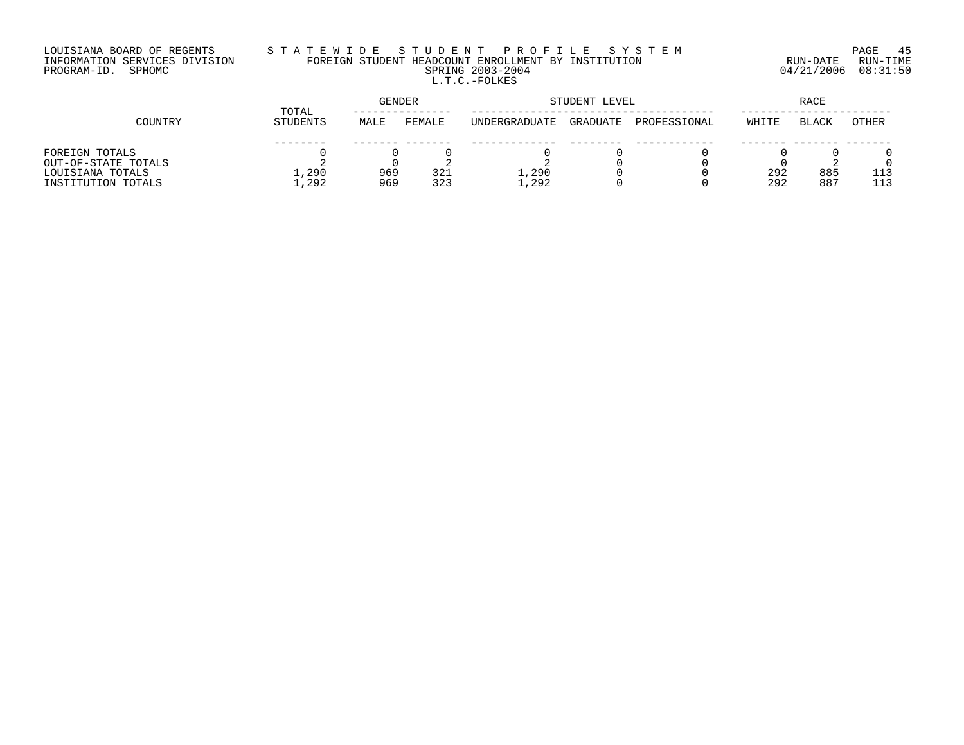## LOUISIANA BOARD OF REGENTS S T A T E W I D E S T U D E N T P R O F I L E S Y S T E M PAGE 45 INFORMATION SERVICES DIVISION FOREIGN STUDENT HEADCOUNT ENROLLMENT BY INSTITUTION RUN-DATE RUN-TIME PROGRAM-ID. SPHOMC SPRING 2003-2004 04/21/2006 08:31:50 L.T.C.-FOLKES

|                     |          | GENDER<br>TOTAL |        |                      | STUDENT LEVEL |              | RACE  |              |       |
|---------------------|----------|-----------------|--------|----------------------|---------------|--------------|-------|--------------|-------|
| COUNTRY             | STUDENTS | MALE            | FEMALE | <b>INDERGRADUATE</b> | GRADUATE      | PROFESSIONAL | WHITE | <b>BLACK</b> | OTHER |
|                     |          |                 |        |                      |               |              |       |              |       |
| FOREIGN TOTALS      |          |                 |        |                      |               |              |       |              |       |
| OUT-OF-STATE TOTALS |          |                 |        |                      |               |              |       |              |       |
| LOUISIANA TOTALS    | 1,290    | 969             | 321    | L,290                |               |              | 292   | 885          |       |
| INSTITUTION TOTALS  | 1,292    | 969             | 323    | .,292                |               |              | 292   | 887          | 113   |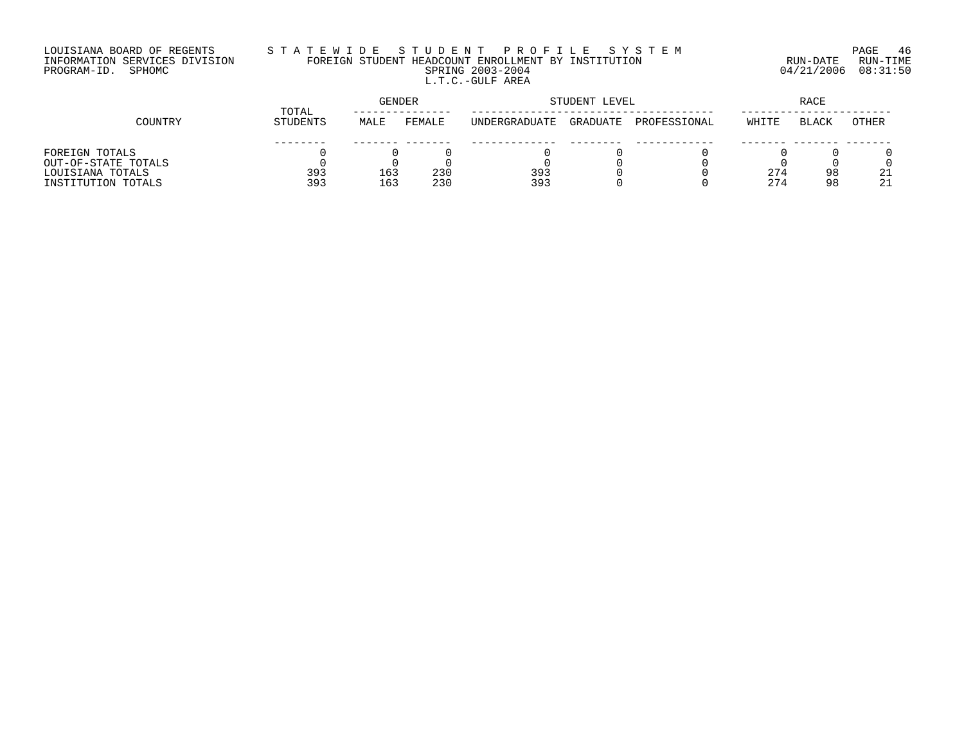## LOUISIANA BOARD OF REGENTS S T A T E W I D E S T U D E N T P R O F I L E S Y S T E M PAGE 46 INFORMATION SERVICES DIVISION FOREIGN STUDENT HEADCOUNT ENROLLMENT BY INSTITUTION RUN-DATE RUN-TIME PROGRAM-ID. SPHOMC SPRING 2003-2004 04/21/2006 08:31:50 L.T.C.-GULF AREA

|                     | TOTAL    | GENDER |        |               | STUDENT LEVEL | RACE         |       |              |       |
|---------------------|----------|--------|--------|---------------|---------------|--------------|-------|--------------|-------|
| COUNTRY             | STUDENTS | MALE   | FEMALE | UNDERGRADUATE | GRADUATE      | PROFESSIONAL | WHITE | <b>BLACK</b> | OTHER |
|                     |          |        |        |               |               |              |       |              |       |
| FOREIGN TOTALS      |          |        |        |               |               |              |       |              |       |
| OUT-OF-STATE TOTALS |          |        |        |               |               |              |       |              |       |
| LOUISIANA TOTALS    | 393      | 163    | 230    | 393           |               |              | 274   | 98           | 21    |
| INSTITUTION TOTALS  | 393      | 163    | 230    | 393           |               |              | 274   | 98           | 21    |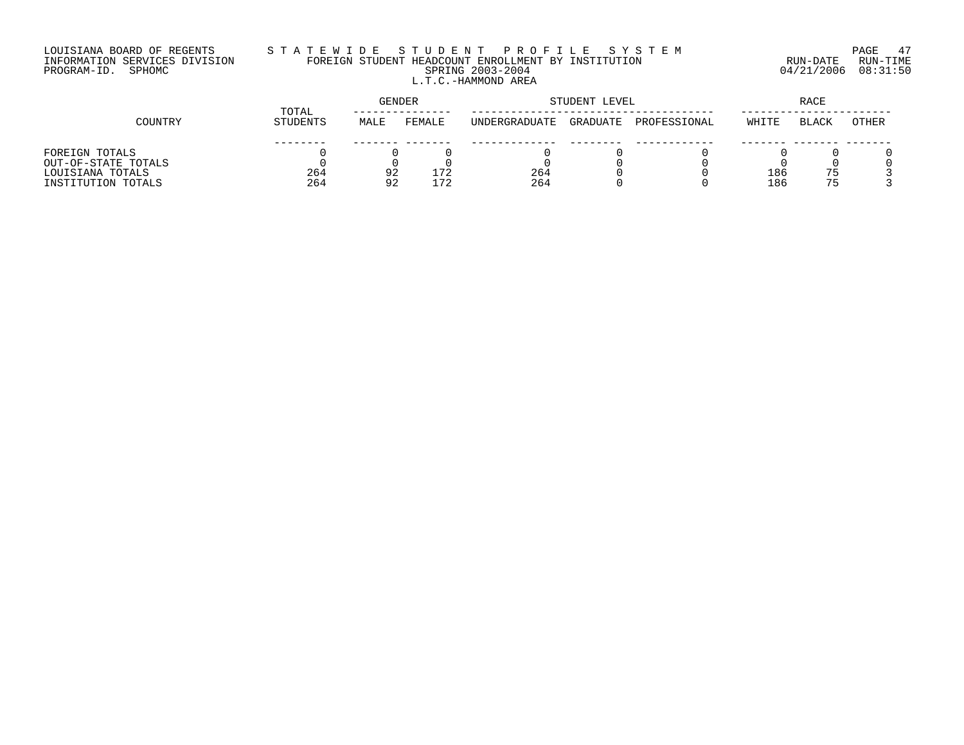# LOUISIANA BOARD OF REGENTS S T A T E W I D E S T U D E N T P R O F I L E S Y S T E M PAGE 47 INFORMATION SERVICES DIVISION FOREIGN STUDENT HEADCOUNT ENROLLMENT BY INSTITUTION RUN-DATE RUN-TIME PROGRAM-ID. SPHOMC SPRING 2003-2004 04/21/2006 08:31:50 L.T.C.-HAMMOND AREA

|                     | TOTAL           | <b>GENDER</b> |        | STUDENT LEVEL | RACE     |              |       |              |       |
|---------------------|-----------------|---------------|--------|---------------|----------|--------------|-------|--------------|-------|
| COUNTRY             | <b>STUDENTS</b> | MALE          | FEMALE | UNDERGRADUATE | GRADUATE | PROFESSIONAL | WHITE | <b>BLACK</b> | OTHER |
|                     |                 |               |        |               |          |              |       |              |       |
| FOREIGN TOTALS      |                 |               |        |               |          |              |       |              |       |
| OUT-OF-STATE TOTALS |                 |               |        |               |          |              |       |              |       |
| LOUISIANA TOTALS    | 264             | 92            | 72     | 264           |          |              | 186   | 75           |       |
| INSTITUTION TOTALS  | 264             | 92            | -72    | 264           |          |              | 186   | 75           |       |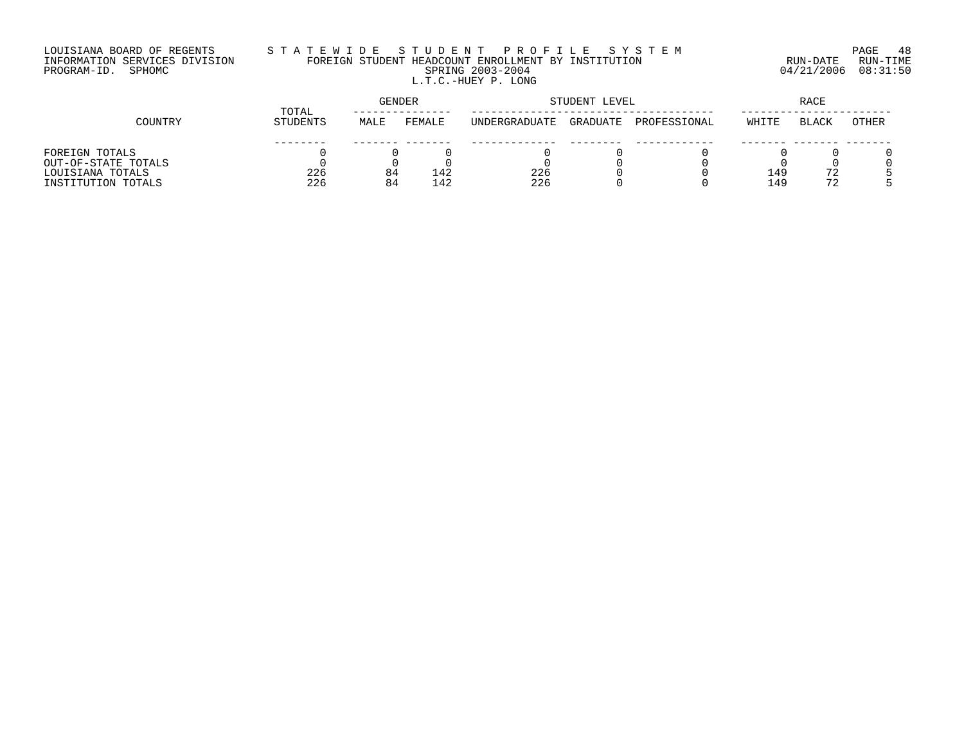## LOUISIANA BOARD OF REGENTS S T A T E W I D E S T U D E N T P R O F I L E S Y S T E M PAGE 48 INFORMATION SERVICES DIVISION FOREIGN STUDENT HEADCOUNT ENROLLMENT BY INSTITUTION RUN-DATE RUN-TIME PROGRAM-ID. SPHOMC SPRING 2003-2004 04/21/2006 08:31:50 L.T.C.-HUEY P. LONG

|                     | TOTAL    | GENDER |        | STUDENT LEVEL | RACE     |              |       |              |       |
|---------------------|----------|--------|--------|---------------|----------|--------------|-------|--------------|-------|
| COUNTRY             | STUDENTS | MALE   | FEMALE | UNDERGRADUATE | GRADUATE | PROFESSIONAL | WHITE | <b>BLACK</b> | OTHER |
|                     |          |        |        |               |          |              |       |              |       |
| FOREIGN TOTALS      |          |        |        |               |          |              |       |              |       |
| OUT-OF-STATE TOTALS |          |        |        |               |          |              |       |              |       |
| LOUISIANA TOTALS    | 226      | 84     | 142    | 226           |          |              | 149   | 72           |       |
| INSTITUTION TOTALS  | 226      | 84     | 142    | 226           |          |              | 149   | 72           |       |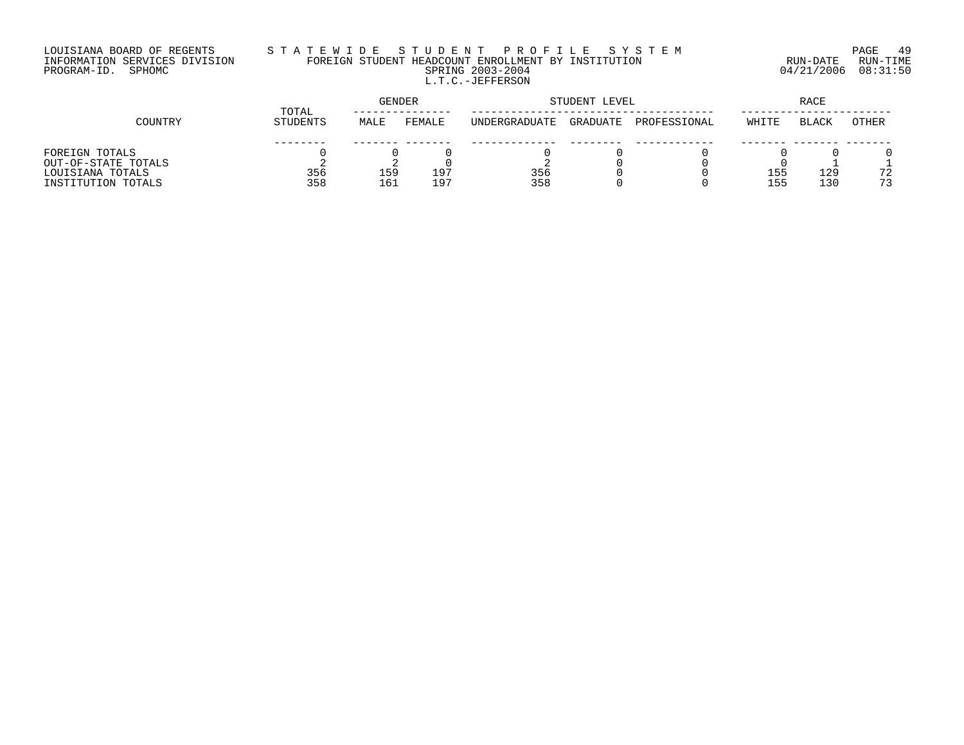## LOUISIANA BOARD OF REGENTS S T A T E W I D E S T U D E N T P R O F I L E S Y S T E M PAGE 49 INFORMATION SERVICES DIVISION FOREIGN STUDENT HEADCOUNT ENROLLMENT BY INSTITUTION RUN-DATE RUN-TIME PROGRAM-ID. SPHOMC SPRING 2003-2004 04/21/2006 08:31:50 L.T.C.-JEFFERSON

|                     | TOTAL           |      | GENDER | STUDENT LEVEL        | RACE     |              |       |              |       |
|---------------------|-----------------|------|--------|----------------------|----------|--------------|-------|--------------|-------|
| COUNTRY             | <b>STUDENTS</b> | MALE | FEMALE | <b>INDERGRADUATE</b> | GRADUATE | PROFESSIONAL | WHITE | <b>BLACK</b> | OTHER |
|                     |                 |      |        |                      |          |              |       |              |       |
| FOREIGN TOTALS      |                 |      |        |                      |          |              |       |              |       |
| OUT-OF-STATE TOTALS |                 |      |        |                      |          |              |       |              |       |
| LOUISIANA TOTALS    | 356             | 159  | 197    | 356                  |          |              | 155   | 129          | 72    |
| INSTITUTION TOTALS  | 358             | 161  | 197    | 358                  |          |              | 155   | 130          | 73    |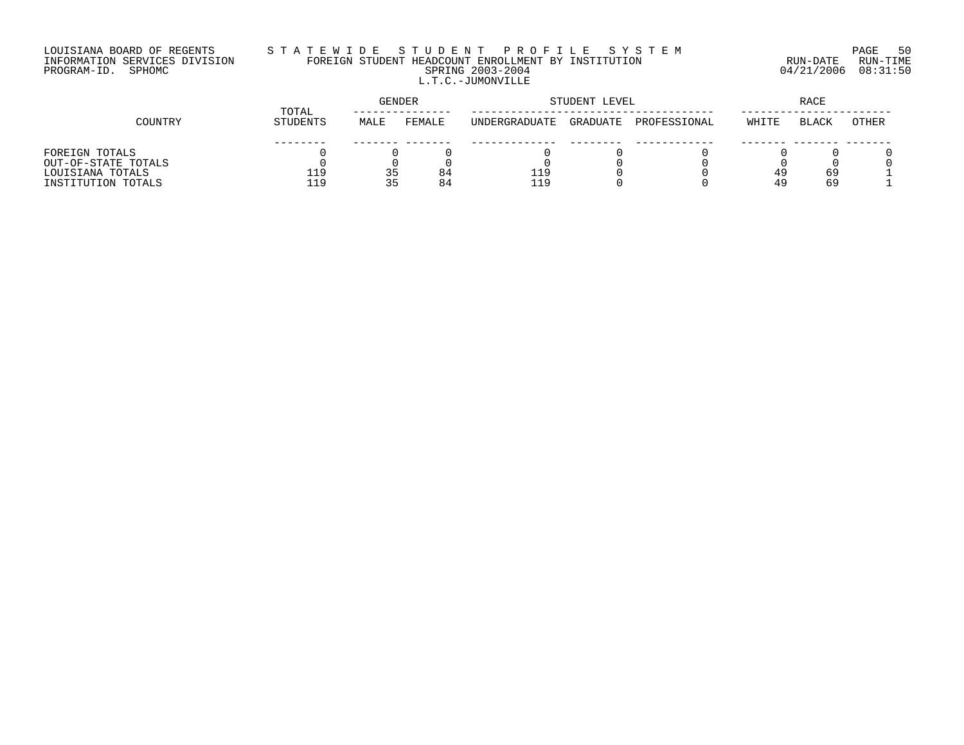# LOUISIANA BOARD OF REGENTS S T A T E W I D E S T U D E N T P R O F I L E S Y S T E M PAGE 50 INFORMATION SERVICES DIVISION FOREIGN STUDENT HEADCOUNT ENROLLMENT BY INSTITUTION RUN-DATE RUN-TIME PROGRAM-ID. SPHOMC SPRING 2003-2004 04/21/2006 08:31:50 L.T.C.-JUMONVILLE

|                     | TOTAL           | <b>GENDER</b>  |        | STUDENT LEVEL | RACE     |              |       |              |       |
|---------------------|-----------------|----------------|--------|---------------|----------|--------------|-------|--------------|-------|
| COUNTRY             | <b>STUDENTS</b> | MALE           | FEMALE | UNDERGRADUATE | GRADUATE | PROFESSIONAL | WHITE | <b>BLACK</b> | OTHER |
|                     |                 |                |        |               |          |              |       |              |       |
| FOREIGN TOTALS      |                 |                |        |               |          |              |       |              |       |
| OUT-OF-STATE TOTALS |                 |                |        |               |          |              |       |              |       |
| LOUISIANA TOTALS    | 119             | 35             | 84     | 119           |          |              |       | 69           |       |
| INSTITUTION TOTALS  | 119             | くト<br><u>.</u> | 84     | 119           |          |              |       | 69           |       |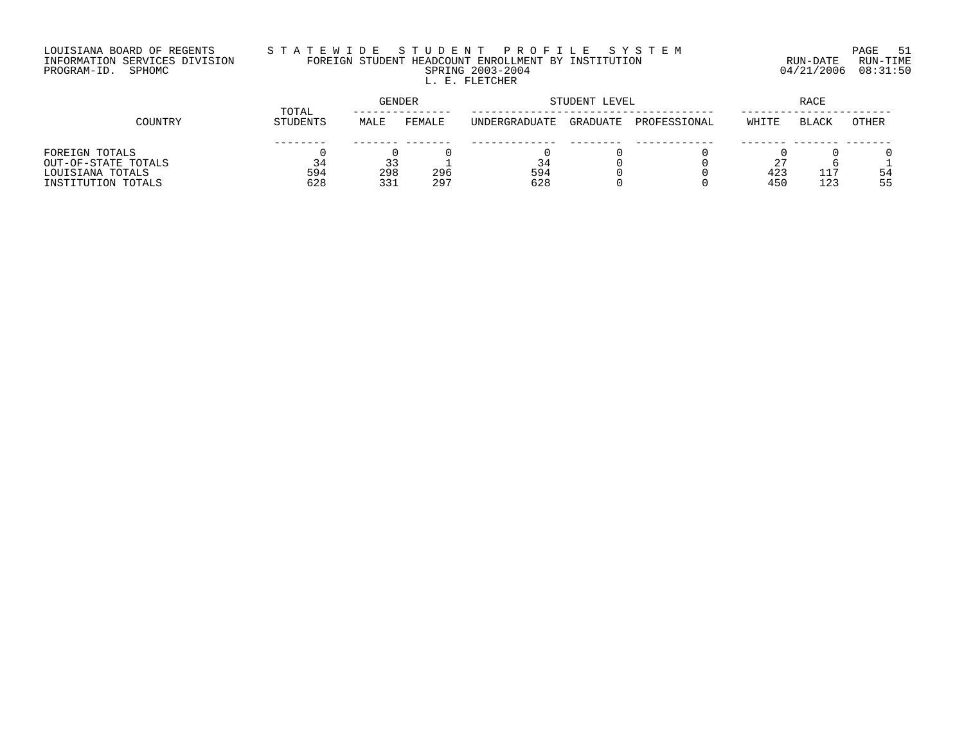## LOUISIANA BOARD OF REGENTS S T A T E W I D E S T U D E N T P R O F I L E S Y S T E M PAGE 51 INFORMATION SERVICES DIVISION FOREIGN STUDENT HEADCOUNT ENROLLMENT BY INSTITUTION RUN-DATE RUN-TIME PROGRAM-ID. SPHOMC SPRING 2003-2004 04/21/2006 08:31:50 L. E. FLETCHER

|                     | TOTAL    | GENDER |        | STUDENT LEVEL         |          | RACE         |       |              |       |
|---------------------|----------|--------|--------|-----------------------|----------|--------------|-------|--------------|-------|
| COUNTRY             | STUDENTS | MALE   | FEMALE | <b>IINDERGRADUATE</b> | GRADUATE | PROFESSIONAL | WHITE | <b>BLACK</b> | OTHER |
|                     |          |        |        |                       |          |              |       |              |       |
| FOREIGN TOTALS      |          |        |        |                       |          |              |       |              |       |
| OUT-OF-STATE TOTALS | 34       |        |        | 34                    |          |              |       |              |       |
| LOUISIANA TOTALS    | 594      | 298    | 296    | 594                   |          |              | 423   | 117          | 54    |
| INSTITUTION TOTALS  | 628      | 331    | 297    | 628                   |          |              | 450   | 123          | 55    |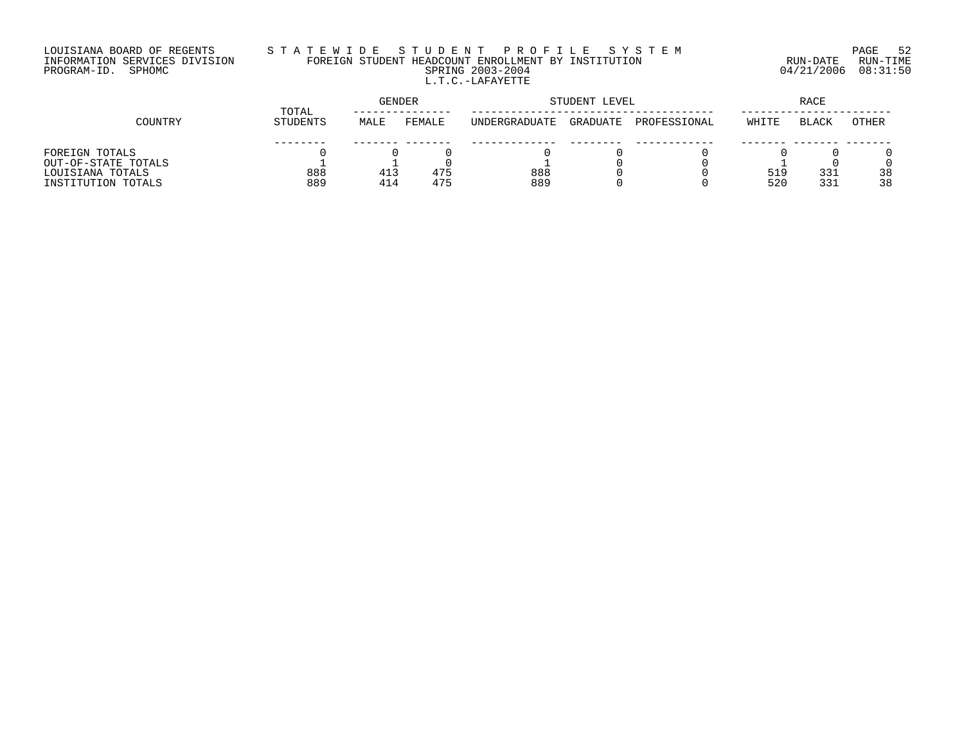## LOUISIANA BOARD OF REGENTS S T A T E W I D E S T U D E N T P R O F I L E S Y S T E M PAGE 52 INFORMATION SERVICES DIVISION FOREIGN STUDENT HEADCOUNT ENROLLMENT BY INSTITUTION RUN-DATE RUN-TIME PROGRAM-ID. SPHOMC SPRING 2003-2004 04/21/2006 08:31:50 L.T.C.-LAFAYETTE

|                     | TOTAL    | GENDER |        | STUDENT LEVEL        | <b>RACE</b> |              |       |              |       |
|---------------------|----------|--------|--------|----------------------|-------------|--------------|-------|--------------|-------|
| COUNTRY             | STUDENTS | MALE   | FEMALE | <b>INDERGRADUATE</b> | GRADUATE    | PROFESSIONAL | WHITE | <b>BLACK</b> | OTHER |
|                     |          |        |        |                      |             |              |       |              |       |
| FOREIGN TOTALS      |          |        |        |                      |             |              |       |              |       |
| OUT-OF-STATE TOTALS |          |        |        |                      |             |              |       |              |       |
| LOUISIANA TOTALS    | 888      | 413    | 475    | 888                  |             |              | 519   | 331          | 38    |
| INSTITUTION TOTALS  | 889      | 414    | 475    | 889                  |             |              | 520   | 331          | 38    |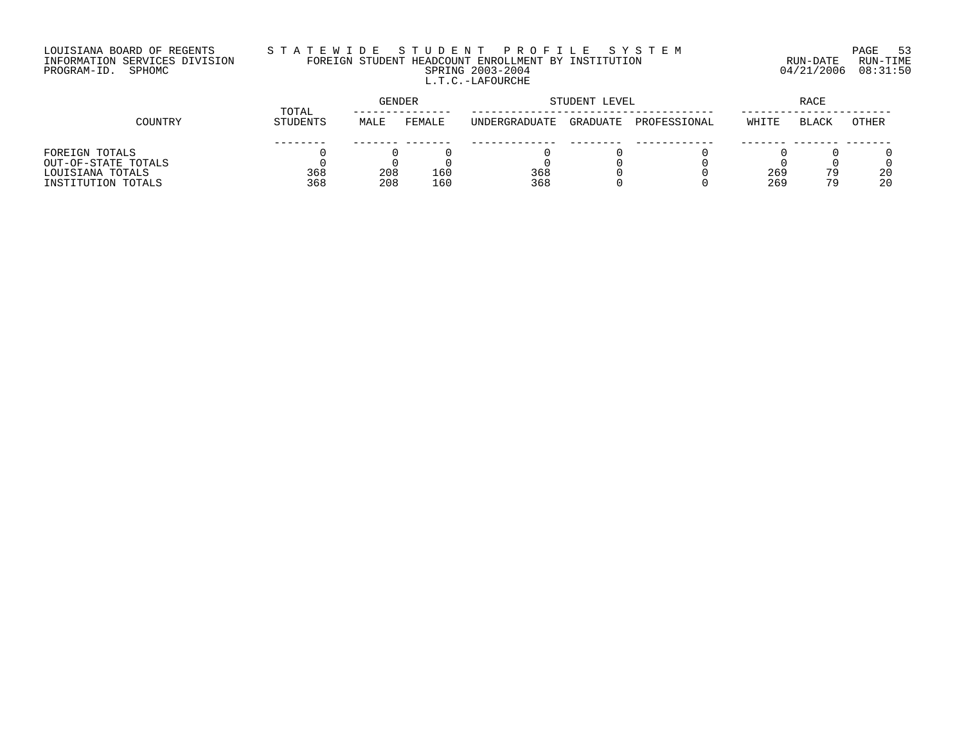## LOUISIANA BOARD OF REGENTS S T A T E W I D E S T U D E N T P R O F I L E S Y S T E M PAGE 53 INFORMATION SERVICES DIVISION FOREIGN STUDENT HEADCOUNT ENROLLMENT BY INSTITUTION RUN-DATE RUN-TIME PROGRAM-ID. SPHOMC SPRING 2003-2004 04/21/2006 08:31:50 L.T.C.-LAFOURCHE

|                     | TOTAL    | <b>GENDER</b> |        | STUDENT LEVEL |          | RACE         |       |              |              |
|---------------------|----------|---------------|--------|---------------|----------|--------------|-------|--------------|--------------|
| COUNTRY             | STUDENTS | MALE          | FEMALE | UNDERGRADUATE | GRADUATE | PROFESSIONAL | WHITE | <b>BLACK</b> | <b>OTHER</b> |
|                     |          |               |        |               |          |              |       |              |              |
| FOREIGN TOTALS      |          |               |        |               |          |              |       |              |              |
| OUT-OF-STATE TOTALS |          |               |        |               |          |              |       |              |              |
| LOUISIANA TOTALS    | 368      | 208           | 160    | 368           |          |              | 269   | 79           | 20           |
| INSTITUTION TOTALS  | 368      | 208           | 160    | 368           |          |              | 269   | 79           | 20           |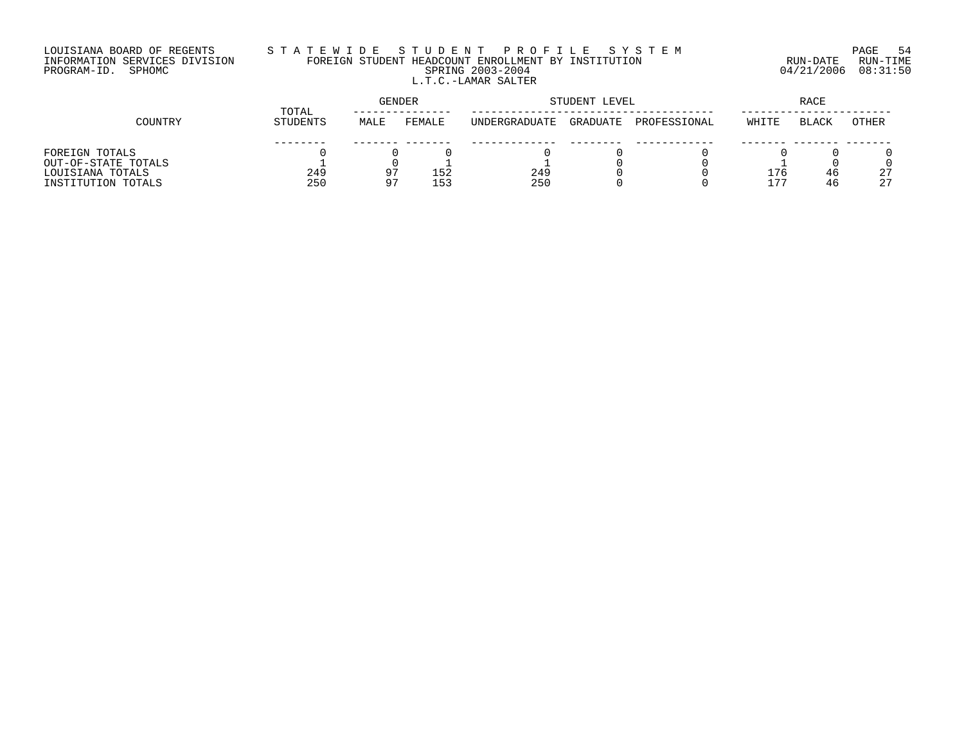## LOUISIANA BOARD OF REGENTS S T A T E W I D E S T U D E N T P R O F I L E S Y S T E M PAGE 54 INFORMATION SERVICES DIVISION FOREIGN STUDENT HEADCOUNT ENROLLMENT BY INSTITUTION RUN-DATE RUN-TIME PROGRAM-ID. SPHOMC SPRING 2003-2004 04/21/2006 08:31:50 L.T.C.-LAMAR SALTER

|                     |                   |      | GENDER | STUDENT LEVEL | <b>RACE</b> |              |                  |       |       |
|---------------------|-------------------|------|--------|---------------|-------------|--------------|------------------|-------|-------|
| COUNTRY             | TOTAL<br>STUDENTS | MALE | FEMALE | UNDERGRADUATE | GRADUATE    | PROFESSIONAL | WHITE            | BLACK | OTHER |
|                     |                   |      |        |               |             |              |                  |       |       |
| FOREIGN TOTALS      |                   |      |        |               |             |              |                  |       |       |
| OUT-OF-STATE TOTALS |                   |      |        |               |             |              |                  |       |       |
| LOUISIANA TOTALS    | 249               | - 9  | 152    | 249           |             |              | 76               | 46    | 27    |
| INSTITUTION TOTALS  | 250               | 97   | 1 5 ว  | 250           |             |              | . <del>. .</del> | 46    | 27    |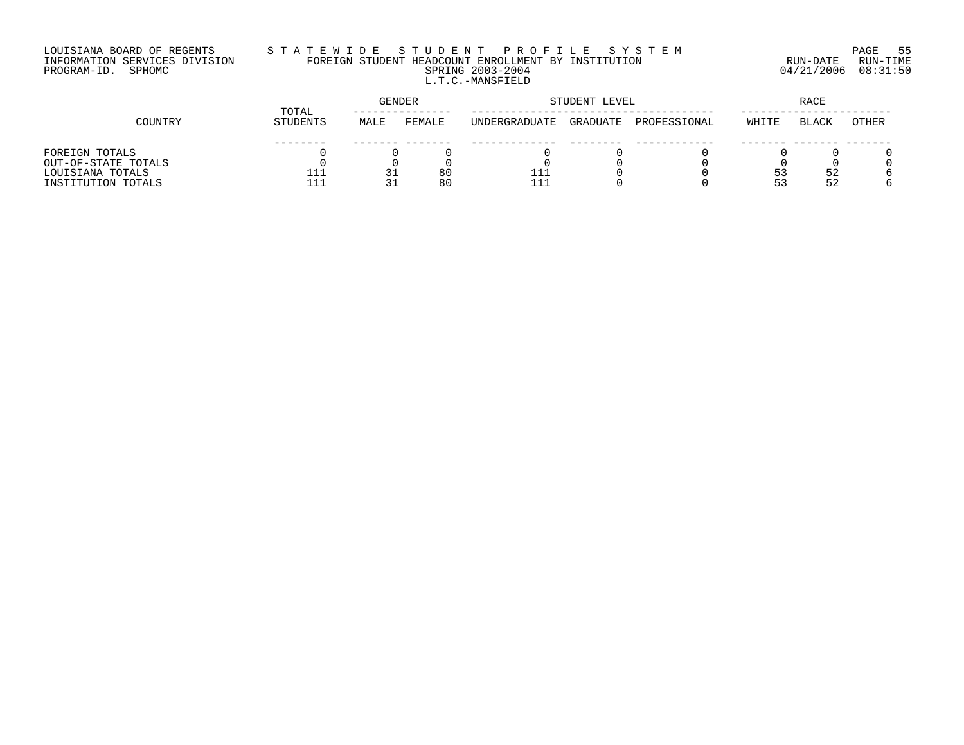## LOUISIANA BOARD OF REGENTS S T A T E W I D E S T U D E N T P R O F I L E S Y S T E M PAGE 55 INFORMATION SERVICES DIVISION FOREIGN STUDENT HEADCOUNT ENROLLMENT BY INSTITUTION RUN-DATE RUN-TIME PROGRAM-ID. SPHOMC SPRING 2003-2004 04/21/2006 08:31:50 L.T.C.-MANSFIELD

|                     | TOTAL           |      | GENDER |                       | STUDENT LEVEL |              | RACE  |       |       |
|---------------------|-----------------|------|--------|-----------------------|---------------|--------------|-------|-------|-------|
| COUNTRY             | <b>STUDENTS</b> | MALE | FEMALE | <b>IINDERGRADUATE</b> | GRADUATE      | PROFESSIONAL | WHITE | BLACK | OTHER |
|                     |                 |      |        |                       |               |              |       |       |       |
| FOREIGN TOTALS      |                 |      |        |                       |               |              |       |       |       |
| OUT-OF-STATE TOTALS |                 |      |        |                       |               |              |       |       |       |
| LOUISIANA TOTALS    | 111             | 31   | 80     | 111                   |               |              |       | 52    |       |
| INSTITUTION TOTALS  | - - -           | 31   | 80     |                       |               |              |       | 52    |       |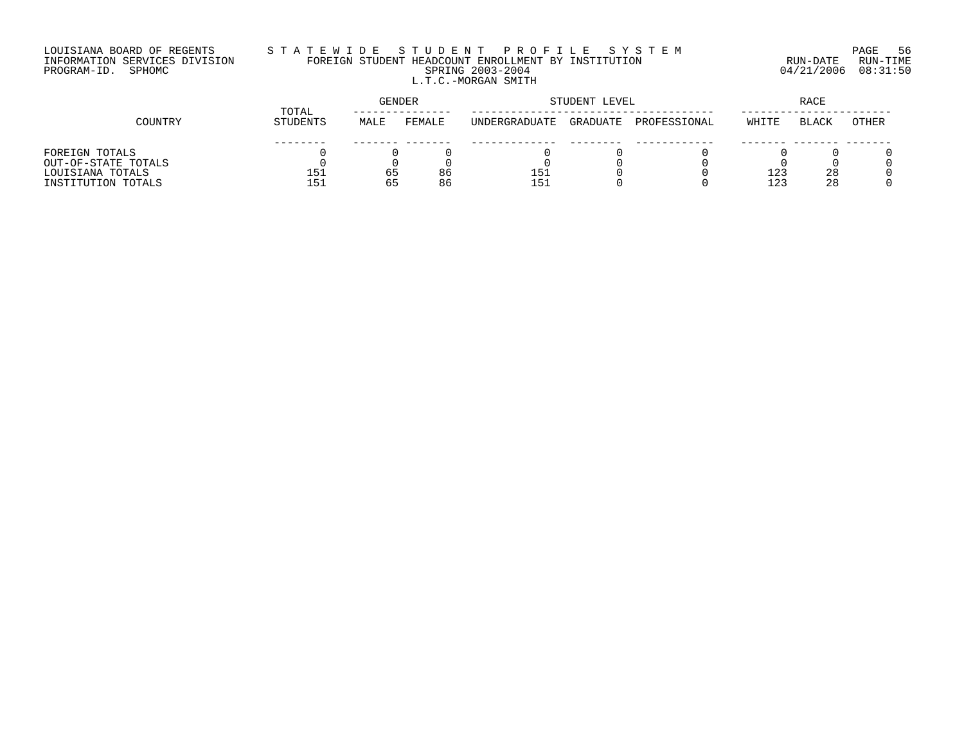# LOUISIANA BOARD OF REGENTS S T A T E W I D E S T U D E N T P R O F I L E S Y S T E M PAGE 56 INFORMATION SERVICES DIVISION FOREIGN STUDENT HEADCOUNT ENROLLMENT BY INSTITUTION RUN-DATE RUN-TIME PROGRAM-ID. SPHOMC SPRING 2003-2004 04/21/2006 08:31:50 L.T.C.-MORGAN SMITH

|                     | TOTAL    |      | <b>GENDER</b> | STUDENT LEVEL | RACE     |              |       |              |       |
|---------------------|----------|------|---------------|---------------|----------|--------------|-------|--------------|-------|
| COUNTRY             | STUDENTS | MALE | FEMALE        | UNDERGRADUATE | GRADUATE | PROFESSIONAL | WHITE | <b>BLACK</b> | OTHER |
|                     |          |      |               |               |          |              |       |              |       |
| FOREIGN TOTALS      |          |      |               |               |          |              |       |              |       |
| OUT-OF-STATE TOTALS |          |      |               |               |          |              |       |              |       |
| LOUISIANA TOTALS    | 151      | 65   | 86            | 151           |          |              | 123   | 28           |       |
| INSTITUTION TOTALS  | 151      | 65   | 86            | 151           |          |              | 123   | 28           |       |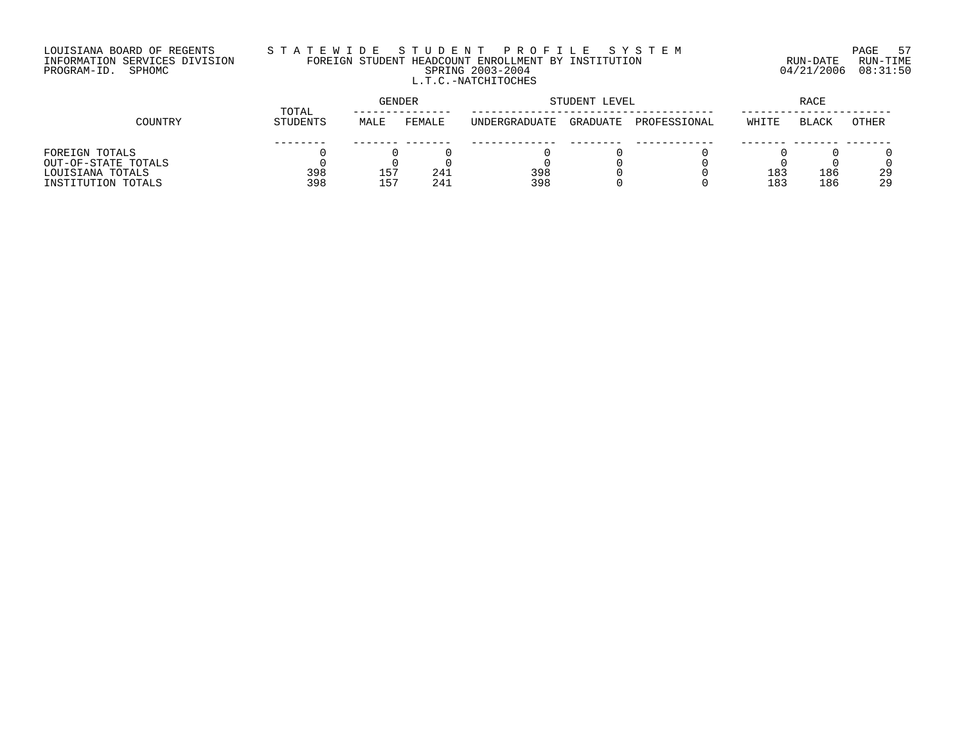### LOUISIANA BOARD OF REGENTS S T A T E W I D E S T U D E N T P R O F I L E S Y S T E M PAGE 57 INFORMATION SERVICES DIVISION FOREIGN STUDENT HEADCOUNT ENROLLMENT BY INSTITUTION RUN-DATE RUN-TIME PROGRAM-ID. SPHOMC SPRING 2003-2004 04/21/2006 08:31:50 L.T.C.-NATCHITOCHES

|                     | TOTAL    |      | <b>GENDER</b> | STUDENT LEVEL | RACE     |              |       |              |       |
|---------------------|----------|------|---------------|---------------|----------|--------------|-------|--------------|-------|
| COUNTRY             | STUDENTS | MALE | FEMALE        | UNDERGRADUATE | GRADUATE | PROFESSIONAL | WHITE | <b>BLACK</b> | OTHER |
|                     |          |      |               |               |          |              |       |              |       |
| FOREIGN TOTALS      |          |      |               |               |          |              |       |              |       |
| OUT-OF-STATE TOTALS |          |      |               |               |          |              |       |              |       |
| LOUISIANA TOTALS    | 398      | 157  | 241           | 398           |          |              | 183   | 186          | 29    |
| INSTITUTION TOTALS  | 398      | 157  | 241           | 398           |          |              | 183   | 186          | 29    |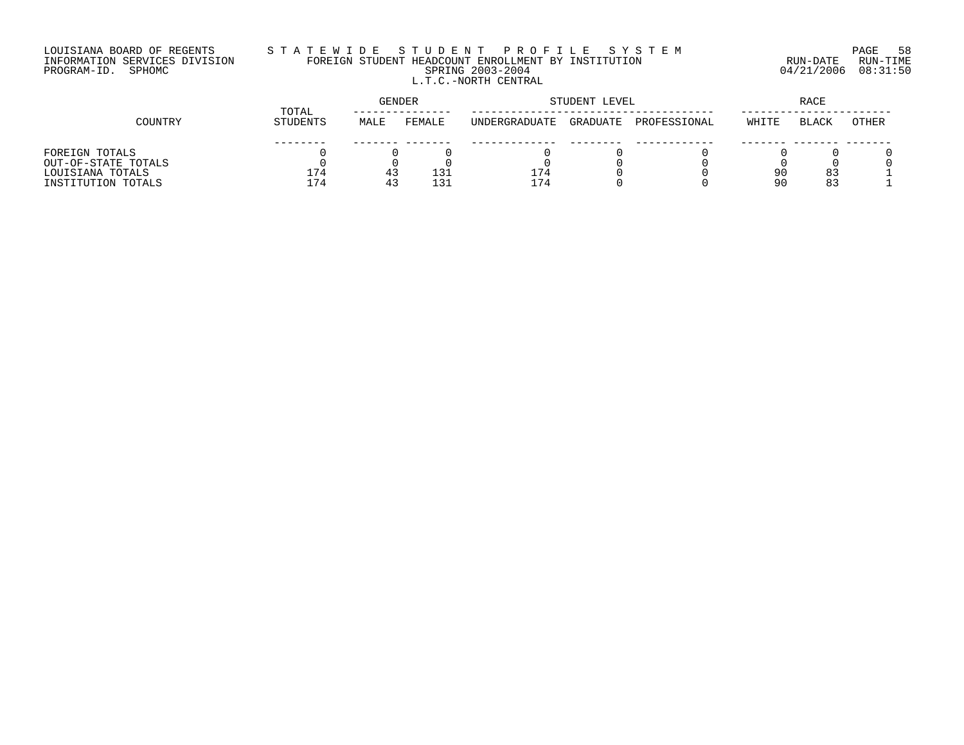## LOUISIANA BOARD OF REGENTS S T A T E W I D E S T U D E N T P R O F I L E S Y S T E M PAGE 58 INFORMATION SERVICES DIVISION FOREIGN STUDENT HEADCOUNT ENROLLMENT BY INSTITUTION RUN-DATE RUN-TIME PROGRAM-ID. SPHOMC SPRING 2003-2004 04/21/2006 08:31:50 L.T.C.-NORTH CENTRAL

|                     | TOTAL    | GENDER |        | STUDENT LEVEL | RACE     |              |       |              |       |
|---------------------|----------|--------|--------|---------------|----------|--------------|-------|--------------|-------|
| COUNTRY             | STUDENTS | MALE   | FEMALE | UNDERGRADUATE | GRADUATE | PROFESSIONAL | WHITE | <b>BLACK</b> | OTHER |
|                     |          |        |        |               |          |              |       |              |       |
| FOREIGN TOTALS      |          |        |        |               |          |              |       |              |       |
| OUT-OF-STATE TOTALS |          |        |        |               |          |              |       |              |       |
| LOUISIANA TOTALS    | 174      | د 4    | 131    | 174           |          |              | 90    | 83           |       |
| INSTITUTION TOTALS  | 174      | -41    | 131    | 174           |          |              | 9 C   | 83           |       |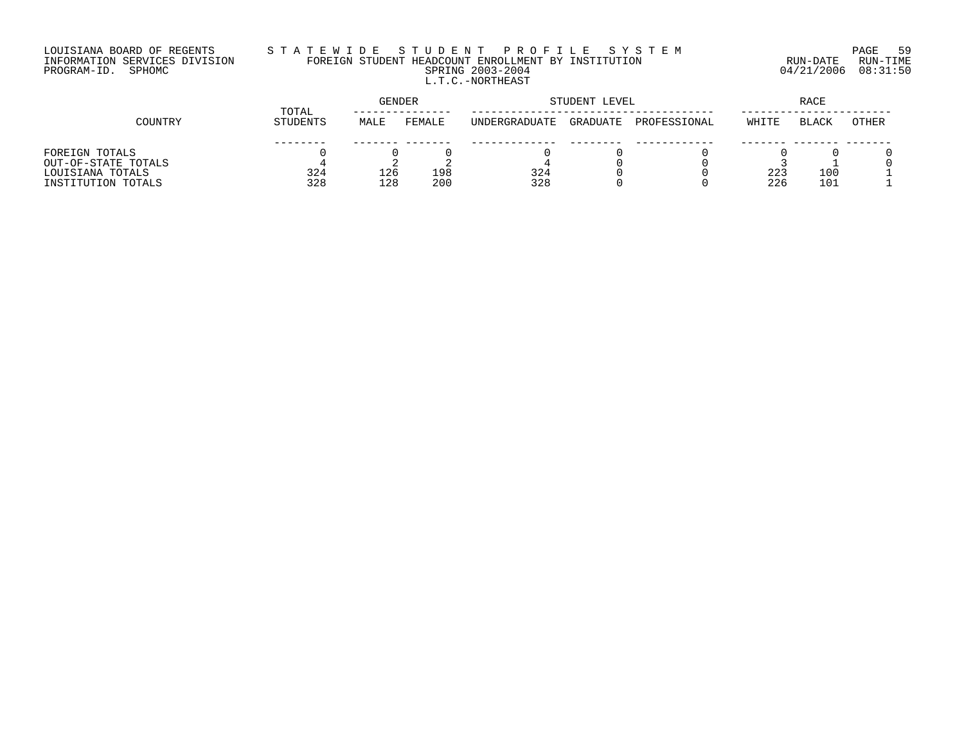# LOUISIANA BOARD OF REGENTS S T A T E W I D E S T U D E N T P R O F I L E S Y S T E M PAGE 59 INFORMATION SERVICES DIVISION FOREIGN STUDENT HEADCOUNT ENROLLMENT BY INSTITUTION RUN-DATE RUN-TIME PROGRAM-ID. SPHOMC SPRING 2003-2004 04/21/2006 08:31:50 L.T.C.-NORTHEAST

|                     | TOTAL    | GENDER |        |                       | STUDENT LEVEL |              |       |       |       |
|---------------------|----------|--------|--------|-----------------------|---------------|--------------|-------|-------|-------|
| COUNTRY             | STUDENTS | MALE   | FEMALE | <b>IINDERGRADUATE</b> | GRADUATE      | PROFESSIONAL | WHITE | BLACK | OTHER |
|                     |          |        |        |                       |               |              |       |       |       |
| FOREIGN TOTALS      |          |        |        |                       |               |              |       |       |       |
| OUT-OF-STATE TOTALS |          |        |        |                       |               |              |       |       |       |
| LOUISIANA TOTALS    | 324      | 126    | 198    | 324                   |               |              | 223   | 100   |       |
| INSTITUTION TOTALS  | 328      | 128    | 200    | 328                   |               |              | 226   | 101   |       |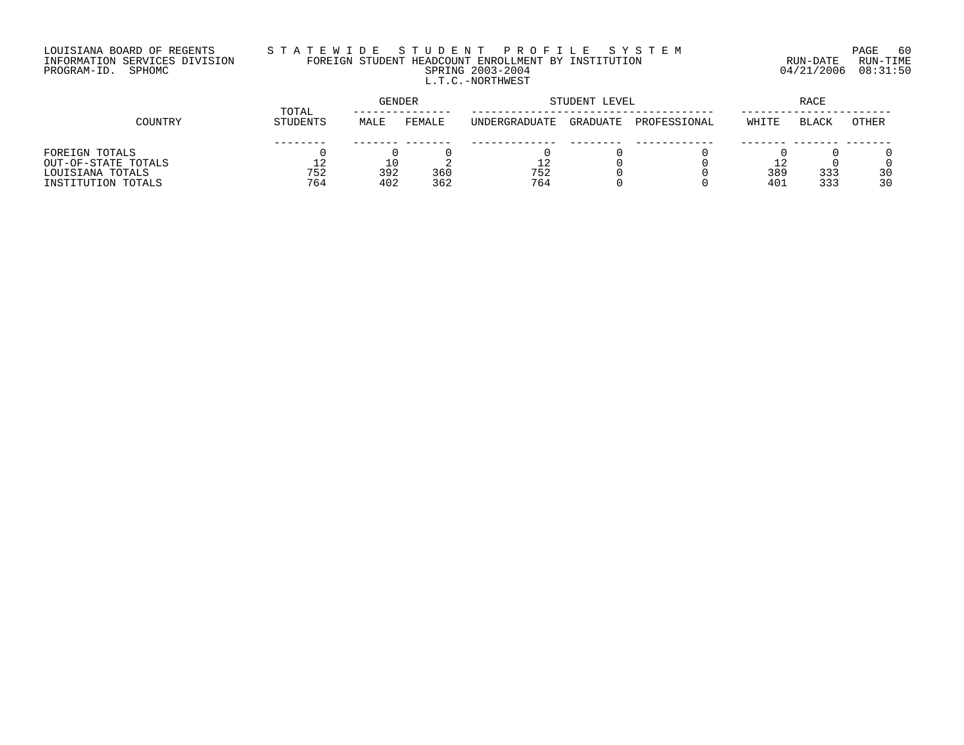## LOUISIANA BOARD OF REGENTS S T A T E W I D E S T U D E N T P R O F I L E S Y S T E M PAGE 60 INFORMATION SERVICES DIVISION FOREIGN STUDENT HEADCOUNT ENROLLMENT BY INSTITUTION RUN-DATE RUN-TIME PROGRAM-ID. SPHOMC SPRING 2003-2004 04/21/2006 08:31:50 L.T.C.-NORTHWEST

|                     | TOTAL    | GENDER |        |               | STUDENT LEVEL | RACE         |       |              |       |
|---------------------|----------|--------|--------|---------------|---------------|--------------|-------|--------------|-------|
| COUNTRY             | STUDENTS | MALE   | FEMALE | UNDERGRADUATE | GRADUATE      | PROFESSIONAL | WHITE | <b>BLACK</b> | OTHER |
|                     |          |        |        |               |               |              |       |              |       |
| FOREIGN TOTALS      |          |        |        |               |               |              |       |              |       |
| OUT-OF-STATE TOTALS | 12       |        |        |               |               |              |       |              |       |
| LOUISIANA TOTALS    | 752      | 392    | 360    | 752           |               |              | 389   | 333          | 30    |
| INSTITUTION TOTALS  | 764      | 402    | 362    | 764           |               |              | 401   | 333          | 30    |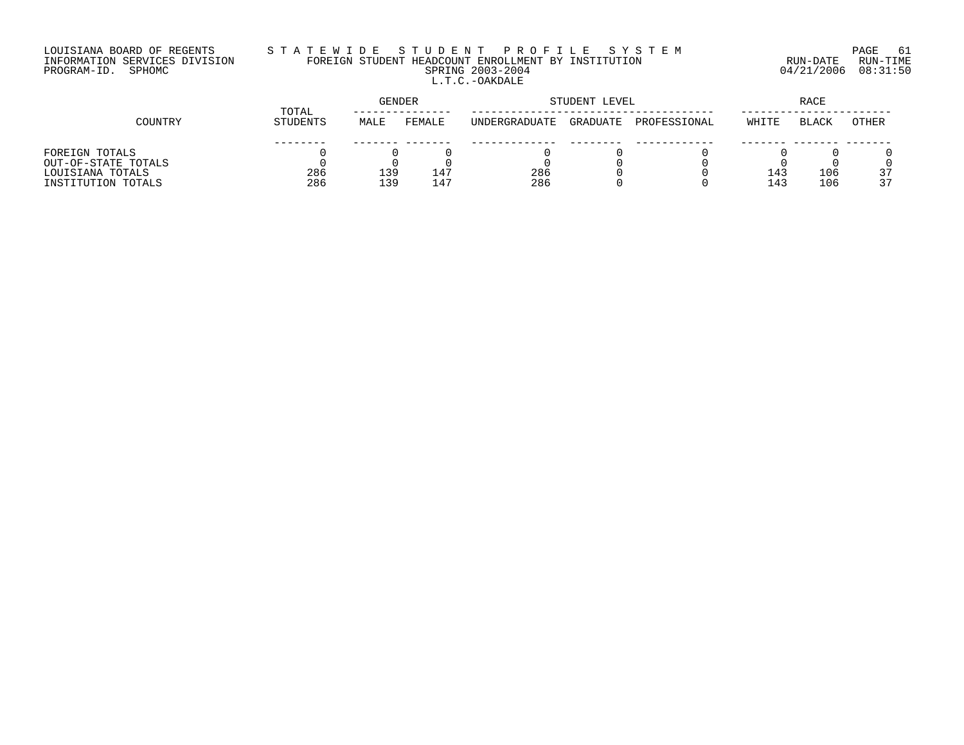# LOUISIANA BOARD OF REGENTS S T A T E W I D E S T U D E N T P R O F I L E S Y S T E M PAGE 61 INFORMATION SERVICES DIVISION FOREIGN STUDENT HEADCOUNT ENROLLMENT BY INSTITUTION RUN-DATE RUN-TIME PROGRAM-ID. SPHOMC SPRING 2003-2004 04/21/2006 08:31:50 L.T.C.-OAKDALE

|                     | TOTAL    | GENDER |        | STUDENT LEVEL         |          | RACE         |                 |              |       |
|---------------------|----------|--------|--------|-----------------------|----------|--------------|-----------------|--------------|-------|
| COUNTRY             | STUDENTS | MALE   | FEMALE | <b>IINDERGRADUATE</b> | GRADUATE | PROFESSIONAL | WHITE           | <b>BLACK</b> | OTHER |
|                     |          |        |        |                       |          |              |                 |              |       |
| FOREIGN TOTALS      |          |        |        |                       |          |              |                 |              |       |
| OUT-OF-STATE TOTALS |          |        |        |                       |          |              |                 |              |       |
| LOUISIANA TOTALS    | 286      | 139    | ⊥4⊺    | 286                   |          |              | 14?             | 106          | 37    |
| INSTITUTION TOTALS  | 286      | 139    | 147    | 286                   |          |              | 14 <sup>2</sup> | 106          | 37    |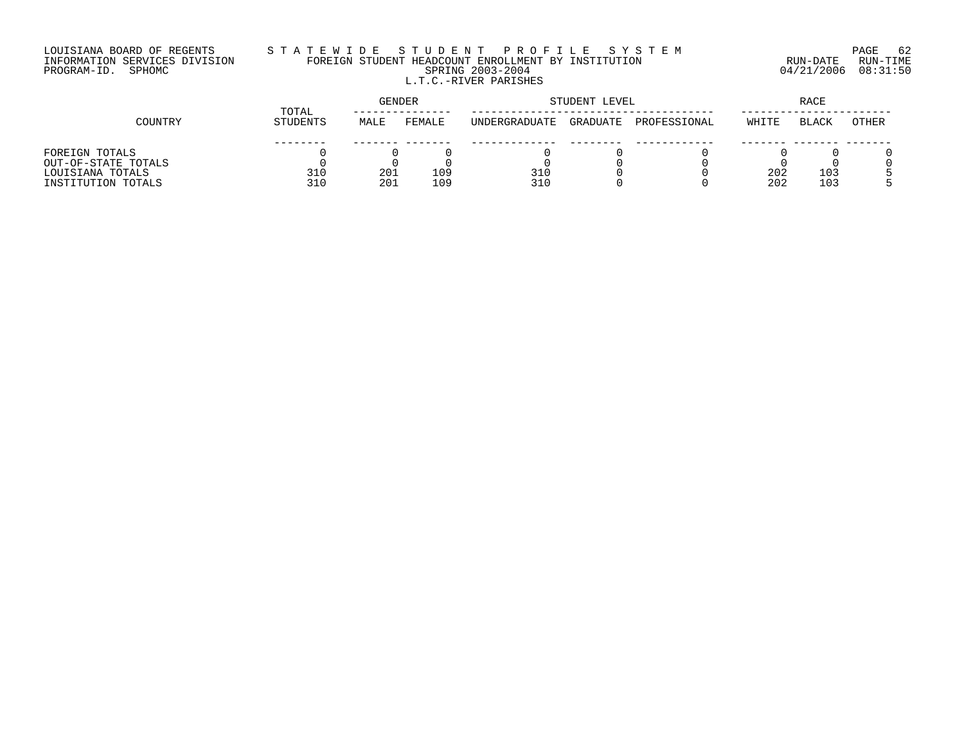## LOUISIANA BOARD OF REGENTS S T A T E W I D E S T U D E N T P R O F I L E S Y S T E M PAGE 62 INFORMATION SERVICES DIVISION FOREIGN STUDENT HEADCOUNT ENROLLMENT BY INSTITUTION RUN-DATE RUN-TIME PROGRAM-ID. SPHOMC SPRING 2003-2004 04/21/2006 08:31:50 L.T.C.-RIVER PARISHES

|                     | TOTAL    | GENDER |        |                      | STUDENT LEVEL | RACE         |       |              |       |
|---------------------|----------|--------|--------|----------------------|---------------|--------------|-------|--------------|-------|
| COUNTRY             | STUDENTS | MALE   | FEMALE | <b>INDERGRADUATE</b> | GRADUATE      | PROFESSIONAL | WHITE | <b>BLACK</b> | OTHER |
|                     |          |        |        |                      |               |              |       |              |       |
| FOREIGN TOTALS      |          |        |        |                      |               |              |       |              |       |
| OUT-OF-STATE TOTALS |          |        |        |                      |               |              |       |              |       |
| LOUISIANA TOTALS    | 310      | 201    | 109    | 310                  |               |              | 202   | 103          |       |
| INSTITUTION TOTALS  | 310      | 201    | 109    | 310                  |               |              | 202   | 103          |       |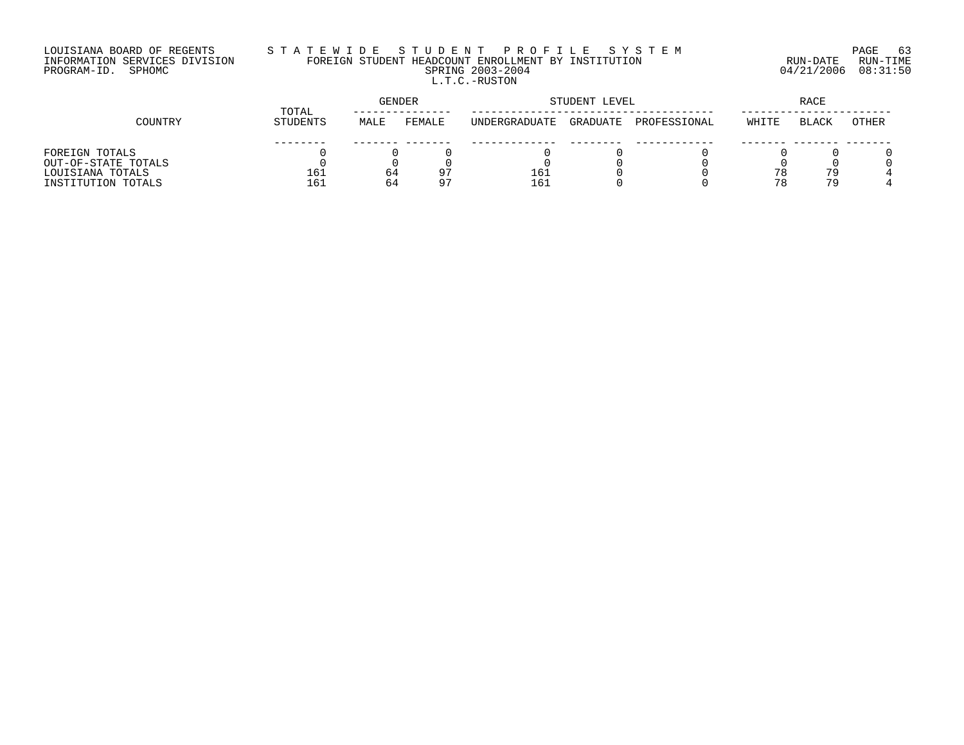## LOUISIANA BOARD OF REGENTS S T A T E W I D E S T U D E N T P R O F I L E S Y S T E M PAGE 63 INFORMATION SERVICES DIVISION FOREIGN STUDENT HEADCOUNT ENROLLMENT BY INSTITUTION RUN-DATE RUN-TIME PROGRAM-ID. SPHOMC SPRING 2003-2004 04/21/2006 08:31:50 L.T.C.-RUSTON

|                     | TOTAL    | GENDER |                |               | STUDENT LEVEL | RACE         |       |              |       |
|---------------------|----------|--------|----------------|---------------|---------------|--------------|-------|--------------|-------|
| COUNTRY             | STUDENTS | MALE   | FEMALE         | UNDERGRADUATE | GRADUATE      | PROFESSIONAL | WHITE | <b>BLACK</b> | OTHER |
|                     |          |        |                |               |               |              |       |              |       |
| FOREIGN TOTALS      |          |        |                |               |               |              |       |              |       |
| OUT-OF-STATE TOTALS |          |        |                |               |               |              |       |              |       |
| LOUISIANA TOTALS    | 161      | 64     | Q <sub>T</sub> | 161           |               |              |       | 79           |       |
| INSTITUTION TOTALS  | 161      | 64     | $\Omega$ 7     | 161           |               |              |       | 79           |       |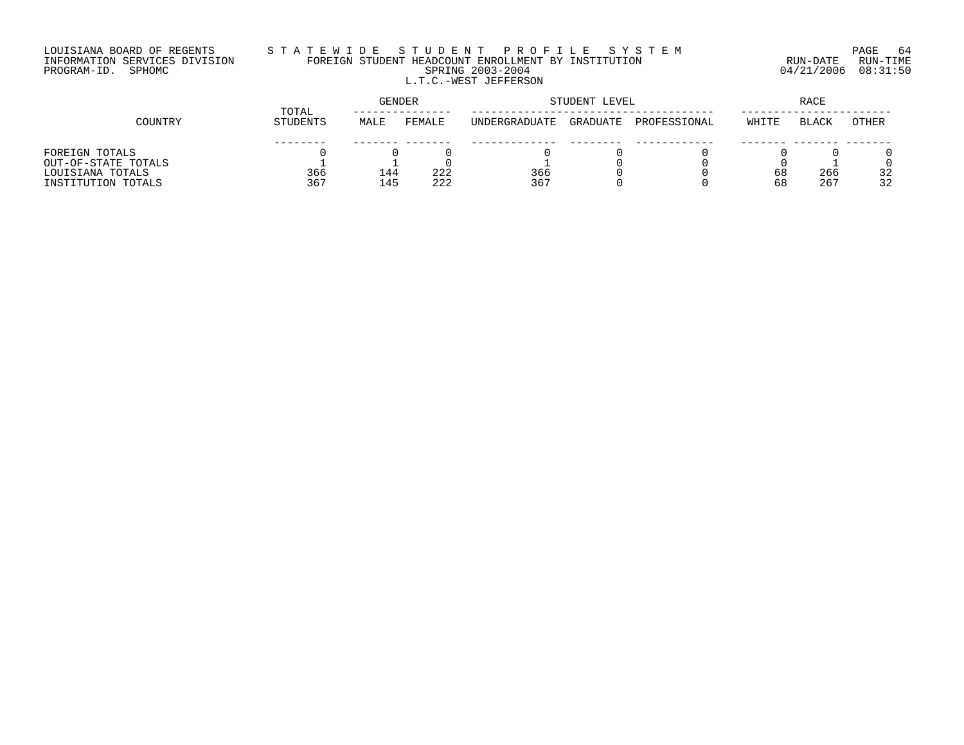## LOUISIANA BOARD OF REGENTS S T A T E W I D E S T U D E N T P R O F I L E S Y S T E M PAGE 64 INFORMATION SERVICES DIVISION FOREIGN STUDENT HEADCOUNT ENROLLMENT BY INSTITUTION RUN-DATE RUN-TIME PROGRAM-ID. SPHOMC SPRING 2003-2004 04/21/2006 08:31:50 L.T.C.-WEST JEFFERSON

|                     |          | <b>GENDER</b><br>TOTAL |        |               | STUDENT LEVEL |              |       |              |              |
|---------------------|----------|------------------------|--------|---------------|---------------|--------------|-------|--------------|--------------|
| COUNTRY             | STUDENTS | MALE                   | FEMALE | UNDERGRADUATE | GRADUATE      | PROFESSIONAL | WHITE | <b>BLACK</b> | <b>OTHER</b> |
|                     |          |                        |        |               |               |              |       |              |              |
| FOREIGN TOTALS      |          |                        |        |               |               |              |       |              |              |
| OUT-OF-STATE TOTALS |          |                        |        |               |               |              |       |              |              |
| LOUISIANA TOTALS    | 366      | 144                    | 222    | 366           |               |              | 68    | 266          | 32           |
| INSTITUTION TOTALS  | 367      | 145                    | 222    | 367           |               |              | 68    | 267          | 32           |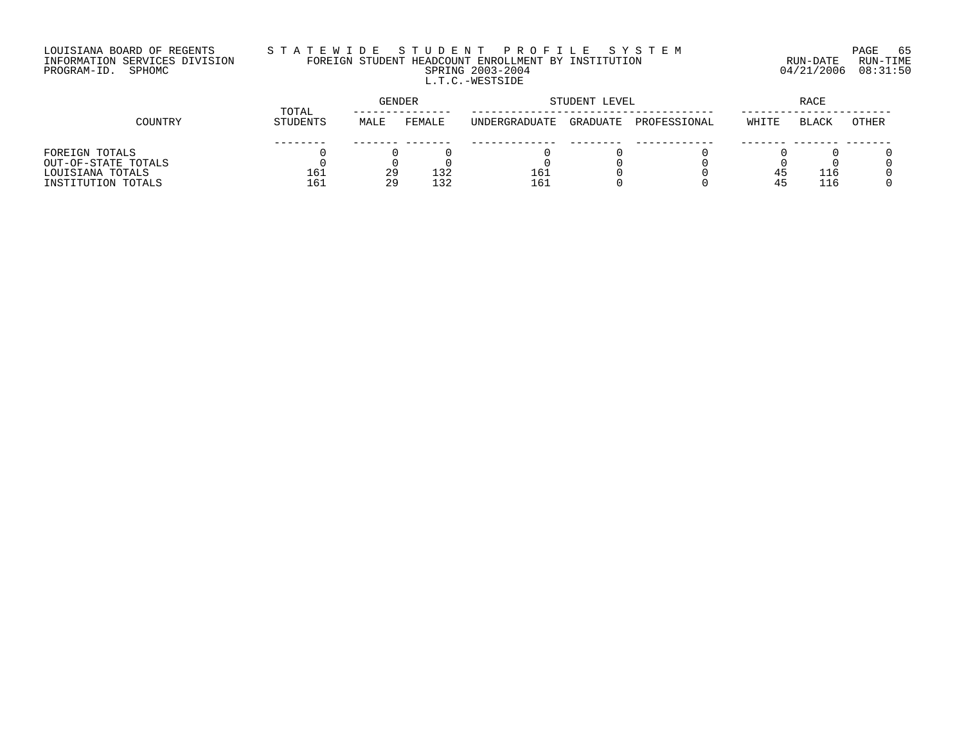# LOUISIANA BOARD OF REGENTS S T A T E W I D E S T U D E N T P R O F I L E S Y S T E M PAGE 65 INFORMATION SERVICES DIVISION FOREIGN STUDENT HEADCOUNT ENROLLMENT BY INSTITUTION RUN-DATE RUN-TIME PROGRAM-ID. SPHOMC SPRING 2003-2004 04/21/2006 08:31:50 L.T.C.-WESTSIDE

|                     | TOTAL    | GENDER |        |               | STUDENT LEVEL | RACE         |       |              |       |
|---------------------|----------|--------|--------|---------------|---------------|--------------|-------|--------------|-------|
| COUNTRY             | STUDENTS | MALE   | FEMALE | UNDERGRADUATE | GRADUATE      | PROFESSIONAL | WHITE | <b>BLACK</b> | OTHER |
|                     |          |        |        |               |               |              |       |              |       |
| FOREIGN TOTALS      |          |        |        |               |               |              |       |              |       |
| OUT-OF-STATE TOTALS |          |        |        |               |               |              |       |              |       |
| LOUISIANA TOTALS    | 161      | 29     | 132    | 161           |               |              | 45    | 116          |       |
| INSTITUTION TOTALS  | 161      | 29     | 132    | 161           |               |              |       | 116          |       |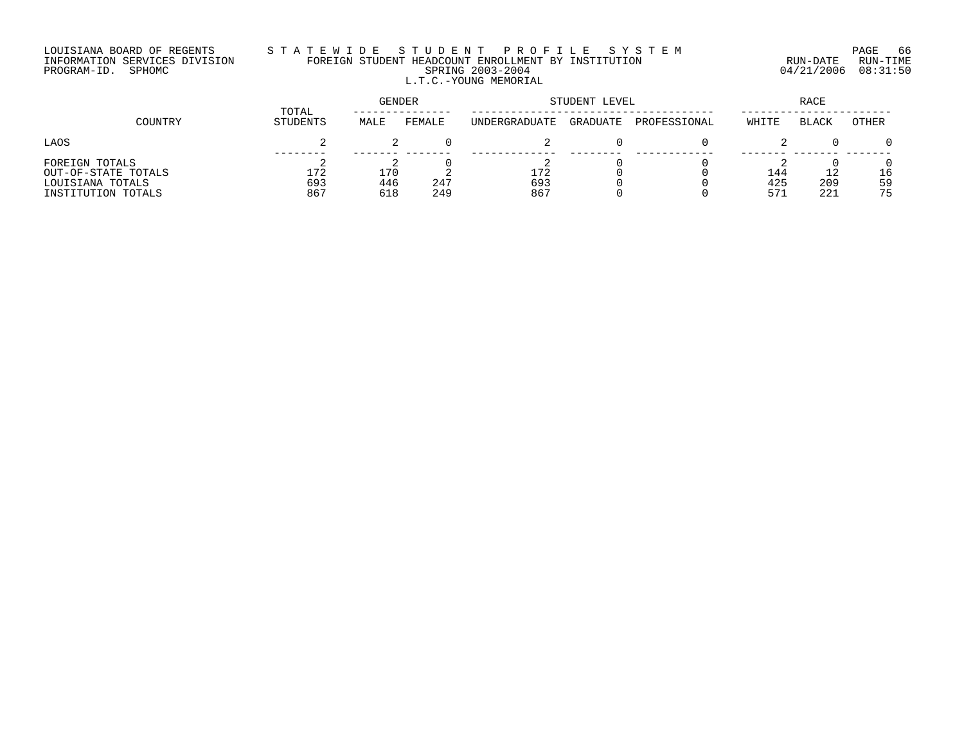# LOUISIANA BOARD OF REGENTS S T A T E W I D E S T U D E N T P R O F I L E S Y S T E M PAGE 66 INFORMATION SERVICES DIVISION FOREIGN STUDENT HEADCOUNT ENROLLMENT BY INSTITUTION RUN-DATE RUN-TIME PROGRAM-ID. SPHOMC SPRING 2003-2004 04/21/2006 08:31:50 L.T.C.-YOUNG MEMORIAL

|                                                                                 |                   | <b>GENDER</b>     |            | STUDENT LEVEL        | RACE     |              |                   |                  |                |
|---------------------------------------------------------------------------------|-------------------|-------------------|------------|----------------------|----------|--------------|-------------------|------------------|----------------|
| COUNTRY                                                                         | TOTAL<br>STUDENTS | MALE              | FEMALE     | <b>UNDERGRADUATE</b> | GRADUATE | PROFESSIONAL | WHITE             | BLACK            | <b>OTHER</b>   |
| LAOS                                                                            |                   |                   |            | ৴                    |          |              |                   |                  |                |
| FOREIGN TOTALS<br>OUT-OF-STATE TOTALS<br>LOUISIANA TOTALS<br>INSTITUTION TOTALS | 172<br>693<br>867 | 170<br>446<br>618 | 247<br>249 | 172<br>693<br>867    |          |              | 144<br>425<br>573 | 12<br>209<br>221 | 16<br>59<br>75 |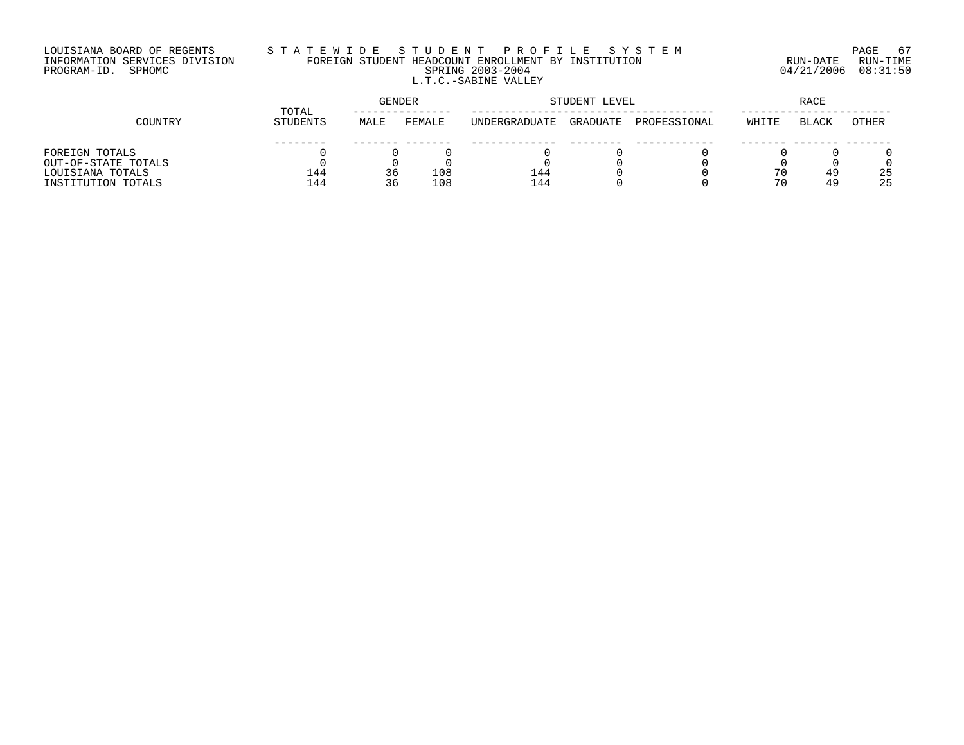## LOUISIANA BOARD OF REGENTS S T A T E W I D E S T U D E N T P R O F I L E S Y S T E M PAGE 67 INFORMATION SERVICES DIVISION FOREIGN STUDENT HEADCOUNT ENROLLMENT BY INSTITUTION RUN-DATE RUN-TIME PROGRAM-ID. SPHOMC SPRING 2003-2004 04/21/2006 08:31:50 L.T.C.-SABINE VALLEY

|                     | TOTAL           | <b>GENDER</b> |        | STUDENT LEVEL | <b>RACE</b> |              |       |              |       |
|---------------------|-----------------|---------------|--------|---------------|-------------|--------------|-------|--------------|-------|
| COUNTRY             | <b>STUDENTS</b> | MALE          | FEMALE | UNDERGRADUATE | GRADUATE    | PROFESSIONAL | WHITE | <b>BLACK</b> | OTHER |
|                     |                 |               |        |               |             |              |       |              |       |
| FOREIGN TOTALS      |                 |               |        |               |             |              |       |              |       |
| OUT-OF-STATE TOTALS |                 |               |        |               |             |              |       |              |       |
| LOUISIANA TOTALS    | 144             | 36            | 108    | 144           |             |              |       | 49           | 25    |
| INSTITUTION TOTALS  | 144             | 36            | 108    | 144           |             |              | 70    | 49           | 25    |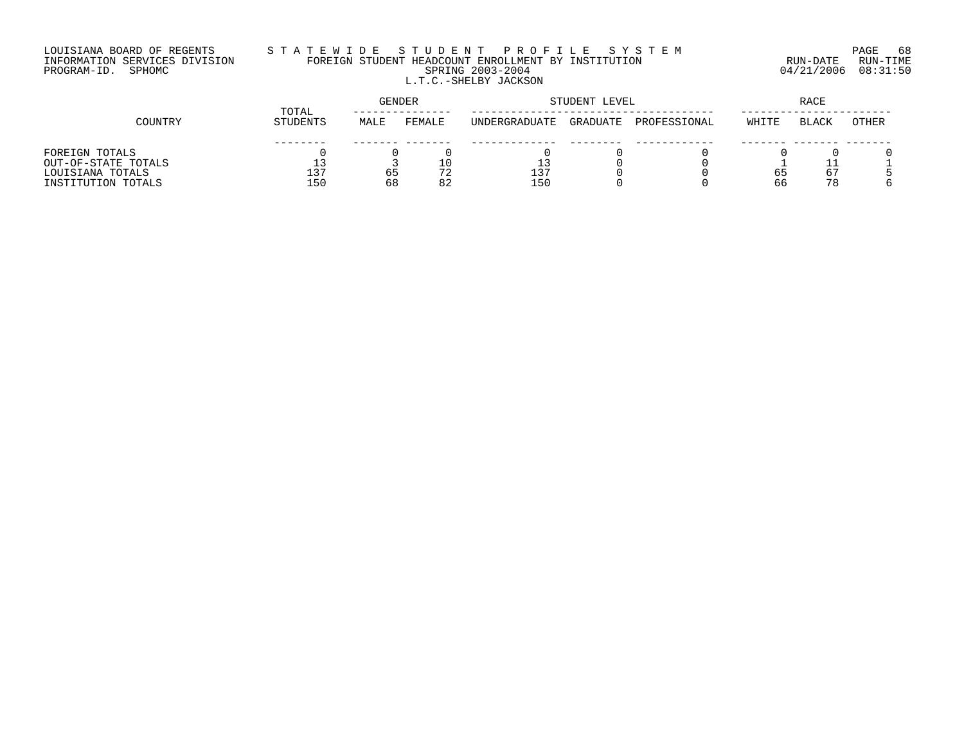## LOUISIANA BOARD OF REGENTS S T A T E W I D E S T U D E N T P R O F I L E S Y S T E M PAGE 68 INFORMATION SERVICES DIVISION FOREIGN STUDENT HEADCOUNT ENROLLMENT BY INSTITUTION RUN-DATE RUN-TIME PROGRAM-ID. SPHOMC SPRING 2003-2004 04/21/2006 08:31:50 L.T.C.-SHELBY JACKSON

|                     | TOTAL    |      | GENDER |                      | STUDENT LEVEL |              | RACE  |       |       |
|---------------------|----------|------|--------|----------------------|---------------|--------------|-------|-------|-------|
| COUNTRY             | STUDENTS | MALE | FEMALE | <b>INDERGRADUATE</b> | GRADUATE      | PROFESSIONAL | WHITE | BLACK | OTHER |
|                     |          |      |        |                      |               |              |       |       |       |
| FOREIGN TOTALS      |          |      |        |                      |               |              |       |       |       |
| OUT-OF-STATE TOTALS | 13       |      |        |                      |               |              |       |       |       |
| LOUISIANA TOTALS    | 137      | 65   | 72     | 137                  |               |              | 65    | 67    |       |
| INSTITUTION TOTALS  | 150      | 68   | 82     | 150                  |               |              | 66    | 78    |       |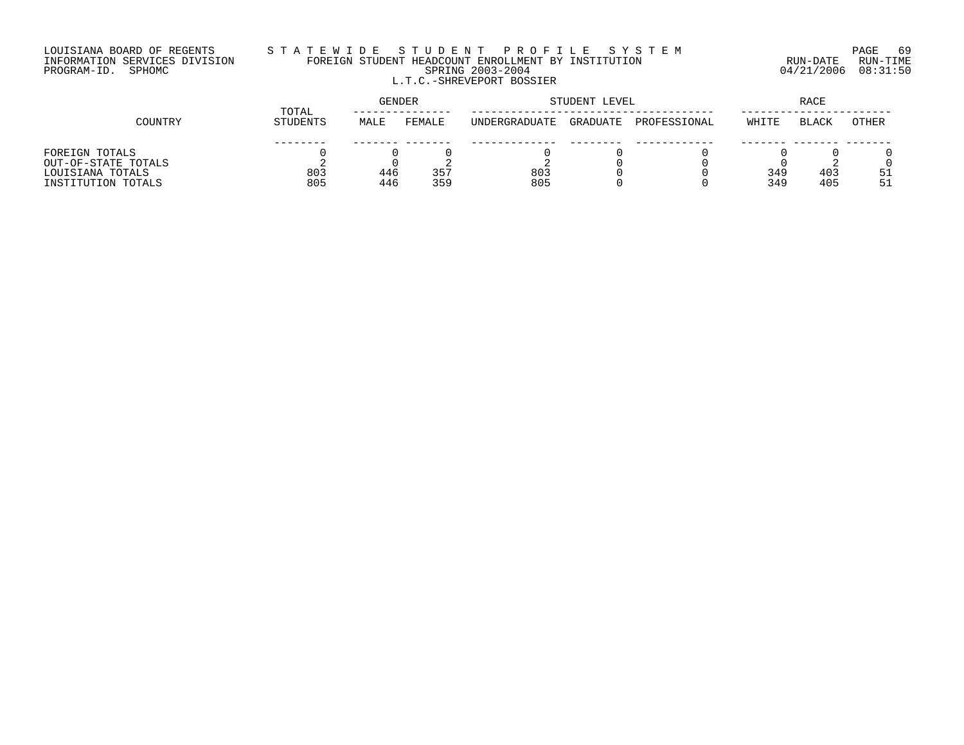#### LOUISIANA BOARD OF REGENTS S T A T E W I D E S T U D E N T P R O F I L E S Y S T E M PAGE 69 INFORMATION SERVICES DIVISION FOREIGN STUDENT HEADCOUNT ENROLLMENT BY INSTITUTION RUN-DATE RUN-TIME PROGRAM-ID. SPHOMC SPRING 2003-2004 04/21/2006 08:31:50 L.T.C.-SHREVEPORT BOSSIER

|                     | TOTAL    | <b>GENDER</b> |        |                      | STUDENT LEVEL | RACE         |       |              |       |
|---------------------|----------|---------------|--------|----------------------|---------------|--------------|-------|--------------|-------|
| COUNTRY             | STUDENTS | MALE          | FEMALE | <b>INDERGRADUATE</b> | GRADUATE      | PROFESSIONAL | WHITE | <b>BLACK</b> | OTHER |
|                     |          |               |        |                      |               |              |       |              |       |
| FOREIGN TOTALS      |          |               |        |                      |               |              |       |              |       |
| OUT-OF-STATE TOTALS |          |               |        |                      |               |              |       |              |       |
| LOUISIANA TOTALS    | 803      | 446           | 357    | 803                  |               |              | 349   | 403          | 51    |
| INSTITUTION TOTALS  | 805      | 446           | 359    | 805                  |               |              | 349   | 405          | 51    |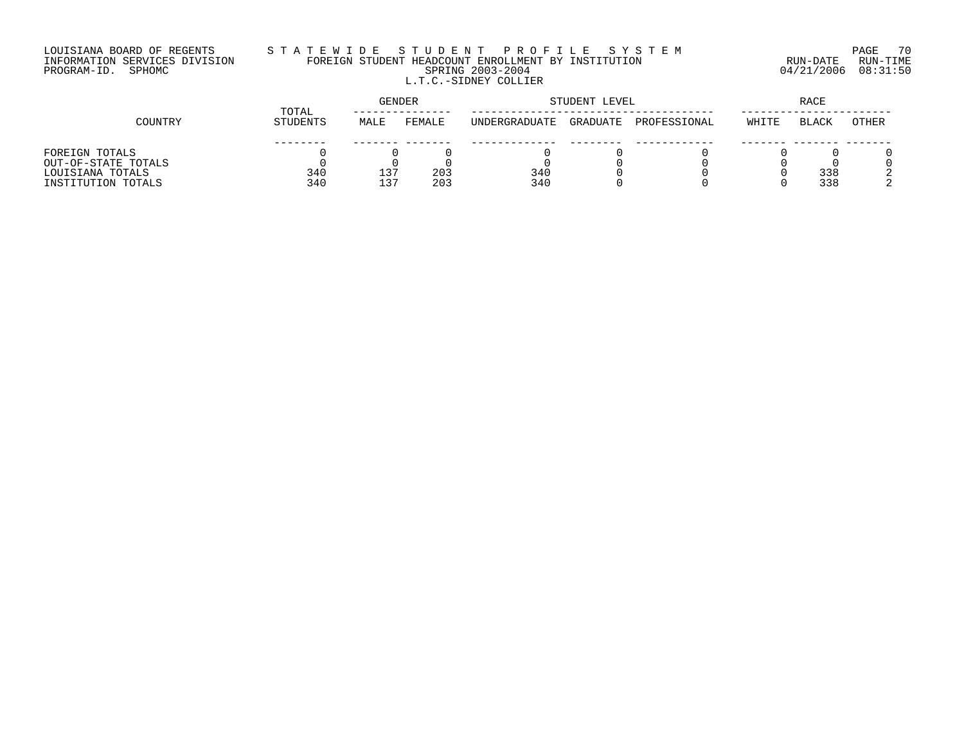# LOUISIANA BOARD OF REGENTS S T A T E W I D E S T U D E N T P R O F I L E S Y S T E M PAGE 70 INFORMATION SERVICES DIVISION FOREIGN STUDENT HEADCOUNT ENROLLMENT BY INSTITUTION RUN-DATE RUN-TIME PROGRAM-ID. SPHOMC SPRING 2003-2004 04/21/2006 08:31:50 L.T.C.-SIDNEY COLLIER

|                     | TOTAL    | <b>GENDER</b> |        |               | STUDENT LEVEL | RACE         |       |       |       |
|---------------------|----------|---------------|--------|---------------|---------------|--------------|-------|-------|-------|
| COUNTRY             | STUDENTS | MALE          | FEMALE | UNDERGRADUATE | GRADUATE      | PROFESSIONAL | WHITE | BLACK | OTHER |
|                     |          |               |        |               |               |              |       |       |       |
| FOREIGN TOTALS      |          |               |        |               |               |              |       |       |       |
| OUT-OF-STATE TOTALS |          |               |        |               |               |              |       |       |       |
| LOUISIANA TOTALS    | 340      | $13-$         | 203    | 340           |               |              |       | 338   |       |
| INSTITUTION TOTALS  | 340      | 137           | 203    | 340           |               |              |       | 338   |       |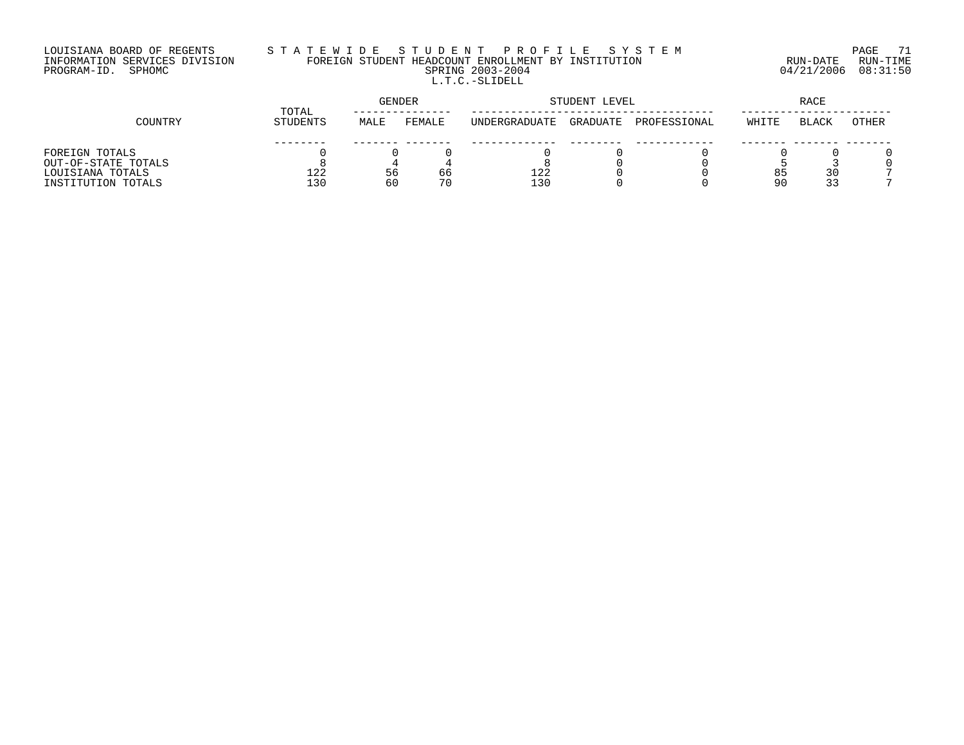## LOUISIANA BOARD OF REGENTS S T A T E W I D E S T U D E N T P R O F I L E S Y S T E M PAGE 71 INFORMATION SERVICES DIVISION FOREIGN STUDENT HEADCOUNT ENROLLMENT BY INSTITUTION RUN-DATE RUN-TIME PROGRAM-ID. SPHOMC SPRING 2003-2004 04/21/2006 08:31:50 L.T.C.-SLIDELL

|                     | TOTAL    |      | GENDER |               | STUDENT LEVEL |              |       |       |       |
|---------------------|----------|------|--------|---------------|---------------|--------------|-------|-------|-------|
| COUNTRY             | STUDENTS | MALE | FEMALE | UNDERGRADUATE | GRADUATE      | PROFESSIONAL | WHITE | BLACK | OTHER |
|                     |          |      |        |               |               |              |       |       |       |
| FOREIGN TOTALS      |          |      |        |               |               |              |       |       |       |
| OUT-OF-STATE TOTALS |          |      |        |               |               |              |       |       |       |
| LOUISIANA TOTALS    | 122      | 56   | 66     | 122           |               |              | 85    | 30    |       |
| INSTITUTION TOTALS  | 130      | 60   | 70     | 130           |               |              | 9 C   | 33    |       |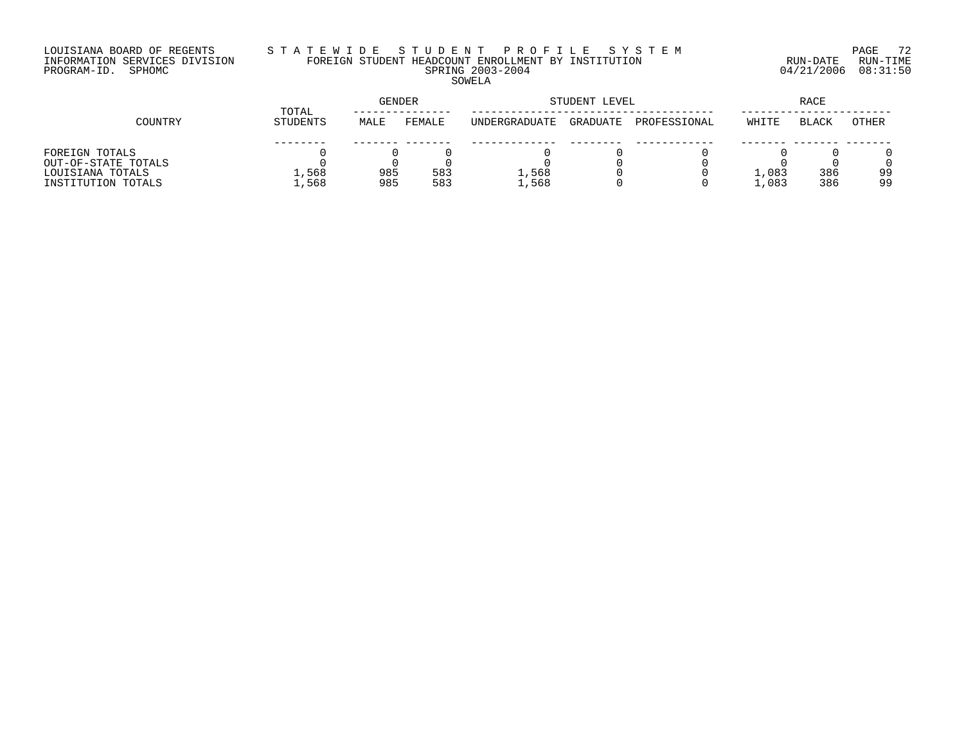#### LOUISIANA BOARD OF REGENTS S T A T E W I D E S T U D E N T P R O F I L E S Y S T E M PAGE 72 INFORMATION SERVICES DIVISION FOREIGN STUDENT HEADCOUNT ENROLLMENT BY INSTITUTION RUN-DATE RUN-TIME PROGRAM-ID. SPHOMC SPRING 2003-2004 04/21/2006 08:31:50 SOWELA

|                     | TOTAL    | GENDER |        |               | STUDENT LEVEL |              |       |              |              |
|---------------------|----------|--------|--------|---------------|---------------|--------------|-------|--------------|--------------|
| COUNTRY             | STUDENTS | MALE   | FEMALE | UNDERGRADUATE | GRADUATE      | PROFESSIONAL | WHITE | <b>BLACK</b> | <b>OTHER</b> |
|                     |          |        |        |               |               |              |       |              |              |
| FOREIGN TOTALS      |          |        |        |               |               |              |       |              |              |
| OUT-OF-STATE TOTALS |          |        |        |               |               |              |       |              |              |
| LOUISIANA TOTALS    | 1,568    | 985    | 583    | 1,568         |               |              | 1,083 | 386          | 99           |
| INSTITUTION TOTALS  | ⊥,568    | 985    | 583    | 1,568         |               |              | 1,083 | 386          | 99           |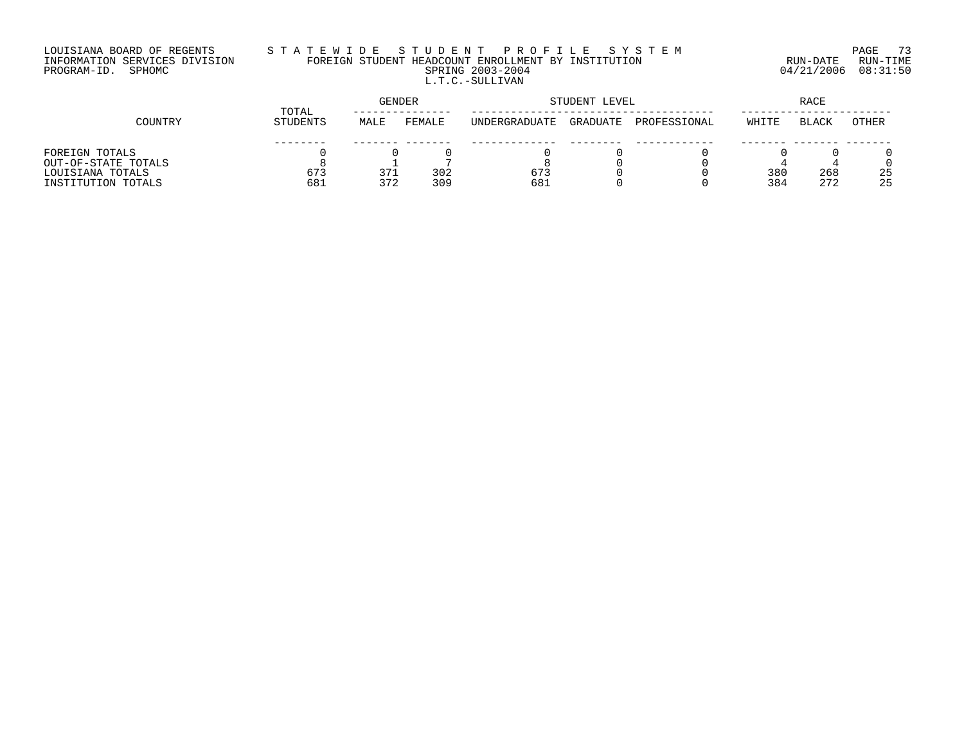# LOUISIANA BOARD OF REGENTS S T A T E W I D E S T U D E N T P R O F I L E S Y S T E M PAGE 73 INFORMATION SERVICES DIVISION FOREIGN STUDENT HEADCOUNT ENROLLMENT BY INSTITUTION RUN-DATE RUN-TIME PROGRAM-ID. SPHOMC SPRING 2003-2004 04/21/2006 08:31:50 L.T.C.-SULLIVAN

| COUNTRY             | TOTAL    | <b>GENDER</b> |        | STUDENT LEVEL | RACE     |              |       |              |       |
|---------------------|----------|---------------|--------|---------------|----------|--------------|-------|--------------|-------|
|                     | STUDENTS | MALE          | FEMALE | UNDERGRADUATE | GRADUATE | PROFESSIONAL | WHITE | <b>BLACK</b> | OTHER |
|                     |          |               |        |               |          |              |       |              |       |
| FOREIGN TOTALS      |          |               |        |               |          |              |       |              |       |
| OUT-OF-STATE TOTALS |          |               |        |               |          |              |       |              |       |
| LOUISIANA TOTALS    | 673      | 371           | 302    | 673           |          |              | 380   | 268          | 25    |
| INSTITUTION TOTALS  | 681      | 372           | 309    | 681           |          |              | 384   | 272          | 25    |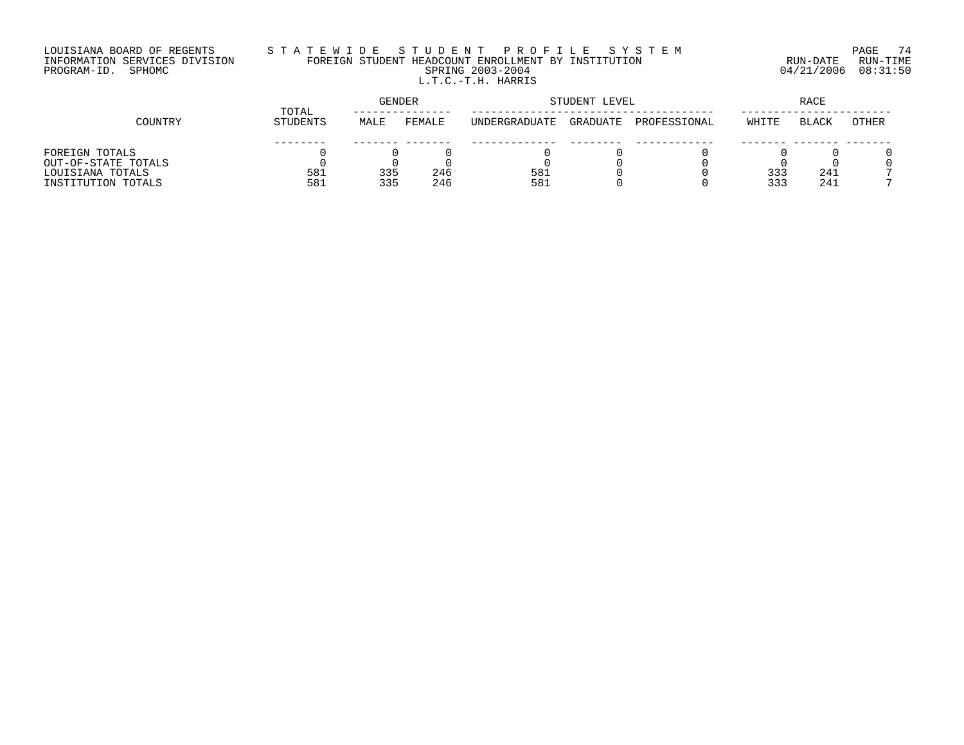# LOUISIANA BOARD OF REGENTS S T A T E W I D E S T U D E N T P R O F I L E S Y S T E M PAGE 74 INFORMATION SERVICES DIVISION FOREIGN STUDENT HEADCOUNT ENROLLMENT BY INSTITUTION RUN-DATE RUN-TIME PROGRAM-ID. SPHOMC SPRING 2003-2004 04/21/2006 08:31:50 L.T.C.-T.H. HARRIS

| COUNTRY             | TOTAL    | <b>GENDER</b> |        | STUDENT LEVEL | RACE     |              |       |              |       |
|---------------------|----------|---------------|--------|---------------|----------|--------------|-------|--------------|-------|
|                     | STUDENTS | MALE          | FEMALE | UNDERGRADUATE | GRADUATE | PROFESSIONAL | WHITE | <b>BLACK</b> | OTHER |
|                     |          |               |        |               |          |              |       |              |       |
| FOREIGN TOTALS      |          |               |        |               |          |              |       |              |       |
| OUT-OF-STATE TOTALS |          |               |        |               |          |              |       |              |       |
| LOUISIANA TOTALS    | 581      | 335           | 246    | 581           |          |              | 333   | 241          |       |
| INSTITUTION TOTALS  | 581      | 335           | 246    | 581           |          |              | 333   | 241          |       |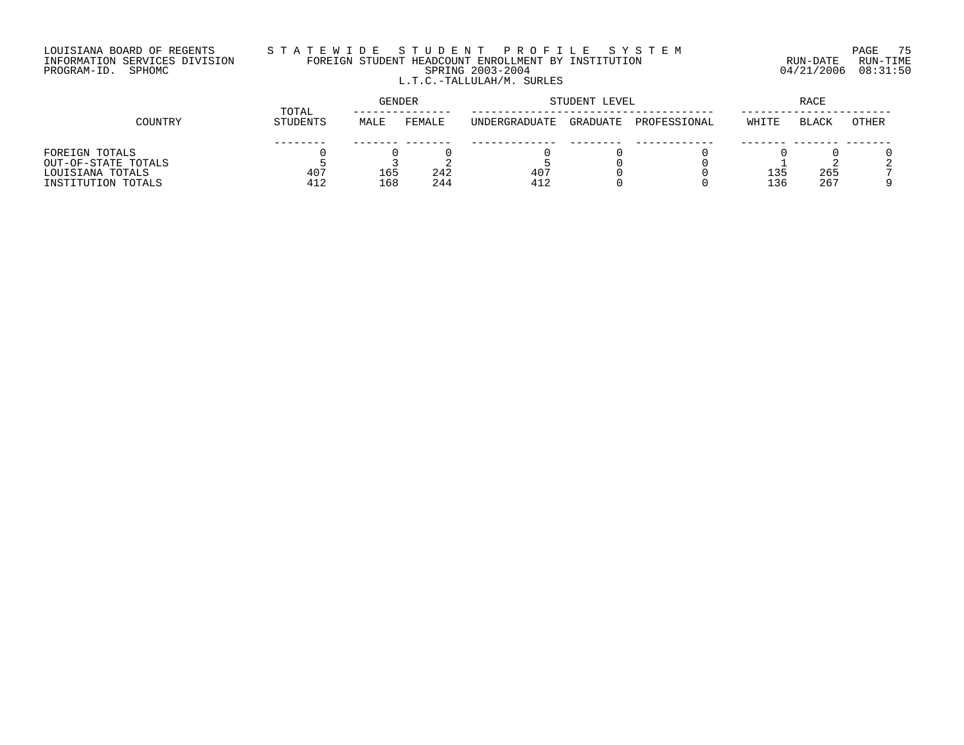## LOUISIANA BOARD OF REGENTS S T A T E W I D E S T U D E N T P R O F I L E S Y S T E M PAGE 75 INFORMATION SERVICES DIVISION FOREIGN STUDENT HEADCOUNT ENROLLMENT BY INSTITUTION RUN-DATE RUN-TIME PROGRAM-ID. SPHOMC SPRING 2003-2004 04/21/2006 08:31:50 L.T.C.-TALLULAH/M. SURLES

| COUNTRY             | TOTAL    | GENDER |        | STUDENT LEVEL | RACE     |              |       |              |       |
|---------------------|----------|--------|--------|---------------|----------|--------------|-------|--------------|-------|
|                     | STUDENTS | MALE   | FEMALE | UNDERGRADUATE | GRADUATE | PROFESSIONAL | WHITE | <b>BLACK</b> | OTHER |
|                     |          |        |        |               |          |              |       |              |       |
| FOREIGN TOTALS      |          |        |        |               |          |              |       |              |       |
| OUT-OF-STATE TOTALS |          |        |        |               |          |              |       |              |       |
| LOUISIANA TOTALS    | 407      | 165    | 242    | 407           |          |              | 135   | 265          |       |
| INSTITUTION TOTALS  | 412      | 168    | 244    | 412           |          |              | 136   | 267          |       |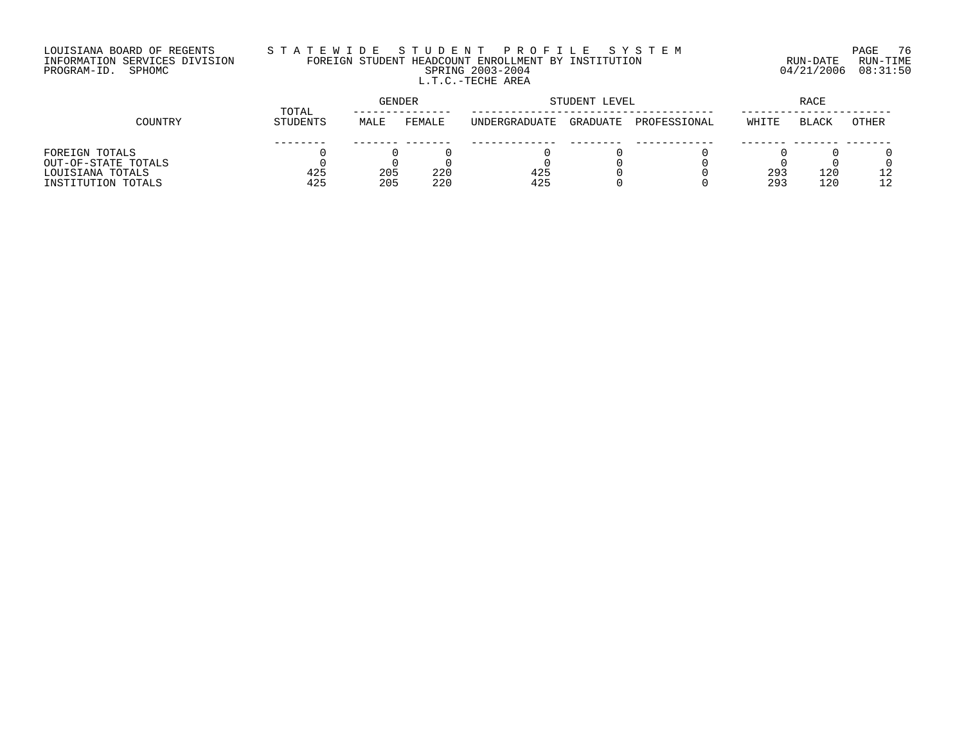# LOUISIANA BOARD OF REGENTS S T A T E W I D E S T U D E N T P R O F I L E S Y S T E M PAGE 76 INFORMATION SERVICES DIVISION FOREIGN STUDENT HEADCOUNT ENROLLMENT BY INSTITUTION RUN-DATE RUN-TIME PROGRAM-ID. SPHOMC SPRING 2003-2004 04/21/2006 08:31:50 L.T.C.-TECHE AREA

|                     | TOTAL           | <b>GENDER</b> |        | STUDENT LEVEL | <b>RACE</b> |              |       |              |       |
|---------------------|-----------------|---------------|--------|---------------|-------------|--------------|-------|--------------|-------|
| COUNTRY             | <b>STUDENTS</b> | MALE          | FEMALE | UNDERGRADUATE | GRADUATE    | PROFESSIONAL | WHITE | <b>BLACK</b> | OTHER |
|                     |                 |               |        |               |             |              |       |              |       |
| FOREIGN TOTALS      |                 |               |        |               |             |              |       |              |       |
| OUT-OF-STATE TOTALS |                 |               |        |               |             |              |       |              |       |
| LOUISIANA TOTALS    | 425             | 205           | 220    | 425           |             |              | 293   | 120          |       |
| INSTITUTION TOTALS  | 425             | 205           | 220    | 425           |             |              | 293   | 120          |       |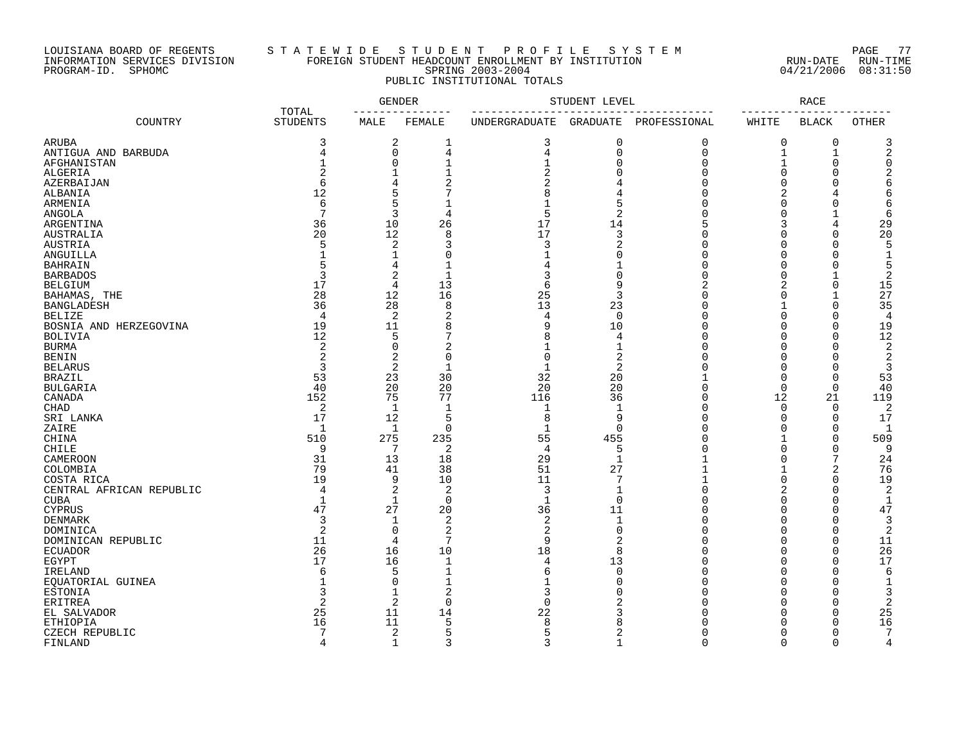### LOUISIANA BOARD OF REGENTS S T A T E W I D E S T U D E N T P R O F I L E S Y S T E M PAGE 77 INFORMATION SERVICES DIVISION FOREIGN STUDENT HEADCOUNT ENROLLMENT BY INSTITUTION RUN-DATE RUN-TIME PROGRAM-ID. SPHOMC SPRING 2003-2004 04/21/2006 08:31:50 PUBLIC INSTITUTIONAL TOTALS

|                          |                          |                               | GENDER              | STUDENT LEVEL     | RACE           |                |          |                      |                     |
|--------------------------|--------------------------|-------------------------------|---------------------|-------------------|----------------|----------------|----------|----------------------|---------------------|
| COUNTRY                  | TOTAL<br><b>STUDENTS</b> | MALE                          | FEMALE              | UNDERGRADUATE     | GRADUATE       | PROFESSIONAL   | WHITE    | <b>BLACK</b>         | OTHER               |
| ARUBA                    | 3                        | 2                             | 1                   | 3                 | 0              | $\mathbf 0$    | 0        | 0                    | 3                   |
| ANTIGUA AND BARBUDA      | 4                        | $\mathbf 0$                   | 4                   | 4                 | $\mathbf 0$    | $\overline{0}$ | 1        | $\mathbf 1$          | 2                   |
| AFGHANISTAN              |                          | $\mathbf 0$                   |                     | $\overline{1}$    | $\mathbf 0$    | $\Omega$       |          | $\mathbf 0$          |                     |
| ALGERIA                  |                          | 1                             |                     |                   | O              | $\Omega$       | $\Omega$ | $\Omega$             |                     |
| AZERBAIJAN               | 6                        | 4                             |                     |                   |                |                | $\Omega$ | $\Omega$             |                     |
| ALBANIA                  | 12                       | 5                             |                     |                   |                |                | 2        |                      |                     |
| ARMENIA                  | 6                        | 5                             |                     |                   | 5              |                |          | C                    |                     |
| <b>ANGOLA</b>            | 7                        | 3                             | 4                   | 5                 | 2              |                |          |                      |                     |
| ARGENTINA                | 36                       | 10                            | 26                  | 17                | 14             |                | 3        | 4                    | 29                  |
| AUSTRALIA                | 20                       | 12                            | 8                   | 17                | 3              |                |          | $\overline{0}$       | 20                  |
| AUSTRIA                  | 5                        | 2                             | 3                   | 3                 | 2              |                |          | $\Omega$             |                     |
| ANGUILLA                 |                          | 1                             | $\Omega$            | 1                 | O              |                |          | C                    |                     |
| <b>BAHRAIN</b>           |                          | 4                             |                     |                   |                |                |          | C                    |                     |
| <b>BARBADOS</b>          |                          | 2                             | $\mathbf{1}$        | 3                 | $\Omega$       |                | U        |                      | 2                   |
| <b>BELGIUM</b>           | 17                       | 4                             | 13                  | 6                 | 9              |                | 2        | $\Omega$             | 15                  |
| BAHAMAS, THE             | 28                       | 12                            | 16                  | 25                | 3              |                | $\Omega$ | $\mathbf{1}$         | 27                  |
| <b>BANGLADESH</b>        | 36                       | 28                            | 8                   | 13                | 23             |                |          | $\mathbf 0$          | 35                  |
| <b>BELIZE</b>            | 4                        | 2                             | 2                   | 4                 | $\mathbf 0$    |                | O        | $\Omega$             | $\overline{4}$      |
| BOSNIA AND HERZEGOVINA   | 19                       | 11                            | 8                   | q                 | 10             |                | U        | $\mathbf 0$          | 19                  |
| BOLIVIA                  | 12                       | 5                             |                     |                   | $\overline{4}$ |                |          | $\Omega$             | 12                  |
| <b>BURMA</b>             | $\overline{2}$           | $\mathbf 0$                   | $\overline{2}$      |                   | $\mathbf 1$    |                |          | $\cap$               | 2                   |
| <b>BENIN</b>             | $\overline{c}$           | 2                             | $\Omega$            | $\Omega$          | $\overline{2}$ |                |          | $\cap$               | 2                   |
| <b>BELARUS</b>           | 3                        | 2                             | $\mathbf{1}$        | $\mathbf{1}$      | $\overline{2}$ |                | U        | C                    | 3                   |
|                          | 53                       | 23                            | 30                  | 32                | 20             |                | $\Omega$ | 0                    | 53                  |
| BRAZIL<br>BULGARIA       | 40                       | 20                            | 20                  | 20                | 20             | U              | $\Omega$ | $\mathbf 0$          | 40                  |
|                          | 152                      | 75                            | 77                  | 116               | 36             | $\cap$         | 12       | 21                   | 119                 |
| CANADA                   | 2                        | 1                             | $\mathbf 1$         | 1                 | $\mathbf 1$    | U              | $\Omega$ | 0                    | 2                   |
| CHAD                     | 17                       |                               | 5                   | 8                 | 9              |                | $\Omega$ | $\mathbf 0$          | 17                  |
| SRI LANKA                | $\mathbf{1}$             | 12<br>$\mathbf{1}$            | $\Omega$            | $\mathbf{1}$      | $\Omega$       |                | U        | $\mathbf 0$          |                     |
| ZAIRE                    |                          |                               |                     |                   |                |                |          |                      |                     |
| CHINA                    | 510<br>9                 | 275<br>7                      | 235                 | 55<br>4           | 455            |                | $\Omega$ | $\mathbf 0$          | 509<br>9            |
| CHILE                    |                          |                               | 2                   | 29                | 5              |                | $\Omega$ | 0<br>7               |                     |
| CAMEROON                 | 31                       | 13                            | 18                  |                   | 1              |                |          |                      | 24                  |
| COLOMBIA                 | 79                       | 41                            | 38                  | 51                | 27<br>7        |                | $\Omega$ | 2                    | 76                  |
| COSTA RICA               | 19                       | 9                             | 10                  | 11                | $\mathbf{1}$   | $\cap$         | 2        | $\mathbf 0$          | 19                  |
| CENTRAL AFRICAN REPUBLIC | 4                        | 2                             | $\overline{2}$      | 3<br>$\mathbf{1}$ |                | U              | $\Omega$ | $\Omega$             | 2                   |
| <b>CUBA</b>              | $\mathbf{1}$             | $\mathbf 1$                   | $\Omega$            |                   | $\Omega$       |                | $\Omega$ | $\Omega$<br>$\Omega$ | $\mathbf{1}$        |
| <b>CYPRUS</b>            | 47                       | 27                            | 20                  | 36                | 11             |                |          |                      | 47                  |
| DENMARK                  | 3<br>$\overline{2}$      | 1                             | 2<br>$\overline{2}$ | 2                 | $\mathbf{1}$   | U              |          | $\Omega$             | 3<br>$\overline{2}$ |
| DOMINICA                 |                          | $\mathbf 0$<br>$\overline{4}$ | 7                   | 2                 | $\mathbf 0$    |                | U        | 0                    |                     |
| DOMINICAN REPUBLIC       | 11                       |                               |                     | 9                 | 2              |                | U        | $\mathbf 0$          | 11                  |
| <b>ECUADOR</b>           | 26<br>17                 | 16                            | 10                  | 18                | 8              |                | U        | $\mathbf 0$          | 26                  |
| EGYPT                    |                          | 16                            | $\mathbf{1}$        | 4                 | 13             |                |          | $\Omega$             | 17                  |
| IRELAND                  | 6                        | 5                             | $\mathbf{1}$        | 6                 | $\Omega$       |                |          | $\Omega$             | 6                   |
| EQUATORIAL GUINEA        |                          | $\mathbf 0$                   | $\mathbf{1}$        | 1                 | $\Omega$       |                |          | $\bigcap$            |                     |
| ESTONIA                  |                          | 1                             | 2                   | 3                 |                |                | U        | C                    | 3                   |
| ERITREA                  | 2                        | 2                             | $\mathbf 0$         | 0                 |                |                | U        | $\Omega$             | 2                   |
| EL SALVADOR              | 25                       | 11                            | 14                  | 22                |                |                |          | $\Omega$             | 25                  |
| <b>ETHIOPIA</b>          | 16                       | 11                            | 5                   | 8                 |                |                |          | $\Omega$             | 16                  |
| CZECH REPUBLIC           | 7                        | 2                             | 5                   | 5                 | 2              |                | $\cap$   | $\Omega$             |                     |
| FINLAND                  | $\overline{4}$           | $\mathbf{1}$                  | $\mathbf{z}$        |                   | $\mathbf{1}$   | $\cap$         | $\cap$   | $\Omega$             | $\overline{4}$      |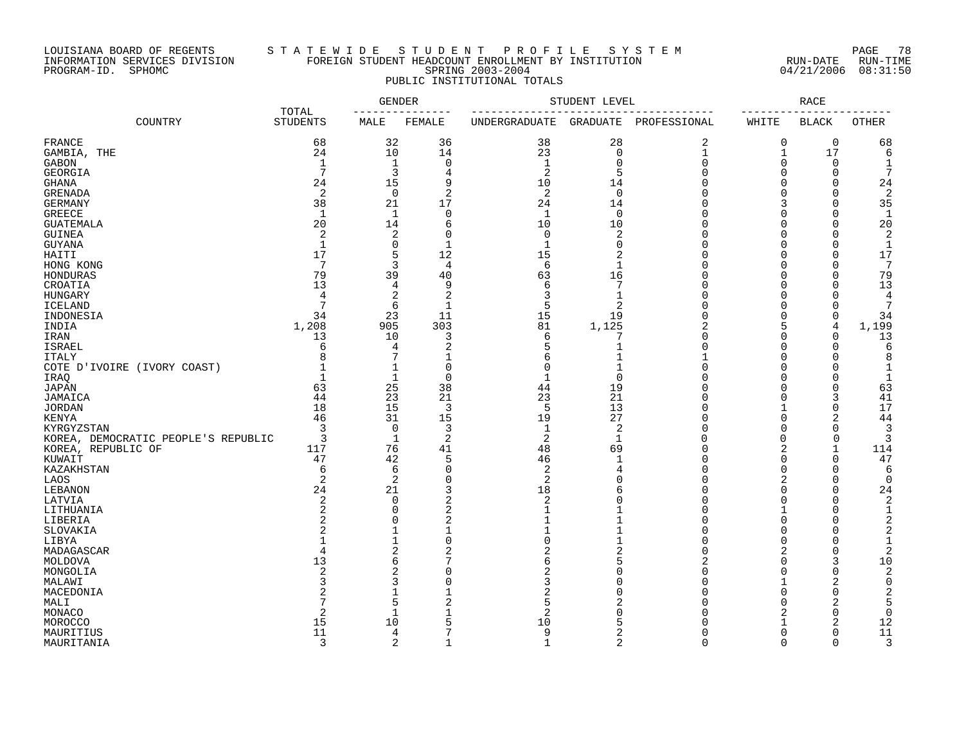### LOUISIANA BOARD OF REGENTS S T A T E W I D E S T U D E N T P R O F I L E S Y S T E M PAGE 78 INFORMATION SERVICES DIVISION FOREIGN STUDENT HEADCOUNT ENROLLMENT BY INSTITUTION RUN-DATE RUN-TIME PROGRAM-ID. SPHOMC SPRING 2003-2004 04/21/2006 08:31:50 PUBLIC INSTITUTIONAL TOTALS

|                                     |                          |                            | <b>GENDER</b>       | STUDENT LEVEL        | <b>RACE</b>    |              |                            |                       |                |
|-------------------------------------|--------------------------|----------------------------|---------------------|----------------------|----------------|--------------|----------------------------|-----------------------|----------------|
| COUNTRY                             | TOTAL<br><b>STUDENTS</b> | MALE                       | FEMALE              | <b>UNDERGRADUATE</b> | GRADUATE       | PROFESSIONAL | WHITE                      | <b>BLACK</b>          | <b>OTHER</b>   |
| FRANCE                              | 68                       | 32                         | 36                  | 38                   | 28             | 2            | $\mathbf 0$                | $\mathbf 0$           | 68             |
| GAMBIA, THE                         | 24                       | 10                         | 14                  | 23                   | $\mathbf 0$    | $\mathbf 1$  | 1                          | 17                    | 6              |
| <b>GABON</b>                        | $\mathbf{1}$             | $\mathbf{1}$               | $\mathbf 0$         | $\mathbf{1}$         | $\mathbf 0$    | $\Omega$     | $\mathbf 0$                | $\mathbf 0$           |                |
| GEORGIA                             | $7\phantom{.0}$          | 3                          | 4                   | 2                    | 5              | $\Omega$     | $\Omega$                   | $\Omega$              | 7              |
| <b>GHANA</b>                        | 24                       | 15                         | 9                   | 10                   | 14             | U            | $\Omega$                   | $\bigcap$             | 24             |
| <b>GRENADA</b>                      | $\overline{2}$           | $\mathbf 0$                | $\overline{2}$      | $\overline{2}$       | $\overline{0}$ | U            | $\Omega$                   | $\Omega$              | $\overline{c}$ |
| <b>GERMANY</b>                      | 38                       | 21                         | 17                  | 24                   | 14             | U            | 3                          | $\Omega$              | 35             |
| <b>GREECE</b>                       | $\mathbf{1}$             | $\mathbf{1}$               | $\mathbf 0$         | $\mathbf{1}$         | $\mathbf 0$    | Ω            | $\Omega$                   | $\Omega$              | 1              |
| <b>GUATEMALA</b>                    | 20                       | 14                         | 6                   | 10                   | 10             | U            | $\Omega$                   | $\cup$                | 20             |
| <b>GUINEA</b>                       | 2                        | 2                          | $\Omega$            | $\mathbf 0$          | $\overline{2}$ | Ω            | $\Omega$                   | $\bigcap$             | 2              |
| <b>GUYANA</b>                       | $\mathbf 1$              | $\mathbf 0$                | $\mathbf{1}$        | $\mathbf{1}$         | 0              | U            | $\Omega$                   | $\Omega$              | $\mathbf{1}$   |
| HAITI                               | 17                       | 5                          | 12                  | 15                   | 2              | Λ            | $\Omega$                   | O                     | 17             |
| HONG KONG                           | $7\phantom{.0}$          | 3                          | $\overline{4}$      | 6                    | $\mathbf{1}$   |              | $\Omega$                   | $\Omega$              | 7              |
| HONDURAS                            | 79                       | 39                         | 40                  | 63                   | 16             | Ω            | $\Omega$                   | $\Omega$              | 79             |
| CROATIA                             | 13                       | 4                          | 9                   | 6                    | 7              |              | $\Omega$                   | $\Omega$              | 13             |
| <b>HUNGARY</b>                      | $\overline{4}$           | $\overline{\mathbf{c}}$    | $\overline{2}$      | 3                    | $\mathbf{1}$   | O            | $\Omega$                   | $\mathbf 0$           | 4              |
| <b>ICELAND</b>                      | 7                        | 6                          | $\mathbf{1}$        | 5                    | 2              | U            | $\Omega$                   | $\cup$                | 7              |
| INDONESIA                           | 34                       | 23                         | 11                  | 15                   | 19             | Ω            | $\Omega$                   | $\Omega$              | 34             |
| INDIA                               | 1,208                    | 905                        | 303                 | 81                   | 1,125          | 2            | 5                          | $\overline{4}$        | 1,199          |
| IRAN                                | 13                       | 10                         | 3                   | 6                    | 7              |              | $\Omega$                   | $\Omega$              | 13             |
| <b>ISRAEL</b>                       | 6                        | 4                          | $\overline{2}$      | 5                    | $\mathbf{1}$   | Ω            | $\Omega$                   | $\Omega$              | 6              |
| <b>ITALY</b>                        | 8                        | 7                          |                     | 6                    |                |              | $\Omega$                   | C                     | 8              |
| COTE D'IVOIRE (IVORY COAST)         |                          | $\mathbf 1$                | $\Omega$            | $\Omega$             |                |              | $\Omega$                   | C                     | 1              |
| IRAQ                                | $\mathbf 1$              | $\mathbf{1}$               | $\mathbf 0$         | $\mathbf{1}$         | $\Omega$       |              | $\Omega$                   | C                     |                |
| <b>JAPAN</b>                        | 63                       | 25                         | 38                  | 44                   | 19             |              | $\cap$                     | $\Omega$              | 63             |
| JAMAICA                             | 44                       | 23                         | 21                  | 23                   | 21             |              | $\Omega$                   | 3                     | 41             |
| <b>JORDAN</b>                       | 18                       | 15                         | 3                   | 5                    | 13             | Λ            |                            | $\Omega$              | 17             |
| KENYA                               | 46                       | 31                         | 15                  | 19                   | 27             |              | $\Omega$                   | 2                     | 44             |
| KYRGYZSTAN                          | 3                        | $\mathbf 0$                | 3                   | $\mathbf{1}$         | 2              | Ω            | $\Omega$                   | $\Omega$              | 3              |
| KOREA, DEMOCRATIC PEOPLE'S REPUBLIC | 3                        | $\mathbf{1}$               | $\overline{2}$      | $\overline{2}$       | $\mathbf{1}$   | $\cap$       | $\Omega$                   | $\Omega$              | 3              |
| KOREA, REPUBLIC OF                  | 117                      | 76                         | 41                  | 48                   | 69             | O            | $\overline{2}$             | $\overline{1}$        | 114            |
| KUWAIT                              | 47                       | 42                         | 5                   | 46                   | -1             | Ω            | $\Omega$                   | $\mathbf 0$           | 47             |
| KAZAKHSTAN                          | 6                        | 6                          | $\Omega$            | 2                    | $\overline{4}$ |              | $\Omega$                   | $\bigcap$             | 6              |
| LAOS                                | $\overline{2}$           | $\overline{2}$             | $\Omega$            | $\overline{2}$       | U              | Λ<br>Ω       | $\overline{2}$<br>$\Omega$ | $\Omega$              | $\Omega$       |
| LEBANON                             | 24                       | 21                         | 3<br>$\overline{2}$ | 18                   | 6<br>$\Omega$  | Ω            | $\Omega$                   | $\bigcap$<br>$\Omega$ | 24             |
| LATVIA                              | $\overline{2}$<br>2      | $\mathbf 0$<br>$\mathbf 0$ | 2                   | 2                    |                |              | 1                          | C                     | 2<br>1         |
| LITHUANIA                           | 2                        | $\Omega$                   | $\overline{c}$      |                      |                |              | $\Omega$                   | C                     | $\overline{2}$ |
| LIBERIA<br>SLOVAKIA                 | $\overline{2}$           | $\mathbf{1}$               | $\mathbf{1}$        | $\mathbf{1}$         | $\mathbf{1}$   | U            | $\Omega$                   | $\bigcap$             | 2              |
| LIBYA                               | $\mathbf{1}$             | $\mathbf{1}$               | $\Omega$            | $\Omega$             | $\overline{1}$ | $\Omega$     | $\Omega$                   | $\bigcap$             | $\mathbf{1}$   |
| MADAGASCAR                          | $\overline{4}$           | 2                          | 2                   | 2                    | $\overline{2}$ | 0            | $\overline{2}$             | C                     | 2              |
| MOLDOVA                             | 13                       | 6                          | 7                   | 6                    | 5              | 2            | $\Omega$                   | 3                     | 10             |
| MONGOLIA                            | $\overline{c}$           | $\overline{2}$             | $\Omega$            | 2                    | U              | U            | $\Omega$                   | $\Omega$              | 2              |
| MALAWI                              | 3                        | 3                          | $\Omega$            | 3                    |                | Ω            | $\mathbf{1}$               | 2                     | $\mathbf 0$    |
| MACEDONIA                           |                          | $\mathbf{1}$               |                     | 2                    | ∩              | Ω            | $\Omega$                   | $\Omega$              | 2              |
| MALI                                |                          | 5                          |                     | 5                    |                |              | $\Omega$                   | 2                     | 5              |
| MONACO                              | 2                        | $\mathbf 1$                | -1                  | 2                    | U              |              | 2                          | $\Omega$              | $\mathbf 0$    |
| MOROCCO                             | 15                       | 10                         | 5                   | 10                   | 5              |              |                            | 2                     | 12             |
| MAURITIUS                           | 11                       | 4                          | 7                   | 9                    | 2              | U            | $\Omega$                   | $\Omega$              | 11             |
| MAURITANIA                          | 3                        | 2                          | $\overline{1}$      | $\mathbf{1}$         | $\overline{2}$ | $\cap$       | $\Omega$                   | $\Omega$              | 3              |
|                                     |                          |                            |                     |                      |                |              |                            |                       |                |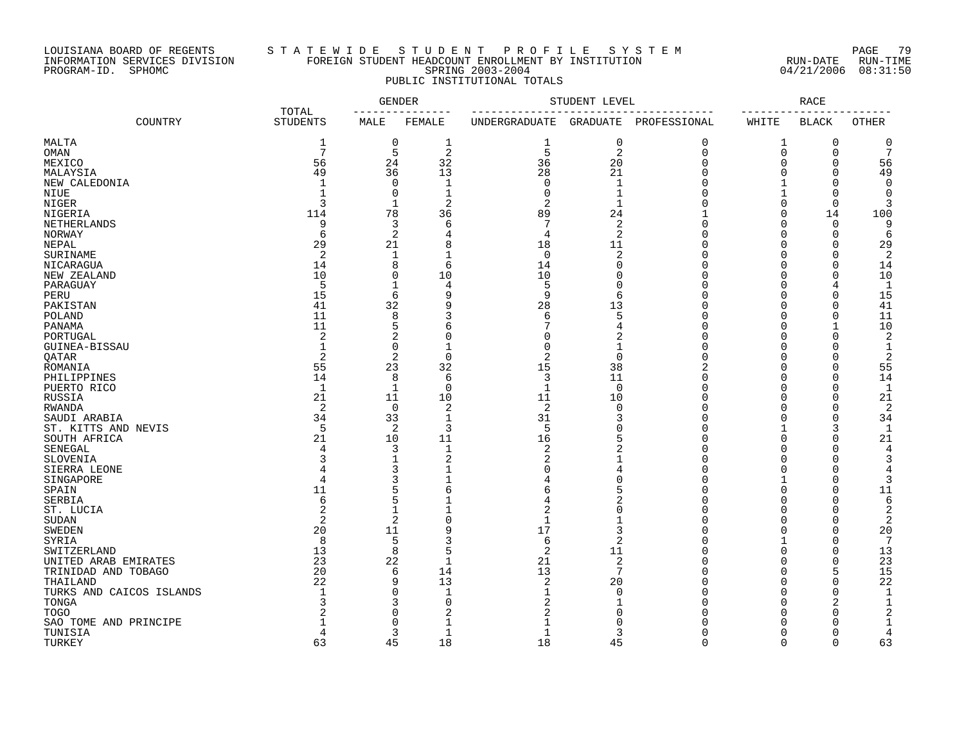### LOUISIANA BOARD OF REGENTS S T A T E W I D E S T U D E N T P R O F I L E S Y S T E M PAGE 79 INFORMATION SERVICES DIVISION FOREIGN STUDENT HEADCOUNT ENROLLMENT BY INSTITUTION RUN-DATE RUN-TIME PROGRAM-ID. SPHOMC SPRING 2003-2004 04/21/2006 08:31:50 PUBLIC INSTITUTIONAL TOTALS

|                          |                          |                | <b>GENDER</b>  | STUDENT LEVEL  | <b>RACE</b>    |              |              |              |                |
|--------------------------|--------------------------|----------------|----------------|----------------|----------------|--------------|--------------|--------------|----------------|
| COUNTRY                  | TOTAL<br><b>STUDENTS</b> | MALE           | FEMALE         | UNDERGRADUATE  | GRADUATE       | PROFESSIONAL | WHITE        | <b>BLACK</b> | <b>OTHER</b>   |
| MALTA                    | 1                        | 0              | 1              | 1              | 0              | 0            | 1            | 0            | 0              |
| OMAN                     | 7                        | 5              | $\overline{2}$ | 5              | $\overline{2}$ | $\mathbf 0$  | 0            | $\mathbf 0$  | 7              |
| MEXICO                   | 56                       | 24             | 32             | 36             | 20             | $\Omega$     | $\Omega$     | $\Omega$     | 56             |
| MALAYSIA                 | 49                       | 36             | 13             | 28             | 21             | $\Omega$     | $\Omega$     | $\Omega$     | 49             |
| NEW CALEDONIA            | $\mathbf{1}$             | 0              | 1              | $\Omega$       | $\mathbf{1}$   |              |              | ∩            | $\Omega$       |
| NIUE                     |                          | 0              | 1              | ∩              | 1              |              |              | ∩            | ∩              |
| NIGER                    | 3                        | 1              | $\overline{2}$ | $\overline{c}$ |                |              | $\Omega$     | $\cap$       |                |
| NIGERIA                  | 114                      | 78             | 36             | 89             | 24             |              | $\Omega$     | 14           | 100            |
| NETHERLANDS              | 9                        | 3              | 6              |                | 2              | U            | $\Omega$     | $\Omega$     | 9              |
| NORWAY                   | 6                        | $\overline{2}$ | 4              |                | $\overline{2}$ |              | $\Omega$     | $\cap$       | 6              |
| NEPAL                    | 29                       | 21             | 8              | 18             | 11             |              | $\cap$       | ∩            | 29             |
| SURINAME                 | $\overline{2}$           | 1              |                | $\Omega$       | 2              |              |              | ∩            | 2              |
| NICARAGUA                | 14                       | 8              | 6              | 14             | $\Omega$       |              | $\Omega$     | $\Omega$     | 14             |
| NEW ZEALAND              | 10                       | 0              | 10             | 10             | $\Omega$       | U            | $\Omega$     | $\cap$       | 10             |
|                          | 5                        | $\mathbf{1}$   | 4              | 5              | $\Omega$       |              | $\Omega$     | 4            | $\mathbf{1}$   |
| PARAGUAY                 | 15                       | 6              | 9              | 9              | 6              | U            | $\Omega$     | $\Omega$     | 15             |
| PERU                     | 41                       | 32             | q              |                | 13             | U            | $\Omega$     | $\Omega$     |                |
| PAKISTAN                 |                          |                |                | 28             |                |              |              |              | 41             |
| POLAND                   | 11                       | 8              | 3              | 6              | 5              | U            | $\Omega$     | $\Omega$     | 11             |
| PANAMA                   | 11                       | 5              | 6              |                | 4              | $\cap$       | $\Omega$     | $\mathbf 1$  | 10             |
| PORTUGAL                 | $\overline{2}$           | 2              | O              | O              |                |              | $\Omega$     | $\Omega$     | 2              |
| GUINEA-BISSAU            | $\mathbf{1}$             | 0              | 1              | ∩              |                |              | $\Omega$     | $\cap$       | 1              |
| QATAR                    | 2                        | 2              | $\mathbf 0$    | 2              | $\Omega$       | U            | $\Omega$     | $\Omega$     | $\overline{c}$ |
| ROMANIA                  | 55                       | 23             | 32             | 15             | 38             |              | $\Omega$     | $\Omega$     | 55             |
| PHILIPPINES              | 14                       | 8              | 6              | 3              | 11             |              | $\Omega$     | $\Omega$     | 14             |
| PUERTO RICO              | $\mathbf{1}$             | 1              | $\mathbf 0$    | 1              | $\overline{0}$ |              | <sup>0</sup> | $\cap$       | -1             |
| RUSSIA                   | 21                       | 11             | 10             | 11             | 10             | U            | $\Omega$     | $\Omega$     | 21             |
| RWANDA                   | 2                        | $\mathbf 0$    | $\overline{2}$ | $\overline{2}$ | $\Omega$       |              | $\cap$       | $\cap$       | $\overline{2}$ |
| SAUDI ARABIA             | 34                       | 33             | $\mathbf{1}$   | 31             | З              |              |              | $\Omega$     | 34             |
| ST. KITTS AND NEVIS      | 5                        | 2              | 3              | 5              | O              |              |              | 3            | -1             |
| SOUTH AFRICA             | 21                       | 10             | 11             | 16             |                |              | $\cap$       | ∩            | 21             |
| SENEGAL                  | 4                        | 3              | $\mathbf 1$    | $\overline{c}$ |                |              | $\Omega$     | ∩            | 4              |
| SLOVENIA                 | 3                        | 1              | 2              |                |                |              | <sup>0</sup> |              | 3              |
| SIERRA LEONE             |                          | 3              |                |                |                |              | $\Omega$     |              |                |
| SINGAPORE                | 4                        | 3              |                |                | $\sqrt{ }$     |              |              | $\cap$       |                |
| SPAIN                    | 11                       | 5              | 6              |                | 5              |              | $\Omega$     | $\Omega$     | 11             |
| SERBIA                   | 6                        | 5              |                |                | 2              |              | $\Omega$     | $\Omega$     | 6              |
| ST. LUCIA                | $\overline{c}$           | $\mathbf 1$    |                | 2              | $\sqrt{ }$     |              | $\Omega$     | ∩            | $\overline{c}$ |
| <b>SUDAN</b>             | $\overline{2}$           | $\overline{2}$ | $\Omega$       |                |                |              | $\cap$       | $\cap$       | $\overline{c}$ |
| <b>SWEDEN</b>            | 20                       | 11             | g              | 17             | 3              |              | $\Omega$     | $\Omega$     | 20             |
|                          | 8                        |                |                | 6              | $\overline{2}$ | U            |              | $\Omega$     | 7              |
| SYRIA                    |                          | 5              | 5              |                |                |              | $\Omega$     | $\Omega$     |                |
| SWITZERLAND              | 13                       | 8              | $\mathbf{1}$   | 2              | 11             | $\cap$       | $\Omega$     |              | 13             |
| UNITED ARAB EMIRATES     | 23                       | 22             |                | 21             | $\sqrt{2}$     |              |              | $\mathbf 0$  | 23             |
| TRINIDAD AND TOBAGO      | 20                       | 6              | 14             | 13             | 7              | $\cap$       | $\Omega$     | 5            | 15             |
| THAILAND                 | 22                       | 9              | 13             | 2              | 20             |              | $\Omega$     | $\Omega$     | 22             |
| TURKS AND CAICOS ISLANDS |                          | 0              | $\mathbf{1}$   |                | $\Omega$       |              | $\Omega$     | $\Omega$     | -1             |
| TONGA                    |                          | 3              | $\mathbf 0$    |                |                |              | $\Omega$     | 2            |                |
| <b>TOGO</b>              |                          | $\Omega$       | $\overline{2}$ |                |                |              |              | ∩            |                |
| SAO TOME AND PRINCIPE    |                          | $\Omega$       |                |                |                |              | <sup>0</sup> |              |                |
| TUNISIA                  | 4                        | 3              | 1              |                | 3              |              | $\Omega$     | $\Omega$     | 4              |
| TURKEY                   | 63                       | 45             | 18             | 18             | 45             | $\cap$       | $\Omega$     | $\Omega$     | 63             |